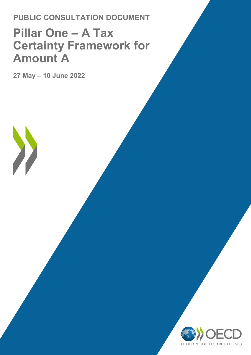**PUBLIC CONSULTATION DOCUMENT**

# **Pillar One – A Tax Certainty Framework for Amount A**

**27 May – 10 June 2022** 

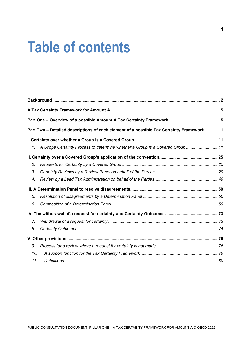# **Table of contents**

|                  | Part Two - Detailed descriptions of each element of a possible Tax Certainty Framework  11 |  |
|------------------|--------------------------------------------------------------------------------------------|--|
|                  |                                                                                            |  |
| 1.               | A Scope Certainty Process to determine whether a Group is a Covered Group  11              |  |
|                  |                                                                                            |  |
| 2.               |                                                                                            |  |
| 3.               |                                                                                            |  |
| 4.               |                                                                                            |  |
|                  |                                                                                            |  |
| 5.               |                                                                                            |  |
| 6.               |                                                                                            |  |
|                  |                                                                                            |  |
| $\overline{7}$ . |                                                                                            |  |
| 8.               |                                                                                            |  |
|                  |                                                                                            |  |
| 9.               |                                                                                            |  |
| 10.              |                                                                                            |  |
| 11.              |                                                                                            |  |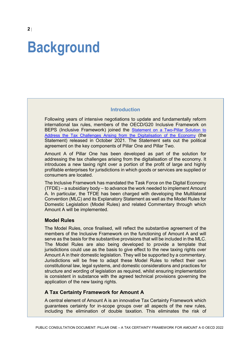# <span id="page-2-0"></span>**Background**

#### **Introduction**

Following years of intensive negotiations to update and fundamentally reform international tax rules, members of the OECD/G20 Inclusive Framework on BEPS (Inclusive Framework) joined the [Statement on a Two-Pillar Solution to](https://www.oecd.org/tax/beps/statement-on-a-two-pillar-solution-to-address-the-tax-challenges-arising-from-the-digitalisation-of-the-economy-october-2021.htm)  [Address the Tax Challenges Arising from the Digitalisation of the Economy](https://www.oecd.org/tax/beps/statement-on-a-two-pillar-solution-to-address-the-tax-challenges-arising-from-the-digitalisation-of-the-economy-october-2021.htm) (the Statement) released in October 2021. The Statement sets out the political agreement on the key components of Pillar One and Pillar Two.

Amount A of Pillar One has been developed as part of the solution for addressing the tax challenges arising from the digitalisation of the economy. It introduces a new taxing right over a portion of the profit of large and highly profitable enterprises for jurisdictions in which goods or services are supplied or consumers are located.

The Inclusive Framework has mandated the Task Force on the Digital Economy (TFDE) – a subsidiary body – to advance the work needed to implement Amount A. In particular, the TFDE has been charged with developing the Multilateral Convention (MLC) and its Explanatory Statement as well as the Model Rules for Domestic Legislation (Model Rules) and related Commentary through which Amount A will be implemented.

#### **Model Rules**

The Model Rules, once finalised, will reflect the substantive agreement of the members of the Inclusive Framework on the functioning of Amount A and will serve as the basis for the substantive provisions that will be included in the MLC. The Model Rules are also being developed to provide a template that jurisdictions could use as the basis to give effect to the new taxing rights over Amount A in their domestic legislation. They will be supported by a commentary. Jurisdictions will be free to adapt these Model Rules to reflect their own constitutional law, legal systems, and domestic considerations and practices for structure and wording of legislation as required, whilst ensuring implementation is consistent in substance with the agreed technical provisions governing the application of the new taxing rights.

#### **A Tax Certainty Framework for Amount A**

A central element of Amount A is an innovative Tax Certainty Framework which guarantees certainty for in-scope groups over all aspects of the new rules, including the elimination of double taxation. This eliminates the risk of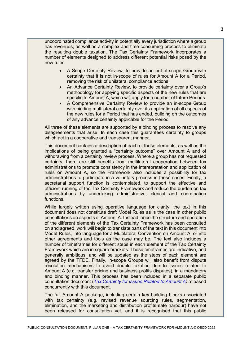uncoordinated compliance activity in potentially every jurisdiction where a group has revenues, as well as a complex and time-consuming process to eliminate the resulting double taxation. The Tax Certainty Framework incorporates a number of elements designed to address different potential risks posed by the new rules.

- A Scope Certainty Review, to provide an out-of-scope Group with certainty that it is not in-scope of rules for Amount A for a Period, removing the risk of unilateral compliance actions.
- An Advance Certainty Review, to provide certainty over a Group's methodology for applying specific aspects of the new rules that are specific to Amount A, which will apply for a number of future Periods.
- A Comprehensive Certainty Review to provide an in-scope Group with binding multilateral certainty over its application of all aspects of the new rules for a Period that has ended, building on the outcomes of any advance certainty applicable for the Period.

All three of these elements are supported by a binding process to resolve any disagreements that arise. In each case this guarantees certainty to groups which act in a cooperative and transparent manner.

This document contains a description of each of these elements, as well as the implications of being granted a "certainty outcome" over Amount A and of withdrawing from a certainty review process. Where a group has not requested certainty, there are still benefits from multilateral cooperation between tax administrations to promote consistency in the interepretation and application of rules on Amount A, so the Framework also includes a possibility for tax administrations to participate in a voluntary process in these cases. Finally, a secretarial support function is contemplated, to support the effective and efficient running of the Tax Certainty Framework and reduce the burden on tax administrations by undertaking administrative, clerical and coordination functions.

While largely written using operative language for clarity, the text in this document does not constitute draft Model Rules as is the case in other public consultations on aspects of Amount A. Instead, once the structure and operation of the different elements of the Tax Certainty Framework has been consulted on and agreed, work will begin to translate parts of the text in this document into Model Rules, into language for a Multilateral Convention on Amount A, or into other agreements and tools as the case may be. The text also includes a number of timeframes for different steps in each element of the Tax Certainty Framework which are in square brackets. These timeframes are indicative, and generally ambitious, and will be updated as the steps of each element are agreed by the TFDE. Finally, in-scope Groups will also benefit from dispute resolution mechanisms to avoid double taxation due to issues related to Amount A (e.g. transfer pricing and business profits disputes), in a mandatory and binding manner. This process has been included in a separate public consultation document (*[Tax Certainty for Issues Related to Amount A\)](https://www.oecd.org/tax/beps/public-consultation-document-pillar-one-amount-a-tax-certainty-issues.pdf)* released concurrently with this document.

The full Amount A package, including certain key building blocks associated with tax certainty (e.g. revised revenue sourcing rules, segmentation, elimination, and the marketing and distribution profits safe harbour) have not been released for consultation yet, and it is recognised that this public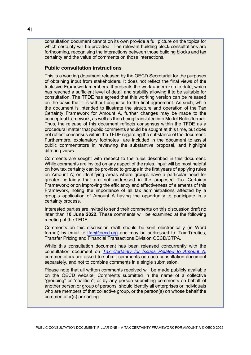consultation document cannot on its own provide a full picture on the topics for which certainty will be provided. The relevant building block consultations are forthcoming, recognising the interactions between those building blocks and tax certainty and the value of comments on those interactions.

#### **Public consultation instructions**

This is a working document released by the OECD Secretariat for the purposes of obtaining input from stakeholders. It does not reflect the final views of the Inclusive Framework members. It presents the work undertaken to date, which has reached a sufficient level of detail and stability allowing it to be suitable for consultation. The TFDE has agreed that this working version can be released on the basis that it is without prejudice to the final agreement. As such, while the document is intended to illustrate the structure and operation of the Tax Certainty Framework for Amount A, further changes may be made to the conceptual framework, as well as then being translated into Model Rules format. Thus, the release of this document reflects consensus within the TFDE as a procedural matter that public comments should be sought at this time, but does not reflect consensus within the TFDE regarding the substance of the document. Furthermore, explanatory footnotes are included in the document to assist public commentators in reviewing the substantive proposal, and highlight differing views.

Comments are sought with respect to the rules described in this document. While comments are invited on any aspect of the rules, input will be most helpful on how tax certainty can be provided to groups in the first years of applying rules on Amount A; on identifying areas where groups have a particular need for greater certainty that are not addressed in the proposed Tax Certainty Framework; or on improving the efficiency and effectiveness of elements of this Framework, noting the importance of all tax administrations affected by a group's application of Amount A having the opportunity to participate in a certainty process.

Interested parties are invited to send their comments on this discussion draft no later than **10 June 2022**. These comments will be examined at the following meeting of the TFDE.

Comments on this discussion draft should be sent electronically (in Word format) by email to [tfde@oecd.org](mailto:tfde@oecd.org) and may be addressed to: Tax Treaties, Transfer Pricing and Financial Transactions Division OECD/CTPA.

While this consultation document has been released concurrently with the consultation document on *[Tax Certainty for Issues Related to Amount A](https://www.oecd.org/tax/beps/public-consultation-document-pillar-one-amount-a-tax-certainty-issues.pdf)*, commentators are asked to submit comments on each consultation document separately, and not to combine comments in a single submission.

Please note that all written comments received will be made publicly available on the OECD website. Comments submitted in the name of a collective "grouping" or "coalition", or by any person submitting comments on behalf of another person or group of persons, should identify all enterprises or individuals who are members of that collective group, or the person(s) on whose behalf the commentator(s) are acting.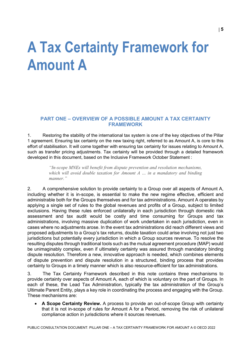# <span id="page-5-0"></span>**A Tax Certainty Framework for Amount A**

## <span id="page-5-1"></span>**PART ONE – OVERVIEW OF A POSSIBLE AMOUNT A TAX CERTAINTY FRAMEWORK**

1. Restoring the stability of the international tax system is one of the key objectives of the Pillar 1 agreement. Ensuring tax certainty on the new taxing right, referred to as Amount A, is core to this effort of stabilisation. It will come together with ensuring tax certainty for issues relating to Amount A, such as transfer pricing adjustments. Tax certainty will be provided through a detailed framework developed in this document, based on the Inclusive Framework October Statement :

> *"In-scope MNEs will benefit from dispute prevention and resolution mechanisms, which will avoid double taxation for Amount A … in a mandatory and binding manner."*

2. A comprehensive solution to provide certainty to a Group over all aspects of Amount A, including whether it is in-scope, is essential to make the new regime effective, efficient and administrable both for the Groups themselves and for tax administrations. Amount A operates by applying a single set of rules to the global revenues and profits of a Group, subject to limited exclusions. Having these rules enforced unilaterally in each jurisdiction through domestic risk assessment and tax audit would be costly and time consuming for Groups and tax administrations, involving massive duplication of work undertaken in each jurisdiction, even in cases where no adjustments arose. In the event tax administrations did reach different views and proposed adjustments to a Group's tax returns, double taxation could arise involving not just two jurisdictions but potentially every jurisdiction in which a Group sources revenue. To resolve the resulting disputes through traditional tools such as the mutual agreement procedure (MAP) would be unimaginably complex, even if ultimately certainty was assured through mandatory binding dispute resolution. Therefore a new, innovative approach is needed, which combines elements of dispute prevention and dispute resolution in a structured, binding process that provides certainty to Groups in a timely manner which is also resource-efficient for tax administrations.

3. The Tax Certainty Framework described in this note contains three mechanisms to provide certainty over aspects of Amount A, each of which is voluntary on the part of Groups. In each of these, the Lead Tax Administration, typically the tax administration of the Group's Ultimate Parent Entity, plays a key role in coordinating the process and engaging with the Group. These mechanisms are:

• **A Scope Certainty Review.** A process to provide an out-of-scope Group with certainty that it is not in-scope of rules for Amount A for a Period, removing the risk of unilateral compliance action in jurisdictions where it sources revenues.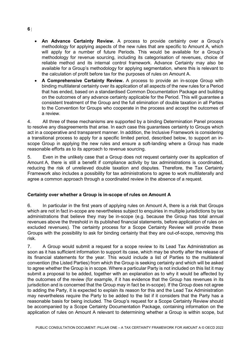- **An Advance Certainty Review.** A process to provide certainty over a Group's methodology for applying aspects of the new rules that are specific to Amount A, which will apply for a number of future Periods. This would be available for a Group's methodology for revenue sourcing, including its categorisation of revenues, choice of reliable method and its internal control framework. Advance Certainty may also be available for a Group's methodology for applying segmentation, where this is relevant to the calculation of profit before tax for the purposes of rules on Amount A.
- **A Comprehensive Certainty Review.** A process to provide an in-scope Group with binding multilateral certainty over its application of all aspects of the new rules for a Period that has ended, based on a standardised Common Documentation Package and building on the outcomes of any advance certainty applicable for the Period. This will guarantee a consistent treatment of the Group and the full elimination of double taxation in all Parties to the Convention for Groups who cooperate in the process and accept the outcomes of a review.

4. All three of these mechanisms are supported by a binding Determination Panel process to resolve any disagreements that arise. In each case this guarantees certainty to Groups which act in a cooperative and transparent manner. In addition, the Inclusive Framework is considering a transitional process to apply for a specific limited period, described below, to support an inscope Group in applying the new rules and ensure a soft-landing where a Group has made reasonable efforts as to its approach to revenue sourcing.

5. Even in the unlikely case that a Group does not request certainty over its application of Amount A, there is still a benefit if compliance activity by tax administrations is coordinated, reducing the risk of unrelieved double taxation and disputes. Therefore, the Tax Certainty Framework also includes a possibility for tax administrations to agree to work multilaterally and agree a common approach through a coordinated review in the absence of a request.

# **Certainty over whether a Group is in-scope of rules on Amount A**

6. In particular in the first years of applying rules on Amount A, there is a risk that Groups which are not in fact in-scope are nevertheless subject to enquiries in multiple jurisdictions by tax administrations that believe they may be in-scope (e.g. because the Group has total annual revenues above the threshold in its published financial statements, before application of rules on excluded revenues). The certainty process for a Scope Certainty Review will provide these Groups with the possibility to ask for binding certainty that they are out-of-scope, removing this risk.

7. A Group would submit a request for a scope review to its Lead Tax Administration as soon as it has sufficient information to support its case, which may be shortly after the release of its financial statements for the year. This would include a list of Parties to the multilateral convention (the Listed Parties) from which the Group is seeking certainty and which will be asked to agree whether the Group is in scope. Where a particular Party is not included on this list it may submit a proposal to be added, together with an explanation as to why it would be affected by the outcomes of the review (for example, if it has evidence that the Group has revenues in its jurisdiction and is concerned that the Group may in fact be in-scope). If the Group does not agree to adding the Party, it is expected to explain its reason for this and the Lead Tax Administration may nevertheless require the Party to be added to the list if it considers that the Party has a reasonable basis for being included. The Group's request for a Scope Certainty Review should be accompanied by a Scope Certainty Documentation Package, containing information on the application of rules on Amount A relevant to determining whether a Group is within scope, but

#### **6** |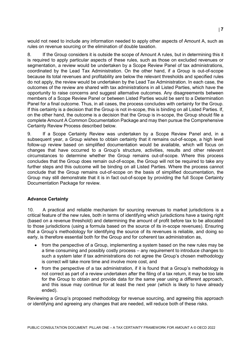would not need to include any information needed to apply other aspects of Amount A, such as rules on revenue sourcing or the elimination of double taxation.

8. If the Group considers it is outside the scope of Amount A rules, but in determining this it is required to apply particular aspects of these rules, such as those on excluded revenues or segmentation, a review would be undertaken by a Scope Review Panel of tax administrations, coordinated by the Lead Tax Administration. On the other hand, if a Group is out-of-scope because its total revenues and profitability are below the relevant thresholds and specified rules do not apply, the review would be undertaken by the Lead Tax Administration. In each case, the outcomes of the review are shared with tax administrations in all Listed Parties, which have the opportunity to raise concerns and suggest alternative outcomes. Any disagreements between members of a Scope Review Panel or between Listed Parties would be sent to a Determination Panel for a final outcome. Thus, in all cases, the process concludes with certainty for the Group. If this certainty is a decision that the Group is not in-scope, this is binding on all Listed Parties. If, on the other hand, the outcome is a decision that the Group is in-scope, the Group should file a complete Amount A Common Documentation Package and may then pursue the Comprehensive Certainty Review Process described below.

9. If a Scope Certainty Review was undertaken by a Scope Review Panel and, in a subsequent year, a Group wishes to obtain certainty that it remains out-of-scope, a high level follow-up review based on simplified documentation would be available, which will focus on changes that have occurred to a Group's structure, activities, results and other relevant circumstances to determine whether the Group remains out-of-scope. Where this process concludes that the Group does remain out-of-scope, the Group will not be required to take any further steps and this outcome will be binding on all Listed Parties. Where the process cannot conclude that the Group remains out-of-scope on the basis of simplified documentation, the Group may still demonstrate that it is in fact out-of-scope by providing the full Scope Certainty Documentation Package for review.

#### **Advance Certainty**

10. A practical and reliable mechanism for sourcing revenues to market jurisdictions is a critical feature of the new rules, both in terms of identifying which jurisdictions have a taxing right (based on a revenue threshold) and determining the amount of profit before tax to be allocated to those jurisdictions (using a formula based on the source of its in-scope revenues). Ensuring that a Group's methodology for identifying the source of its revenues is reliable, and doing so early, is therefore essential both for the Group and for coherent tax administration as,

- from the perspective of a Group, implementing a system based on the new rules may be a time consuming and possibly costly process – any requirement to introduce changes to such a system later if tax administrations do not agree the Group's chosen methodology is correct will take more time and involve more cost, and
- from the perspective of a tax administration, if it is found that a Group's methodology is not correct as part of a review undertaken after the filing of a tax return, it may be too late for the Group to obtain and provide data for the same year using a different approach, and this issue may continue for at least the next year (which is likely to have already ended).

Reviewing a Group's proposed methodology for revenue sourcing, and agreeing this approach or identifying and agreeing any changes that are needed, will reduce both of these risks.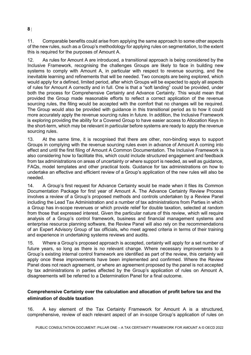11. Comparable benefits could arise from applying the same approach to some other aspects of the new rules, such as a Group's methodology for applying rules on segmentation, to the extent this is required for the purposes of Amount A.

12. As rules for Amount A are introduced, a transitional approach is being considered by the Inclusive Framework, recognising the challenges Groups are likely to face in building new systems to comply with Amount A, in particular with respect to revenue sourcing, and the inevitable learning and refinements that will be needed. Two concepts are being explored, which would apply for a defined, limited period, after which Groups will be expected to apply all aspects of rules for Amount A correctly and in full. One is that a "soft landing" could be provided, under both the process for Comprehensive Certainty and Advance Certainty. This would mean that provided the Group made reasonable efforts to reflect a correct application of the revenue sourcing rules, the filing would be accepted with the comfort that no changes will be required. The Group would also be provided with guidance in this transitional period as to how it could more accurately apply the revenue sourcing rules in future. In addition, the Inclusive Framework is exploring providing the ability for a Covered Group to have easier access to Allocation Keys in the short-term, which may be relevant in particular before systems are ready to apply the revenue sourcing rules.

13. At the same time, it is recognised that there are other, non-binding ways to support Groups in complying with the revenue sourcing rules even in advance of Amount A coming into effect and until the first filing of Amount A Common Documentation. The Inclusive Framework is also considering how to facilitate this, which could include structured engagement and feedback from tax administrations on areas of uncertainty or where support is needed, as well as guidance, FAQs, model templates and other practical tools. Guidance for tax administrations on how to undertake an effective and efficient review of a Group's application of the new rules will also be needed.

14. A Group's first request for Advance Certainty would be made when it files its Common Documentation Package for first year of Amount A. The Advance Certainty Review Process involves a review of a Group's proposed methods and controls undertaken by a Review Panel including the Lead Tax Administration and a number of tax administrations from Parties in which a Group has in-scope revenues or which provide relief for double taxation, selected at random from those that expressed interest. Given the particular nature of this review, which will require analysis of a Group's control framework, business and financial management systems and enterprise resource planning software, the Review Panel will also rely on the recommendations of an Expert Advisory Group of tax officials, who meet agreed criteria in terms of their training and experience in undertaking systems reviews and audits.

15. Where a Group's proposed approach is accepted, certainty will apply for a set number of future years, so long as there is no relevant change. Where necessary improvements to a Group's existing internal control framework are identified as part of the review, this certainty will apply once these improvements have been implemented and confirmed. Where the Review Panel does not reach agreement, or where an agreement proposed by the panel is not accepted by tax administrations in parties affected by the Group's application of rules on Amount A, disagreements will be referred to a Determination Panel for a final outcome.

# **Comprehensive Certainty over the calculation and allocation of profit before tax and the elimination of double taxation**

16. A key element of the Tax Certainty Framework for Amount A is a structured, comprehensive, review of each relevant aspect of an in-scope Group's application of rules on

#### **8** |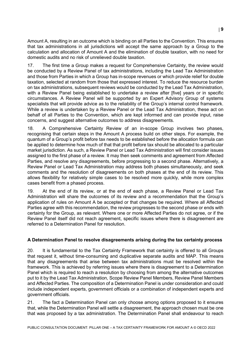Amount A, resulting in an outcome which is binding on all Parties to the Convention. This ensures that tax administrations in all jurisdictions will accept the same approach by a Group to the calculation and allocation of Amount A and the elimination of double taxation, with no need for domestic audits and no risk of unrelieved double taxation.

17. The first time a Group makes a request for Comprehensive Certainty, the review would be conducted by a Review Panel of tax administrations, including the Lead Tax Administration and those from Parties in which a Group has in-scope revenues or which provide relief for double taxation, selected at random from those that expressed interest. To reduce the resource burden on tax administrations, subsequent reviews would be conducted by the Lead Tax Administration, with a Review Panel being established to undertake a review after [five] years or in specific circumstances. A Review Panel will be supported by an Expert Advisory Group of systems specialists that will provide advice as to the reliability of the Group's internal control framework. While a review is undertaken by a Review Panel or the Lead Tax Administration, these act on behalf of all Parties to the Convention, which are kept informed and can provide input, raise concerns, and suggest alternative outcomes to address disagreements.

18. A Comprehensive Certainty Review of an in-scope Group involves two phases, recognising that certain steps in the Amount A process build on other steps. For example, the quantum of a Group's profit before tax needs to be established before the allocation formula can be applied to determine how much of that that profit before tax should be allocated to a particular market jurisdiction. As such, a Review Panel or Lead Tax Administration will first consider issues assigned to the first phase of a review. It may then seek comments and agreement from Affected Parties, and resolve any disagreements, before progressing to a second phase. Alternatively, a Review Panel or Lead Tax Administration may address both phases simultaneously, and seek comments and the resolution of disagreements on both phases at the end of its review. This allows flexibility for relatively simple cases to be resolved more quickly, while more complex cases benefit from a phased process.

19. At the end of its review, or at the end of each phase, a Review Panel or Lead Tax Administration will share the outcomes of its review and a recommendation that the Group's application of rules on Amount A be accepted or that changes be required. Where all Affected Parties agree with this recommendation, the review progresses to the second phase or ends with certainty for the Group, as relevant. Where one or more Affected Parties do not agree, or if the Review Panel itself did not reach agreement, specific issues where there is disagreement are referred to a Determination Panel for resolution.

# **A Determination Panel to resolve disagreements arising during the tax certainty process**

20. It is fundamental to the Tax Certainty Framework that certainty is offered to all Groups that request it, without time-consuming and duplicative separate audits and MAP. This means that any disagreements that arise between tax administrations must be resolved within the framework. This is achieved by referring issues where there is disagreement to a Determination Panel which is required to reach a resolution by choosing from among the alternative outcomes put to it by the Lead Tax Administration, Scope Review Panel Members, Review Panel Members and Affected Parties. The composition of a Determination Panel is under consideration and could include independent experts, government officials or a combination of independent experts and government officials.

21. The fact a Determination Panel can only choose among options proposed to it ensures that, while the Determination Panel will settle a disagreement, the approach chosen must be one that was proposed by a tax administration. The Determination Panel shall endeavour to reach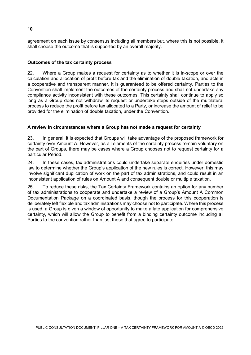# agreement on each issue by consensus including all members but, where this is not possible, it shall choose the outcome that is supported by an overall majority.

# **Outcomes of the tax certainty process**

22. Where a Group makes a request for certainty as to whether it is in-scope or over the calculation and allocation of profit before tax and the elimination of double taxation, and acts in a cooperative and transparent manner, it is guaranteed to be offered certainty. Parties to the Convention shall implement the outcomes of the certainty process and shall not undertake any compliance activity inconsistent with these outcomes. This certainty shall continue to apply so long as a Group does not withdraw its request or undertake steps outside of the multilateral process to reduce the profit before tax allocated to a Party, or increase the amount of relief to be provided for the elimination of double taxation, under the Convention.

# **A review in circumstances where a Group has not made a request for certainty**

23. In general, it is expected that Groups will take advantage of the proposed framework for certainty over Amount A. However, as all elements of the certainty process remain voluntary on the part of Groups, there may be cases where a Group chooses not to request certainty for a particular Period.

24. In these cases, tax administrations could undertake separate enquiries under domestic law to determine whether the Group's application of the new rules is correct. However, this may involve significant duplication of work on the part of tax administrations, and could result in an inconsistent application of rules on Amount A and consequent double or multiple taxation.

25. To reduce these risks, the Tax Certainty Framework contains an option for any number of tax administrations to cooperate and undertake a review of a Group's Amount A Common Documentation Package on a coordinated basis, though the process for this cooperation is deliberately left flexible and tax administrations may choose not to participate. Where this process is used, a Group is given a window of opportunity to make a late application for comprehensive certainty, which will allow the Group to benefit from a binding certainty outcome including all Parties to the convention rather than just those that agree to participate.

**10** |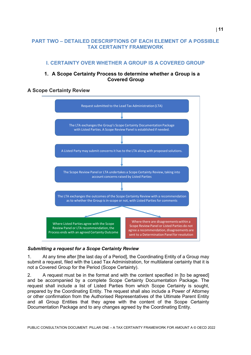# <span id="page-11-1"></span><span id="page-11-0"></span>**PART TWO – DETAILED DESCRIPTIONS OF EACH ELEMENT OF A POSSIBLE TAX CERTAINTY FRAMEWORK**

# **I. CERTAINTY OVER WHETHER A GROUP IS A COVERED GROUP**

# **1. A Scope Certainty Process to determine whether a Group is a Covered Group**

# <span id="page-11-2"></span>**A Scope Certainty Review**



# *Submitting a request for a Scope Certainty Review*

1. At any time after [the last day of a Period], the Coordinating Entity of a Group may submit a request, filed with the Lead Tax Administration, for multilateral certainty that it is not a Covered Group for the Period (Scope Certainty).

2. A request must be in the format and with the content specified in [to be agreed] and be accompanied by a complete Scope Certainty Documentation Package. The request shall include a list of Listed Parties from which Scope Certainty is sought, prepared by the Coordinating Entity. The request shall also include a Power of Attorney or other confirmation from the Authorised Representatives of the Ultimate Parent Entity and all Group Entities that they agree with the content of the Scope Certainty Documentation Package and to any changes agreed by the Coordinating Entity.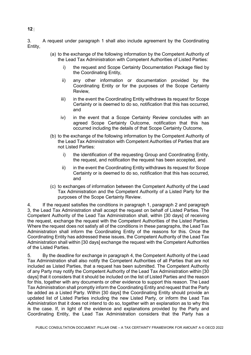3. A request under paragraph 1 shall also include agreement by the Coordinating Entity,

- (a) to the exchange of the following information by the Competent Authority of the Lead Tax Administration with Competent Authorities of Listed Parties:
	- i) the request and Scope Certainty Documentation Package filed by the Coordinating Entity,
	- ii) any other information or documentation provided by the Coordinating Entity or for the purposes of the Scope Certainty Review,
	- iii) in the event the Coordinating Entity withdraws its request for Scope Certainty or is deemed to do so, notification that this has occurred, and
	- iv) in the event that a Scope Certainty Review concludes with an agreed Scope Certainty Outcome, notification that this has occurred including the details of that Scope Certainty Outcome,
- (b) to the exchange of the following information by the Competent Authority of the Lead Tax Administration with Competent Authorities of Parties that are not Listed Parties:
	- i) the identification of the requesting Group and Coordinating Entity, the request, and notification the request has been accepted, and
	- ii) in the event the Coordinating Entity withdraws its request for Scope Certainty or is deemed to do so, notification that this has occurred, and
- (c) to exchanges of information between the Competent Authority of the Lead Tax Administration and the Competent Authority of a Listed Party for the purposes of the Scope Certainty Review.

4. If the request satisfies the conditions in paragraph 1, paragraph 2 and paragraph 3, the Lead Tax Administration shall accept the request on behalf of Listed Parties. The Competent Authority of the Lead Tax Administration shall, within [30 days] of receiving the request, exchange the request with the Competent Authorities of the Listed Parties. Where the request does not satisfy all of the conditions in these paragraphs, the Lead Tax Administration shall inform the Coordinating Entity of the reasons for this. Once the Coordinating Entity has addressed these issues, the Competent Authority of the Lead Tax Administration shall within [30 days] exchange the request with the Competent Authorities of the Listed Parties.

5. By the deadline for exchange in paragraph 4, the Competent Authority of the Lead Tax Administration shall also notify the Competent Authorities of all Parties that are not included as Listed Parties, that a request has been submitted. The Competent Authority of any Party may notify the Competent Authority of the Lead Tax Administration within [30 days] that it considers that it should be included on the list of Listed Parties and the reason for this, together with any documents or other evidence to support this reason. The Lead Tax Administration shall promptly inform the Coordinating Entity and request that the Party be added as a Listed Party. Within [30 days] the Coordinating Entity should provide an updated list of Listed Parties including the new Listed Party, or inform the Lead Tax Administration that it does not intend to do so, together with an explanation as to why this is the case. If, in light of the evidence and explanations provided by the Party and Coordinating Entity, the Lead Tax Administration considers that the Party has a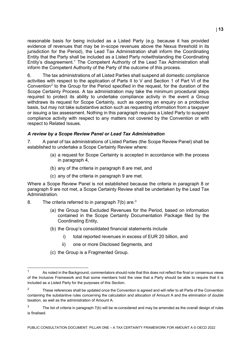reasonable basis for being included as a Listed Party (e.g. because it has provided evidence of revenues that may be in-scope revenues above the Nexus threshold in its jurisdiction for the Period), the Lead Tax Administration shall inform the Coordinating Entity that the Party shall be included as a Listed Party notwithstanding the Coordinating Entity's disagreement.<sup>[1](#page-13-0)</sup> The Competent Authority of the Lead Tax Administration shall inform the Competent Authority of the Party of the outcome of this process.

6. The tax administrations of all Listed Parties shall suspend all domestic compliance activities with respect to the application of Parts II to V and Section 1 of Part VI of the Convention<sup>[2](#page-13-1)</sup> to the Group for the Period specified in the request, for the duration of the Scope Certainty Process. A tax administration may take the minimum procedural steps required to protect its ability to undertake compliance activity in the event a Group withdraws its request for Scope Certainty, such as opening an enquiry on a protective basis, but may not take substantive action such as requesting information from a taxpayer or issuing a tax assessment. Nothing in this paragraph requires a Listed Party to suspend compliance activity with respect to any matters not covered by the Convention or with respect to Related Issues.

#### *A review by a Scope Review Panel or Lead Tax Administration*

7. A panel of tax administrations of Listed Parties (the Scope Review Panel) shall be established to undertake a Scope Certainty Review where:

- (a) a request for Scope Certainty is accepted in accordance with the process in paragraph 4,
- (b) any of the criteria in paragraph 8 are met, and
- (c) any of the criteria in paragraph 9 are met.

Where a Scope Review Panel is not established because the criteria in paragraph 8 or paragraph 9 are not met, a Scope Certainty Review shall be undertaken by the Lead Tax Administration.

- 8. The criteria referred to in paragraph  $7(b)$  are:<sup>[3](#page-13-2)</sup>
	- (a) the Group has Excluded Revenues for the Period, based on information contained in the Scope Certainty Documentation Package filed by the Coordinating Entity,
	- (b) the Group's consolidated financial statements include
		- i) total reported revenues in excess of EUR 20 billion, and
		- ii) one or more Disclosed Segments, and
	- (c) the Group is a Fragmented Group.

PUBLIC CONSULTATION DOCUMENT: PILLAR ONE – A TAX CERTAINTY FRAMEWORK FOR AMOUNT A © OECD 2022

<span id="page-13-0"></span> $\mathbf{1}$ As noted in the Background, commentators should note that this does not reflect the final or consensus views of the Inclusive Framework and that some members hold the view that a Party should be able to require that it is included as a Listed Party for the purposes of this Section.

<span id="page-13-1"></span><sup>&</sup>lt;sup>2</sup> These references shall be updated once the Convention is agreed and will refer to all Parts of the Convention containing the substantive rules concerning the calculation and allocation of Amount A and the elimination of double taxation, as well as the administration of Amount A.

<span id="page-13-2"></span> $3$  The list of criteria in paragraph 7(b) will be re-considered and may be amended as the overall design of rules is finalised.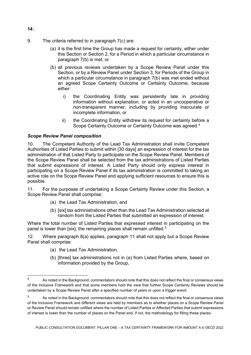- 9. The criteria referred to in paragraph 7(c) are:
	- (a) it is the first time the Group has made a request for certainty, either under this Section or Section 2, for a Period in which a particular circumstance in paragraph 7(b) is met, or
	- (b) all previous reviews undertaken by a Scope Review Panel under this Section, or by a Review Panel under Section 3, for Periods of the Group in which a particular circumstance in paragraph 7(b) was met ended without an agreed Scope Certainty Outcome or Certainty Outcome, because either:
		- i) the Coordinating Entity was persistently late in providing information without explanation, or acted in an uncooperative or non-transparent manner, including by providing inaccurate or incomplete information, or
		- ii) the Coordinating Entity withdrew its request for certainty before a Scope Certainty Outcome or Certainty Outcome was agreed. [4](#page-14-0)

# *Scope Review Panel composition*

10. The Competent Authority of the Lead Tax Administration shall invite Competent Authorities of Listed Parties to submit within [30 days] an expression of interest for the tax administration of that Listed Party to participate on the Scope Review Panel. Members of the Scope Review Panel shall be selected from the tax administrations of Listed Parties that submit expressions of interest. A Listed Party should only express interest in participating on a Scope Review Panel if its tax administration is committed to taking an active role on the Scope Review Panel and applying sufficient resources to ensure this is possible.

11. For the purposes of undertaking a Scope Certainty Review under this Section, a Scope Review Panel shall comprise:

- (a) the Lead Tax Administration, and
- (b) [six] tax administrations other than the Lead Tax Administration selected at random from the Listed Parties that submitted an expression of interest.

Where the total number of Listed Parties that expressed interest in participating on the panel is lower than [six], the remaining places shall remain unfilled.<sup>[5](#page-14-1)</sup>

12. Where paragraph 8(a) applies, paragraph 11 shall not apply but a Scope Review Panel shall comprise:

- (a) the Lead Tax Administration,
- (b) [three] tax administrations not in (a) from Listed Parties where, based on information provided by the Group,

**14** |

<span id="page-14-0"></span> $\overline{4}$ <sup>4</sup> As noted in the Background, commentators should note that this does not reflect the final or consensus views of the Inclusive Framework and that some members hold the view that further Scope Certainty Reviews should be undertaken by a Scope Review Panel after a specified number of years or upon a trigger event.

<span id="page-14-1"></span><sup>5</sup> As noted in the Background, commentators should note that this does not reflect the final or consensus views of the Inclusive Framework and different views are held by members as to whether places on a Scope Review Panel or Review Panel should remain unfilled where the number of Listed Parties or Affected Parties that submit expressions of interest is lower than the number of places on the Panel and, if not, the methodology for filling these places.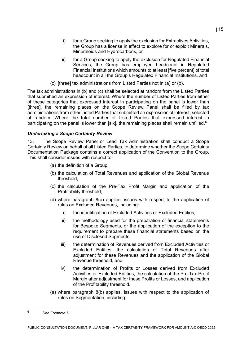- i) for a Group seeking to apply the exclusion for Extractives Activities, the Group has a license in effect to explore for or exploit Minerals, Mineraloids and Hydrocarbons, or
- ii) for a Group seeking to apply the exclusion for Regulated Financial Services, the Group has employee headcount in Regulated Financial Institutions which amounts to at least [five percent] of total headcount in all the Group's Regulated Financial Institutions, and
- (c) [three] tax administrations from Listed Parties not in (a) or (b).

The tax administrations in (b) and (c) shall be selected at random from the Listed Parties that submitted an expression of interest. Where the number of Listed Parties from either of these categories that expressed interest in participating on the panel is lower than [three], the remaining places on the Scope Review Panel shall be filled by tax administrations from other Listed Parties that submitted an expression of interest, selected at random. Where the total number of Listed Parties that expressed interest in participating on the panel is lower than [six], the remaining places shall remain unfilled.<sup>[6](#page-15-0)</sup>

#### *Undertaking a Scope Certainty Review*

13. The Scope Review Panel or Lead Tax Administration shall conduct a Scope Certainty Review on behalf of all Listed Parties, to determine whether the Scope Certainty Documentation Package contains a correct application of the Convention to the Group. This shall consider issues with respect to:

- (a) the definition of a Group,
- (b) the calculation of Total Revenues and application of the Global Revenue threshold,
- (c) the calculation of the Pre-Tax Profit Margin and application of the Profitability threshold,
- (d) where paragraph 8(a) applies, issues with respect to the application of rules on Excluded Revenues, including:
	- i) the identification of Excluded Activities or Excluded Entities,
	- ii) the methodology used for the preparation of financial statements for Bespoke Segments, or the application of the exception to the requirement to prepare these financial statements based on the use of Disclosed Segments,
	- iii) the determination of Revenues derived from Excluded Activities or Excluded Entities, the calculation of Total Revenues after adjustment for these Revenues and the application of the Global Revenue threshold, and
	- iv) the determination of Profits or Losses derived from Excluded Activities or Excluded Entities, the calculation of the Pre-Tax Profit Margin after adjustment for these Profits or Losses, and application of the Profitability threshold.
- (e) where paragraph 8(b) applies, issues with respect to the application of rules on Segmentation, including:

<span id="page-15-0"></span> $\kappa$ <sup>6</sup> See Footnote 5.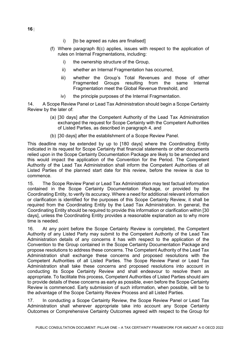- i) [to be agreed as rules are finalised]
- (f) Where paragraph 8(c) applies, issues with respect to the application of rules on Internal Fragmentations, including:
	- i) the ownership structure of the Group,
	- ii) whether an Internal Fragmentation has occurred,
	- iii) whether the Group's Total Revenues and those of other Fragmented Groups resulting from the same Internal Fragmentation meet the Global Revenue threshold, and
	- iv) the principle purposes of the Internal Fragmentation.

14. A Scope Review Panel or Lead Tax Administration should begin a Scope Certainty Review by the later of:

- (a) [30 days] after the Competent Authority of the Lead Tax Administration exchanged the request for Scope Certainty with the Competent Authorities of Listed Parties, as described in paragraph 4, and
- (b) [30 days] after the establishment of a Scope Review Panel.

This deadline may be extended by up to [180 days] where the Coordinating Entity indicated in its request for Scope Certainty that financial statements or other documents relied upon in the Scope Certainty Documentation Package are likely to be amended and this would impact the application of the Convention for the Period. The Competent Authority of the Lead Tax Administration shall inform the Competent Authorities of all Listed Parties of the planned start date for this review, before the review is due to commence.

15. The Scope Review Panel or Lead Tax Administration may test factual information contained in the Scope Certainty Documentation Package, or provided by the Coordinating Entity, to verify its accuracy. Where a need for additional relevant information or clarification is identified for the purposes of this Scope Certainty Review, it shall be required from the Coordinating Entity by the Lead Tax Administration. In general, the Coordinating Entity should be required to provide this information or clarification within [30 days], unless the Coordinating Entity provides a reasonable explanation as to why more time is needed.

16. At any point before the Scope Certainty Review is completed, the Competent Authority of any Listed Party may submit to the Competent Authority of the Lead Tax Administration details of any concerns it has with respect to the application of the Convention to the Group contained in the Scope Certainty Documentation Package and propose resolutions to address these concerns. The Competent Authority of the Lead Tax Administration shall exchange these concerns and proposed resolutions with the Competent Authorities of all Listed Parties. The Scope Review Panel or Lead Tax Administration shall take these concerns and proposed resolutions into account in conducting its Scope Certainty Review and shall endeavour to resolve them as appropriate. To facilitate this process, Competent Authorities of Listed Parties should aim to provide details of these concerns as early as possible, even before the Scope Certainty Review is commenced. Early submission of such information, when possible, will be to the advantage of the Scope Certainty Review Process and all Listed Parties.

17. In conducting a Scope Certainty Review, the Scope Review Panel or Lead Tax Administration shall wherever appropriate take into account any Scope Certainty Outcomes or Comprehensive Certainty Outcomes agreed with respect to the Group for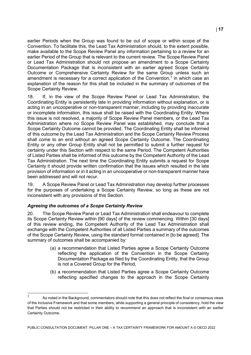earlier Periods when the Group was found to be out of scope or within scope of the Convention. To facilitate this, the Lead Tax Administration should, to the extent possible, make available to the Scope Review Panel any information pertaining to a review for an earlier Period of the Group that is relevant to the current review. The Scope Review Panel or Lead Tax Administration should not propose an amendment to a Scope Certainty Documentation Package that is inconsistent with an earlier agreed Scope Certainty Outcome or Comprehensive Certainty Review for the same Group unless such an amendment is necessary for a correct application of the Convention, $<sup>7</sup>$  $<sup>7</sup>$  $<sup>7</sup>$  in which case an</sup> explanation of the reason for this shall be included in the summary of outcomes of the Scope Certainty Review.

18. If, in the view of the Scope Review Panel or Lead Tax Administration, the Coordinating Entity is persistently late in providing information without explanation, or is acting in an uncooperative or non-transparent manner, including by providing inaccurate or incomplete information, this issue shall be raised with the Coordinating Entity. Where this issue is not resolved, a majority of Scope Review Panel members, or the Lead Tax Administration where no Scope Review Panel was established, may conclude that a Scope Certainty Outcome cannot be provided. The Coordinating Entity shall be informed of this outcome by the Lead Tax Administration and the Scope Certainty Review Process shall come to an end without an agreed Scope Certainty Outcome. The Coordinating Entity or any other Group Entity shall not be permitted to submit a further request for certainty under this Section with respect to the same Period. The Competent Authorities of Listed Parties shall be informed of this outcome by the Competent Authority of the Lead Tax Administration. The next time the Coordinating Entity submits a request for Scope Certainty it should provide written confirmation that the issues which resulted in the late provision of information or in it acting in an uncooperative or non-transparent manner have been addressed and will not recur.

19. A Scope Review Panel or Lead Tax Administration may develop further processes for the purposes of undertaking a Scope Certainty Review, so long as these are not inconsistent with any provisions of this Section.

#### *Agreeing the outcomes of a Scope Certainty Review*

j

20. The Scope Review Panel or Lead Tax Administration shall endeavour to complete its Scope Certainty Review within [90 days] of the review commencing. Within [30 days] of this review ending, the Competent Authority of the Lead Tax Administration shall exchange with the Competent Authorities of all Listed Parties a summary of the outcomes of the Scope Certainty Review, using the standard format contained in [to be agreed]. The summary of outcomes shall be accompanied by:

- (a) a recommendation that Listed Parties agree a Scope Certainty Outcome reflecting the application of the Convention in the Scope Certainty Documentation Package as filed by the Coordinating Entity, that the Group is not a Covered Group for the Period,
- (b) a recommendation that Listed Parties agree a Scope Certainty Outcome reflecting specified changes to the approach in the Scope Certainty

<span id="page-17-0"></span>As noted in the Background, commentators should note that this does not reflect the final or consensus views of the Inclusive Framework and that some members, while supporting a general principle of consistency, hold the view that Parties should not be restricted in their ability to recommend an approach that is inconsistent with an earlier Certainty Outcome.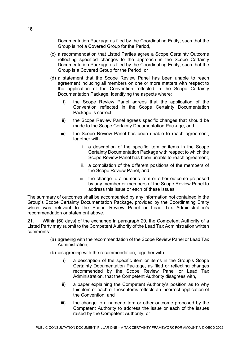Documentation Package as filed by the Coordinating Entity, such that the Group is not a Covered Group for the Period,

- (c) a recommendation that Listed Parties agree a Scope Certainty Outcome reflecting specified changes to the approach in the Scope Certainty Documentation Package as filed by the Coordinating Entity, such that the Group is a Covered Group for the Period, or
- (d) a statement that the Scope Review Panel has been unable to reach agreement including all members on one or more matters with respect to the application of the Convention reflected in the Scope Certainty Documentation Package, identifying the aspects where:
	- i) the Scope Review Panel agrees that the application of the Convention reflected in the Scope Certainty Documentation Package is correct,
	- ii) the Scope Review Panel agrees specific changes that should be made to the Scope Certainty Documentation Package, and
	- iii) the Scope Review Panel has been unable to reach agreement, together with
		- i. a description of the specific item or items in the Scope Certainty Documentation Package with respect to which the Scope Review Panel has been unable to reach agreement,
		- ii. a compilation of the different positions of the members of the Scope Review Panel, and
		- iii. the change to a numeric item or other outcome proposed by any member or members of the Scope Review Panel to address this issue or each of these issues.

The summary of outcomes shall be accompanied by any information not contained in the Group's Scope Certainty Documentation Package, provided by the Coordinating Entity which was relevant to the Scope Review Panel or Lead Tax Administration's recommendation or statement above.

21. Within [60 days] of the exchange in paragraph 20, the Competent Authority of a Listed Party may submit to the Competent Authority of the Lead Tax Administration written comments:

- (a) agreeing with the recommendation of the Scope Review Panel or Lead Tax Administration,
- (b) disagreeing with the recommendation, together with
	- i) a description of the specific item or items in the Group's Scope Certainty Documentation Package, as filed or reflecting changes recommended by the Scope Review Panel or Lead Tax Administration, that the Competent Authority disagrees with,
	- ii) a paper explaining the Competent Authority's position as to why this item or each of these items reflects an incorrect application of the Convention, and
	- iii) the change to a numeric item or other outcome proposed by the Competent Authority to address the issue or each of the issues raised by the Competent Authority, or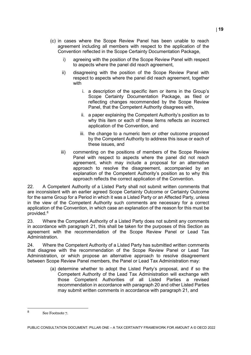- (c) in cases where the Scope Review Panel has been unable to reach agreement including all members with respect to the application of the Convention reflected in the Scope Certainty Documentation Package,
	- i) agreeing with the position of the Scope Review Panel with respect to aspects where the panel did reach agreement,
	- ii) disagreeing with the position of the Scope Review Panel with respect to aspects where the panel did reach agreement, together with
		- i. a description of the specific item or items in the Group's Scope Certainty Documentation Package, as filed or reflecting changes recommended by the Scope Review Panel, that the Competent Authority disagrees with,
		- ii. a paper explaining the Competent Authority's position as to why this item or each of these items reflects an incorrect application of the Convention, and
		- iii. the change to a numeric item or other outcome proposed by the Competent Authority to address this issue or each of these issues, and
	- iii) commenting on the positions of members of the Scope Review Panel with respect to aspects where the panel did not reach agreement, which may include a proposal for an alternative approach to resolve the disagreement, accompanied by an explanation of the Competent Authority's position as to why this approach reflects the correct application of the Convention.

22. A Competent Authority of a Listed Party shall not submit written comments that are inconsistent with an earlier agreed Scope Certainty Outcome or Certainty Outcome for the same Group for a Period in which it was a Listed Party or an Affected Party, unless in the view of the Competent Authority such comments are necessary for a correct application of the Convention, in which case an explanation of the reason for this must be provided.[8](#page-19-0)

23. Where the Competent Authority of a Listed Party does not submit any comments in accordance with paragraph 21, this shall be taken for the purposes of this Section as agreement with the recommendation of the Scope Review Panel or Lead Tax Administration.

24. Where the Competent Authority of a Listed Party has submitted written comments that disagree with the recommendation of the Scope Review Panel or Lead Tax Administration, or which propose an alternative approach to resolve disagreement between Scope Review Panel members, the Panel or Lead Tax Administration may:

> (a) determine whether to adopt the Listed Party's proposal, and if so the Competent Authority of the Lead Tax Administration will exchange with those Competent Authorities of all Listed Parties a revised recommendation in accordance with paragraph 20 and other Listed Parties may submit written comments in accordance with paragraph 21, and

<span id="page-19-0"></span> $\mathsf{R}$ See Footnote 7.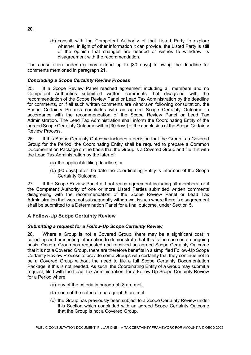(b) consult with the Competent Authority of that Listed Party to explore whether, in light of other information it can provide, the Listed Party is still of the opinion that changes are needed or wishes to withdraw its disagreement with the recommendation.

The consultation under (b) may extend up to [30 days] following the deadline for comments mentioned in paragraph 21.

#### *Concluding a Scope Certainty Review Process*

25. If a Scope Review Panel reached agreement including all members and no Competent Authorities submitted written comments that disagreed with the recommendation of the Scope Review Panel or Lead Tax Administration by the deadline for comments, or if all such written comments are withdrawn following consultation, the Scope Certainty Process concludes with an agreed Scope Certainty Outcome in accordance with the recommendation of the Scope Review Panel or Lead Tax Administration. The Lead Tax Administration shall inform the Coordinating Entity of the agreed Scope Certainty Outcome within [30 days] of the conclusion of the Scope Certainty Review Process.

26. If this Scope Certainty Outcome includes a decision that the Group is a Covered Group for the Period, the Coordinating Entity shall be required to prepare a Common Documentation Package on the basis that the Group is a Covered Group and file this with the Lead Tax Administration by the later of:

- (a) the applicable filing deadline, or
- (b) [90 days] after the date the Coordinating Entity is informed of the Scope Certainty Outcome.

27. If the Scope Review Panel did not reach agreement including all members, or if the Competent Authority of one or more Listed Parties submitted written comments disagreeing with the recommendation of the Scope Review Panel or Lead Tax Administration that were not subsequently withdrawn, issues where there is disagreement shall be submitted to a Determination Panel for a final outcome, under Section 5.

#### **A Follow-Up Scope Certainty Review**

#### *Submitting a request for a Follow-Up Scope Certainty Review*

28. Where a Group is not a Covered Group, there may be a significant cost in collecting and presenting information to demonstrate that this is the case on an ongoing basis. Once a Group has requested and received an agreed Scope Certainty Outcome that it is not a Covered Group, there are therefore benefits in a simplified Follow-Up Scope Certainty Review Process to provide some Groups with certainty that they continue not to be a Covered Group without the need to file a full Scope Certainty Documentation Package, if this is not needed. As such, the Coordinating Entity of a Group may submit a request, filed with the Lead Tax Administration, for a Follow-Up Scope Certainty Review for a Period where:

- (a) any of the criteria in paragraph 8 are met,
- (b) none of the criteria in paragraph 9 are met,
- (c) the Group has previously been subject to a Scope Certainty Review under this Section which concluded with an agreed Scope Certainty Outcome that the Group is not a Covered Group,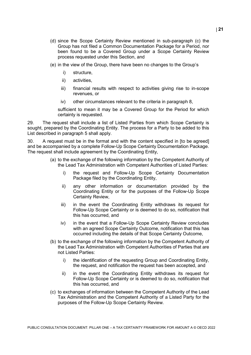- (d) since the Scope Certainty Review mentioned in sub-paragraph (c) the Group has not filed a Common Documentation Package for a Period, nor been found to be a Covered Group under a Scope Certainty Review process requested under this Section, and
- (e) in the view of the Group, there have been no changes to the Group's
	- i) structure,
	- ii) activities,
	- iii) financial results with respect to activities giving rise to in-scope revenues, or
	- iv) other circumstances relevant to the criteria in paragraph 8,

sufficient to mean it may be a Covered Group for the Period for which certainty is requested.

29. The request shall include a list of Listed Parties from which Scope Certainty is sought, prepared by the Coordinating Entity. The process for a Party to be added to this List described in paragraph 5 shall apply.

30. A request must be in the format and with the content specified in [to be agreed] and be accompanied by a complete Follow-Up Scope Certainty Documentation Package. The request shall include agreement by the Coordinating Entity,

- (a) to the exchange of the following information by the Competent Authority of the Lead Tax Administration with Competent Authorities of Listed Parties:
	- i) the request and Follow-Up Scope Certainty Documentation Package filed by the Coordinating Entity,
	- ii) any other information or documentation provided by the Coordinating Entity or for the purposes of the Follow-Up Scope Certainty Review,
	- iii) in the event the Coordinating Entity withdraws its request for Follow-Up Scope Certainty or is deemed to do so, notification that this has occurred, and
	- iv) in the event that a Follow-Up Scope Certainty Review concludes with an agreed Scope Certainty Outcome, notification that this has occurred including the details of that Scope Certainty Outcome,
- (b) to the exchange of the following information by the Competent Authority of the Lead Tax Administration with Competent Authorities of Parties that are not Listed Parties:
	- i) the identification of the requesting Group and Coordinating Entity, the request, and notification the request has been accepted, and
	- ii) in the event the Coordinating Entity withdraws its request for Follow-Up Scope Certainty or is deemed to do so, notification that this has occurred, and
- (c) to exchanges of information between the Competent Authority of the Lead Tax Administration and the Competent Authority of a Listed Party for the purposes of the Follow-Up Scope Certainty Review.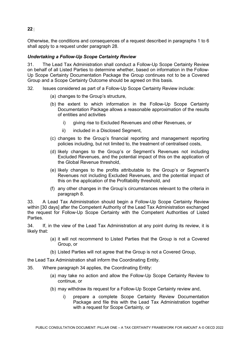Otherwise, the conditions and consequences of a request described in paragraphs 1 to 6 shall apply to a request under paragraph 28.

## *Undertaking a Follow-Up Scope Certainty Review*

31. The Lead Tax Administration shall conduct a Follow-Up Scope Certainty Review on behalf of all Listed Parties to determine whether, based on information in the Follow-Up Scope Certainty Documentation Package the Group continues not to be a Covered Group and a Scope Certainty Outcome should be agreed on this basis.

- 32. Issues considered as part of a Follow-Up Scope Certainty Review include:
	- (a) changes to the Group's structure,
	- (b) the extent to which information in the Follow-Up Scope Certainty Documentation Package allows a reasonable approximation of the results of entities and activities
		- i) giving rise to Excluded Revenues and other Revenues, or
		- ii) included in a Disclosed Segment,
	- (c) changes to the Group's financial reporting and management reporting policies including, but not limited to, the treatment of centralised costs,
	- (d) likely changes to the Group's or Segment's Revenues not including Excluded Revenues, and the potential impact of this on the application of the Global Revenue threshold,
	- (e) likely changes to the profits attributable to the Group's or Segment's Revenues not including Excluded Revenues, and the potential impact of this on the application of the Profitability threshold, and
	- (f) any other changes in the Group's circumstances relevant to the criteria in paragraph 8.

33. A Lead Tax Administration should begin a Follow-Up Scope Certainty Review within [30 days] after the Competent Authority of the Lead Tax Administration exchanged the request for Follow-Up Scope Certainty with the Competent Authorities of Listed Parties.

34. If, in the view of the Lead Tax Administration at any point during its review, it is likely that:

- (a) it will not recommend to Listed Parties that the Group is not a Covered Group, or
- (b) Listed Parties will not agree that the Group is not a Covered Group,

the Lead Tax Administration shall inform the Coordinating Entity.

- 35. Where paragraph 34 applies, the Coordinating Entity:
	- (a) may take no action and allow the Follow-Up Scope Certainty Review to continue, or
	- (b) may withdraw its request for a Follow-Up Scope Certainty review and,
		- i) prepare a complete Scope Certainty Review Documentation Package and file this with the Lead Tax Administration together with a request for Scope Certainty, or

**22** |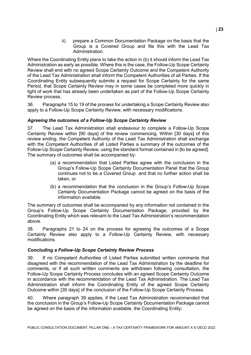ii) prepare a Common Documentation Package on the basis that the Group is a Covered Group and file this with the Lead Tax Administration.

Where the Coordinating Entity plans to take the action in (b) it should inform the Lead Tax Administration as early as possible. Where this is the case, the Follow-Up Scope Certainty Review shall end with no agreed Scope Certainty Outcome and the Competent Authority of the Lead Tax Administration shall inform the Competent Authorities of all Parties. If the Coordinating Entity subsequently submits a request for Scope Certainty for the same Period, that Scope Certainty Review may in some cases be completed more quickly in light of work that has already been undertaken as part of the Follow-Up Scope Certainty Review process.

36. Paragraphs 15 to 19 of the process for undertaking a Scope Certainty Review also apply to a Follow-Up Scope Certainty Review, with necessary modifications.

#### *Agreeing the outcomes of a Follow-Up Scope Certainty Review*

37. The Lead Tax Administration shall endeavour to complete a Follow-Up Scope Certainty Review within [90 days] of the review commencing. Within [30 days] of this review ending, the Competent Authority of the Lead Tax Administration shall exchange with the Competent Authorities of all Listed Parties a summary of the outcomes of the Follow-Up Scope Certainty Review, using the standard format contained in [to be agreed]. The summary of outcomes shall be accompanied by:

- (a) a recommendation that Listed Parties agree with the conclusion in the Group's Follow-Up Scope Certainty Documentation Panel that the Group continues not to be a Covered Group and that no further action shall be taken, or
- (b) a recommendation that the conclusion in the Group's Follow-Up Scope Certainty Documentation Package cannot be agreed on the basis of the information available.

The summary of outcomes shall be accompanied by any information not contained in the Group's Follow-Up Scope Certainty Documentation Package, provided by the Coordinating Entity which was relevant to the Lead Tax Administration's recommendation above.

38. Paragraphs 21 to 24 on the process for agreeing the outcomes of a Scope Certainty Review also apply to a Follow-Up Certainty Review, with necessary modifications.

#### *Concluding a Follow-Up Scope Certainty Review Process*

39. If no Competent Authorities of Listed Parties submitted written comments that disagreed with the recommendation of the Lead Tax Administration by the deadline for comments, or if all such written comments are withdrawn following consultation, the Follow-Up Scope Certainty Process concludes with an agreed Scope Certainty Outcome in accordance with the recommendation of the Lead Tax Administration. The Lead Tax Administration shall inform the Coordinating Entity of the agreed Scope Certainty Outcome within [30 days] of the conclusion of the Follow-Up Scope Certainty Process.

40. Where paragraph 39 applies, if the Lead Tax Administration recommended that the conclusion in the Group's Follow-Up Scope Certainty Documentation Package cannot be agreed on the basis of the information available, the Coordinating Entity: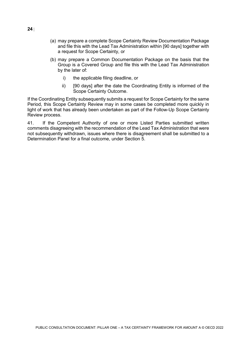- (a) may prepare a complete Scope Certainty Review Documentation Package and file this with the Lead Tax Administration within [90 days] together with a request for Scope Certainty, or
- (b) may prepare a Common Documentation Package on the basis that the Group is a Covered Group and file this with the Lead Tax Administration by the later of:
	- i) the applicable filing deadline, or
	- ii) [90 days] after the date the Coordinating Entity is informed of the Scope Certainty Outcome.

If the Coordinating Entity subsequently submits a request for Scope Certainty for the same Period, this Scope Certainty Review may in some cases be completed more quickly in light of work that has already been undertaken as part of the Follow-Up Scope Certainty Review process.

41. If the Competent Authority of one or more Listed Parties submitted written comments disagreeing with the recommendation of the Lead Tax Administration that were not subsequently withdrawn, issues where there is disagreement shall be submitted to a Determination Panel for a final outcome, under Section 5.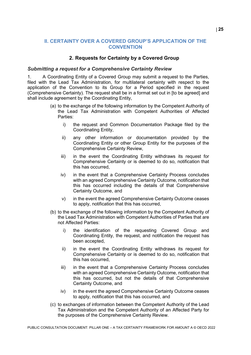## <span id="page-25-0"></span>**II. CERTAINTY OVER A COVERED GROUP'S APPLICATION OF THE CONVENTION**

#### **2. Requests for Certainty by a Covered Group**

#### <span id="page-25-1"></span>*Submitting a request for a Comprehensive Certainty Review*

1. A Coordinating Entity of a Covered Group may submit a request to the Parties, filed with the Lead Tax Administration, for multilateral certainty with respect to the application of the Convention to its Group for a Period specified in the request (Comprehensive Certainty). The request shall be in a format set out in [to be agreed] and shall include agreement by the Coordinating Entity,

- (a) to the exchange of the following information by the Competent Authority of the Lead Tax Administration with Competent Authorities of Affected Parties:
	- i) the request and Common Documentation Package filed by the Coordinating Entity,
	- ii) any other information or documentation provided by the Coordinating Entity or other Group Entity for the purposes of the Comprehensive Certainty Review,
	- iii) in the event the Coordinating Entity withdraws its request for Comprehensive Certainty or is deemed to do so, notification that this has occurred,
	- iv) in the event that a Comprehensive Certainty Process concludes with an agreed Comprehensive Certainty Outcome, notification that this has occurred including the details of that Comprehensive Certainty Outcome, and
	- v) in the event the agreed Comprehensive Certainty Outcome ceases to apply, notification that this has occurred,
- (b) to the exchange of the following information by the Competent Authority of the Lead Tax Administration with Competent Authorities of Parties that are not Affected Parties:
	- i) the identification of the requesting Covered Group and Coordinating Entity, the request, and notification the request has been accepted,
	- ii) in the event the Coordinating Entity withdraws its request for Comprehensive Certainty or is deemed to do so, notification that this has occurred,
	- iii) in the event that a Comprehensive Certainty Process concludes with an agreed Comprehensive Certainty Outcome, notification that this has occurred, but not the details of that Comprehensive Certainty Outcome, and
	- iv) in the event the agreed Comprehensive Certainty Outcome ceases to apply, notification that this has occurred, and
- (c) to exchanges of information between the Competent Authority of the Lead Tax Administration and the Competent Authority of an Affected Party for the purposes of the Comprehensive Certainty Review.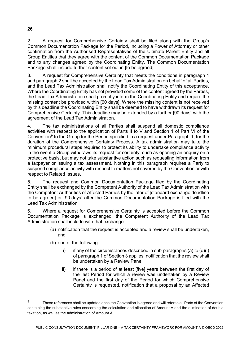2. A request for Comprehensive Certainty shall be filed along with the Group's Common Documentation Package for the Period, including a Power of Attorney or other confirmation from the Authorised Representatives of the Ultimate Parent Entity and all Group Entities that they agree with the content of the Common Documentation Package and to any changes agreed by the Coordinating Entity. The Common Documentation Package shall include further content set out in Ito be agreed].

3. A request for Comprehensive Certainty that meets the conditions in paragraph 1 and paragraph 2 shall be accepted by the Lead Tax Administration on behalf of all Parties, and the Lead Tax Administration shall notify the Coordinating Entity of this acceptance. Where the Coordinating Entity has not provided some of the content agreed by the Parties, the Lead Tax Administration shall promptly inform the Coordinating Entity and require the missing content be provided within [60 days]. Where the missing content is not received by this deadline the Coordinating Entity shall be deemed to have withdrawn its request for Comprehensive Certainty. This deadline may be extended by a further [90 days] with the agreement of the Lead Tax Administration.

4. The tax administrations of all Parties shall suspend all domestic compliance activities with respect to the application of Parts II to V and Section 1 of Part VI of the Convention<sup>[9](#page-26-0)</sup> to the Group for the Period specified in a request under Paragraph 1, for the duration of the Comprehensive Certainty Process. A tax administration may take the minimum procedural steps required to protect its ability to undertake compliance activity in the event a Group withdraws its request for certainty, such as opening an enquiry on a protective basis, but may not take substantive action such as requesting information from a taxpayer or issuing a tax assessment. Nothing in this paragraph requires a Party to suspend compliance activity with respect to matters not covered by the Convention or with respect to Related Issues.

5. The request and Common Documentation Package filed by the Coordinating Entity shall be exchanged by the Competent Authority of the Lead Tax Administration with the Competent Authorities of Affected Parties by the later of [standard exchange deadline to be agreed] or [90 days] after the Common Documentation Package is filed with the Lead Tax Administration.

6. Where a request for Comprehensive Certainty is accepted before the Common Documentation Package is exchanged, the Competent Authority of the Lead Tax Administration shall include with that exchange:

- (a) notification that the request is accepted and a review shall be undertaken, and
- (b) one of the following:
	- i) if any of the circumstances described in sub-paragraphs  $(a)$  to  $(d)(i)$ of paragraph 1 of Section 3 applies, notification that the review shall be undertaken by a Review Panel,
	- ii) if there is a period of at least [five] years between the first day of the last Period for which a review was undertaken by a Review Panel and the first day of the Period for which Comprehensive Certainty is requested, notification that a proposal by an Affected

## **26** |

<span id="page-26-0"></span> $\mathsf{q}$ These references shall be updated once the Convention is agreed and will refer to all Parts of the Convention containing the substantive rules concerning the calculation and allocation of Amount A and the elimination of double taxation, as well as the administration of Amount A.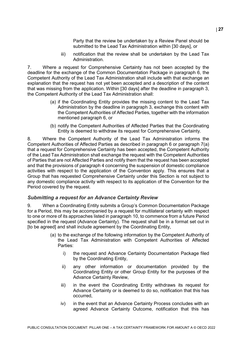Party that the review be undertaken by a Review Panel should be submitted to the Lead Tax Administration within [30 days], or

iii) notification that the review shall be undertaken by the Lead Tax Administration.

7. Where a request for Comprehensive Certainty has not been accepted by the deadline for the exchange of the Common Documentation Package in paragraph 6, the Competent Authority of the Lead Tax Administration shall include with that exchange an explanation that the request has not yet been accepted and a description of the content that was missing from the application. Within [30 days] after the deadline in paragraph 3, the Competent Authority of the Lead Tax Administration shall:

- (a) if the Coordinating Entity provides the missing content to the Lead Tax Administration by the deadline in paragraph 3, exchange this content with the Competent Authorities of Affected Parties, together with the information mentioned paragraph 6, or
- (b) notify the Competent Authorities of Affected Parties that the Coordinating Entity is deemed to withdraw its request for Comprehensive Certainty.

8. Where the Competent Authority of the Lead Tax Administration informs the Competent Authorities of Affected Parties as described in paragraph 6 or paragraph 7(a) that a request for Comprehensive Certainty has been accepted, the Competent Authority of the Lead Tax Administration shall exchange the request with the Competent Authorities of Parties that are not Affected Parties and notify them that the request has been accepted and that the provisions of paragraph 4 concerning the suspension of domestic compliance activities with respect to the application of the Convention apply. This ensures that a Group that has requested Comprehensive Certainty under this Section is not subject to any domestic compliance activity with respect to its application of the Convention for the Period covered by the request.

#### *Submitting a request for an Advance Certainty Review*

9. When a Coordinating Entity submits a Group's Common Documentation Package for a Period, this may be accompanied by a request for multilateral certainty with respect to one or more of its approaches listed in paragraph 10, to commence from a future Period specified in the request (Advance Certainty). The request shall be in a format set out in [to be agreed] and shall include agreement by the Coordinating Entity,

- (a) to the exchange of the following information by the Competent Authority of the Lead Tax Administration with Competent Authorities of Affected Parties:
	- i) the request and Advance Certainty Documentation Package filed by the Coordinating Entity,
	- ii) any other information or documentation provided by the Coordinating Entity or other Group Entity for the purposes of the Advance Certainty Review,
	- iii) in the event the Coordinating Entity withdraws its request for Advance Certainty or is deemed to do so, notification that this has occurred,
	- iv) in the event that an Advance Certainty Process concludes with an agreed Advance Certainty Outcome, notification that this has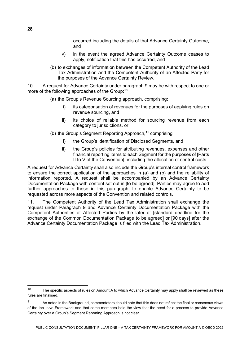occurred including the details of that Advance Certainty Outcome, and

- v) in the event the agreed Advance Certainty Outcome ceases to apply, notification that this has occurred, and
- (b) to exchanges of information between the Competent Authority of the Lead Tax Administration and the Competent Authority of an Affected Party for the purposes of the Advance Certainty Review.

10. A request for Advance Certainty under paragraph 9 may be with respect to one or more of the following approaches of the Group: $^{\rm 10}$  $^{\rm 10}$  $^{\rm 10}$ 

- (a) the Group's Revenue Sourcing approach, comprising:
	- i) its categorisation of revenues for the purposes of applying rules on revenue sourcing, and
	- ii) its choice of reliable method for sourcing revenue from each category to jurisdictions, or
- (b) the Group's Segment Reporting Approach,  $11$  comprising
	- i) the Group's identification of Disclosed Segments, and
	- ii) the Group's policies for attributing revenues, expenses and other financial reporting items to each Segment for the purposes of [Parts II to V of the Convention], including the allocation of central costs.

A request for Advance Certainty shall also include the Group's internal control framework to ensure the correct application of the approaches in (a) and (b) and the reliability of information reported. A request shall be accompanied by an Advance Certainty Documentation Package with content set out in [to be agreed]. Parties may agree to add further approaches to those in this paragraph, to enable Advance Certainty to be requested across more aspects of the Convention and related controls.

11. The Competent Authority of the Lead Tax Administration shall exchange the request under Paragraph 9 and Advance Certainty Documentation Package with the Competent Authorities of Affected Parties by the later of [standard deadline for the exchange of the Common Documentation Package to be agreed] or [90 days] after the Advance Certainty Documentation Package is filed with the Lead Tax Administration.

PUBLIC CONSULTATION DOCUMENT: PILLAR ONE – A TAX CERTAINTY FRAMEWORK FOR AMOUNT A © OECD 2022

<span id="page-28-0"></span> $10$ The specific aspects of rules on Amount A to which Advance Certainty may apply shall be reviewed as these rules are finalised.

<span id="page-28-1"></span><sup>&</sup>lt;sup>11</sup> As noted in the Background, commentators should note that this does not reflect the final or consensus views of the Inclusive Framework and that some members hold the view that the need for a process to provide Advance Certainty over a Group's Segment Reporting Approach is not clear.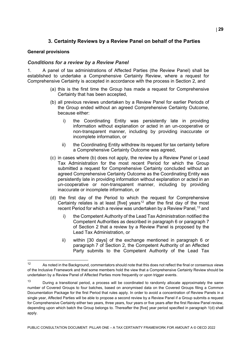# **3. Certainty Reviews by a Review Panel on behalf of the Parties**

#### <span id="page-29-0"></span>**General provisions**

#### *Conditions for a review by a Review Panel*

1. A panel of tax administrations of Affected Parties (the Review Panel) shall be established to undertake a Comprehensive Certainty Review, where a request for Comprehensive Certainty is accepted in accordance with the process in Section 2, and

- (a) this is the first time the Group has made a request for Comprehensive Certainty that has been accepted,
- (b) all previous reviews undertaken by a Review Panel for earlier Periods of the Group ended without an agreed Comprehensive Certainty Outcome, because either:
	- i) the Coordinating Entity was persistently late in providing information without explanation or acted in an un-cooperative or non-transparent manner, including by providing inaccurate or incomplete information, or
	- ii) the Coordinating Entity withdrew its request for tax certainty before a Comprehensive Certainty Outcome was agreed,
- (c) in cases where (b) does not apply, the review by a Review Panel or Lead Tax Administration for the most recent Period for which the Group submitted a request for Comprehensive Certainty concluded without an agreed Comprehensive Certainty Outcome as the Coordinating Entity was persistently late in providing information without explanation or acted in an un-cooperative or non-transparent manner, including by providing inaccurate or incomplete information, or
- (d) the first day of the Period to which the request for Comprehensive Certainty relates is at least [five] years<sup>[12](#page-29-1)</sup> after the first day of the most recent Period for which a review was undertaken by a Review Panel, <sup>[13](#page-29-2)</sup> and
	- i) the Competent Authority of the Lead Tax Administration notified the Competent Authorities as described in paragraph 6 or paragraph 7 of Section 2 that a review by a Review Panel is proposed by the Lead Tax Administration, or
	- ii) within [30 days] of the exchange mentioned in paragraph 6 or paragraph 7 of Section 2, the Competent Authority of an Affected Party submits to the Competent Authority of the Lead Tax

<span id="page-29-1"></span> $12$ As noted in the Background, commentators should note that this does not reflect the final or consensus views of the Inclusive Framework and that some members hold the view that a Comprehensive Certainty Review should be undertaken by a Review Panel of Affected Parties more frequently or upon trigger events.

<span id="page-29-2"></span><sup>&</sup>lt;sup>13</sup> During a transitional period, a process will be coordinated to randomly allocate approximately the same number of Covered Groups to four batches, based on anonymised data on the Covered Groups filing a Common Documentation Package for the first Period that rules apply. In order to avoid a concentration of Review Panels in a single year, Affected Parties will be able to propose a second review by a Review Panel if a Group submits a request for Comprehensive Certainty either two years, three years, four years or five years after the first Review Panel review, depending upon which batch the Group belongs to. Thereafter the [five] year period specified in paragraph 1(d) shall apply.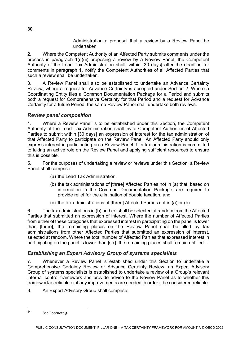Administration a proposal that a review by a Review Panel be undertaken.

2. Where the Competent Authority of an Affected Party submits comments under the process in paragraph 1(d)(ii) proposing a review by a Review Panel, the Competent Authority of the Lead Tax Administration shall, within [30 days] after the deadline for comments in paragraph 1, notify the Competent Authorities of all Affected Parties that such a review shall be undertaken.

3. A Review Panel shall also be established to undertake an Advance Certainty Review, where a request for Advance Certainty is accepted under Section 2. Where a Coordinating Entity files a Common Documentation Package for a Period and submits both a request for Comprehensive Certainty for that Period and a request for Advance Certainty for a future Period, the same Review Panel shall undertake both reviews.

# *Review panel composition*

4. Where a Review Panel is to be established under this Section, the Competent Authority of the Lead Tax Administration shall invite Competent Authorities of Affected Parties to submit within [30 days] an expression of interest for the tax administration of that Affected Party to participate on the Review Panel. An Affected Party should only express interest in participating on a Review Panel if its tax administration is committed to taking an active role on the Review Panel and applying sufficient resources to ensure this is possible.

5. For the purposes of undertaking a review or reviews under this Section, a Review Panel shall comprise:

- (a) the Lead Tax Administration,
- (b) the tax administrations of [three] Affected Parties not in (a) that, based on information in the Common Documentation Package, are required to provide relief for the elimination of double taxation, and
- (c) the tax administrations of [three] Affected Parties not in (a) or (b).

6. The tax administrations in (b) and (c) shall be selected at random from the Affected Parties that submitted an expression of interest. Where the number of Affected Parties from either of these categories that expressed interest in participating on the panel is lower than [three], the remaining places on the Review Panel shall be filled by tax administrations from other Affected Parties that submitted an expression of interest, selected at random. Where the total number of Affected Parties that expressed interest in participating on the panel is lower than [six], the remaining places shall remain unfilled.<sup>[14](#page-30-0)</sup>

# *Establishing an Expert Advisory Group of systems specialists*

7. Whenever a Review Panel is established under this Section to undertake a Comprehensive Certainty Review or Advance Certainty Review, an Expert Advisory Group of systems specialists is established to undertake a review of a Group's relevant internal control framework and provide advice to the Review Panel as to whether this framework is reliable or if any improvements are needed in order it be considered reliable.

8. An Expert Advisory Group shall comprise:

<span id="page-30-0"></span>See Footnote 5.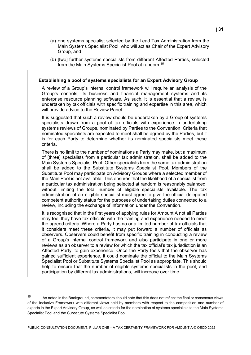- (a) one systems specialist selected by the Lead Tax Administration from the Main Systems Specialist Pool, who will act as Chair of the Expert Advisory Group, and
- (b) [two] further systems specialists from different Affected Parties, selected from the Main Systems Specialist Pool at random.<sup>[15](#page-31-0)</sup>

#### **Establishing a pool of systems specialists for an Expert Advisory Group**

A review of a Group's internal control framework will require an analysis of the Group's controls, its business and financial management systems and its enterprise resource planning software. As such, it is essential that a review is undertaken by tax officials with specific training and expertise in this area, which will provide advice to the Review Panel.

It is suggested that such a review should be undertaken by a Group of systems specialists drawn from a pool of tax officials with experience in undertaking systems reviews of Groups, nominated by Parties to the Convention. Criteria that nominated specialists are expected to meet shall be agreed by the Parties, but it is for each Party to determine whether its nominated specialists meet these criteria.

There is no limit to the number of nominations a Party may make, but a maximum of [three] specialists from a particular tax administration, shall be added to the Main Systems Specialist Pool. Other specialists from the same tax administration shall be added to the Substitute Systems Specialist Pool. Members of the Substitute Pool may participate on Advisory Groups where a selected member of the Main Pool is not available. This ensures that the likelihood of a specialist from a particular tax administration being selected at random is reasonably balanced, without limiting the total number of eligible specialists available. The tax administration of an eligible specialist must agree to give the official delegated competent authority status for the purposes of undertaking duties connected to a review, including the exchange of information under the Convention.

It is recognised that in the first years of applying rules for Amount A not all Parties may feel they have tax officials with the training and experience needed to meet the agreed criteria. Where a Party has no or a limited number of tax officials that it considers meet these criteria, it may put forward a number of officials as observers. Observers could benefit from specific training in conducting a review of a Group's internal control framework and also participate in one or more reviews as an observer to a review for which the tax official's tax jurisdiction is an Affected Party, to gain experience. Once the Party feels that the observer has gained sufficient experience, it could nominate the official to the Main Systems Specialist Pool or Substitute Systems Specialist Pool as appropriate. This should help to ensure that the number of eligible systems specialists in the pool, and participation by different tax administrations, will increase over time.

<span id="page-31-0"></span> $15$ As noted in the Background, commentators should note that this does not reflect the final or consensus views of the Inclusive Framework with different views held by members with respect to the composition and number of experts in the Expert Advisory Group, as well as criteria for the nomination of systems specialists to the Main Systems Specialist Pool and the Substitute Systems Specialist Pool.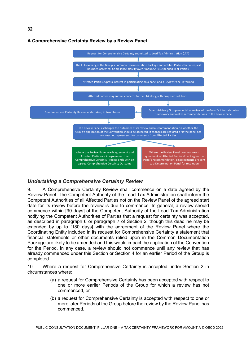#### **A Comprehensive Certainty Review by a Review Panel**

**32** |



# *Undertaking a Comprehensive Certainty Review*

9. A Comprehensive Certainty Review shall commence on a date agreed by the Review Panel. The Competent Authority of the Lead Tax Administration shall inform the Competent Authorities of all Affected Parties not on the Review Panel of the agreed start date for its review before the review is due to commence. In general, a review should commence within [90 days] of the Competent Authority of the Lead Tax Administration notifying the Competent Authorities of Parties that a request for certainty was accepted, as described in paragraph 6 or paragraph 7 of Section 2, though this deadline may be extended by up to [180 days] with the agreement of the Review Panel where the Coordinating Entity included in its request for Comprehensive Certainty a statement that financial statements or other documents relied upon in the Common Documentation Package are likely to be amended and this would impact the application of the Convention for the Period. In any case, a review should not commence until any review that has already commenced under this Section or Section 4 for an earlier Period of the Group is completed.

10. Where a request for Comprehensive Certainty is accepted under Section 2 in circumstances where:

- (a) a request for Comprehensive Certainty has been accepted with respect to one or more earlier Periods of the Group for which a review has not commenced, or
- (b) a request for Comprehensive Certainty is accepted with respect to one or more later Periods of the Group before the review by the Review Panel has commenced,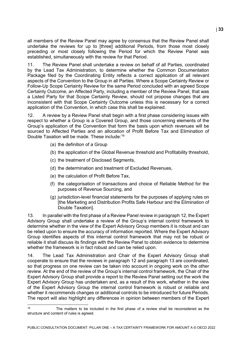all members of the Review Panel may agree by consensus that the Review Panel shall undertake the reviews for up to [three] additional Periods, from those most closely preceding or most closely following the Period for which the Review Panel was established, simultaneously with the review for that Period.

11. The Review Panel shall undertake a review on behalf of all Parties, coordinated by the Lead Tax Administration, to determine whether the Common Documentation Package filed by the Coordinating Entity reflects a correct application of all relevant aspects of the Convention to the Group in all Parties. Where a Scope Certainty Review or Follow-Up Scope Certainty Review for the same Period concluded with an agreed Scope Certainty Outcome, an Affected Party, including a member of the Review Panel, that was a Listed Party for that Scope Certainty Review, should not propose changes that are inconsistent with that Scope Certainty Outcome unless this is necessary for a correct application of the Convention, in which case this shall be explained.

12. A review by a Review Panel shall begin with a first phase considering issues with respect to whether a Group is a Covered Group, and those concerning elements of the Group's application of the Convention that form the basis upon which revenues will be sourced to Affected Parties and an allocation of Profit Before Tax and Elimination of Double Taxation will be made. These include:[16](#page-33-0)

- (a) the definition of a Group
- (b) the application of the Global Revenue threshold and Profitability threshold,
- (c) the treatment of Disclosed Segments,
- (d) the determination and treatment of Excluded Revenues,
- (e) the calculation of Profit Before Tax,
- (f) the categorisation of transactions and choice of Reliable Method for the purposes of Revenue Sourcing, and
- (g) jurisdiction-level financial statements for the purposes of applying rules on [the Marketing and Distribution Profits Safe Harbour and the Elimination of Double Taxation].

13. In parallel with the first phase of a Review Panel review in paragraph 12, the Expert Advisory Group shall undertake a review of the Group's internal control framework to determine whether in the view of the Expert Advisory Group members it is robust and can be relied upon to ensure the accuracy of information reported. Where the Expert Advisory Group identifies aspects of this internal control framework that may not be robust or reliable it shall discuss its findings with the Review Panel to obtain evidence to determine whether the framework is in fact robust and can be relied upon.

14. The Lead Tax Administration and Chair of the Expert Advisory Group shall cooperate to ensure that the reviews in paragraph 12 and paragraph 13 are coordinated, so that progress on one review can be taken into account in ongoing work on the other review. At the end of the review of the Group's internal control framework, the Chair of the Expert Advisory Group shall provide a report to the Review Panel setting out the work the Expert Advisory Group has undertaken and, as a result of this work, whether in the view of the Expert Advisory Group the internal control framework is robust or reliable and whether it recommends changes or additional controls to be introduced for future Periods. The report will also highlight any differences in opinion between members of the Expert

<span id="page-33-0"></span> $16$ <sup>16</sup> The matters to be included in the first phase of a review shall be reconsidered as the structure and content of rules is agreed.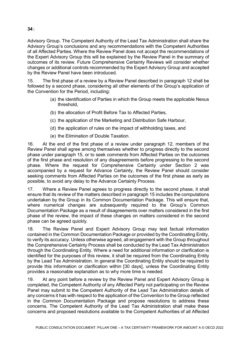Advisory Group. The Competent Authority of the Lead Tax Administration shall share the Advisory Group's conclusions and any recommendations with the Competent Authorities of all Affected Parties. Where the Review Panel does not accept the recommendations of the Expert Advisory Group this will be explained by the Review Panel in the summary of outcomes of its review. Future Comprehensive Certainty Reviews will consider whether changes or additional controls recommended by the Expert Advisory Group and accepted by the Review Panel have been introduced.

15. The first phase of a review by a Review Panel described in paragraph 12 shall be followed by a second phase, considering all other elements of the Group's application of the Convention for the Period, including:

- (a) the identification of Parties in which the Group meets the applicable Nexus threshold,
- (b) the allocation of Profit Before Tax to Affected Parties,
- (c) the application of the Marketing and Distribution Safe Harbour,
- (d) the application of rules on the impact of withholding taxes, and
- (e) the Elimination of Double Taxation.

16. At the end of the first phase of a review under paragraph 12, members of the Review Panel shall agree among themselves whether to progress directly to the second phase under paragraph 15, or to seek comments from Affected Parties on the outcomes of the first phase and resolution of any disagreements before progressing to the second phase. Where the request for Comprehensive Certainty under Section 2 was accompanied by a request for Advance Certainty, the Review Panel should consider seeking comments from Affected Parties on the outcomes of the first phase as early as possible, to avoid any delay to the Advance Certainty Process.

17. Where a Review Panel agrees to progress directly to the second phase, it shall ensure that its review of the matters described in paragraph 15 includes the computations undertaken by the Group in its Common Documentation Package. This will ensure that, where numerical changes are subsequently required to the Group's Common Documentation Package as a result of disagreements over matters considered in the first phase of the review, the impact of these changes on matters considered in the second phase can be agreed quickly.

18. The Review Panel and Expert Advisory Group may test factual information contained in the Common Documentation Package or provided by the Coordinating Entity, to verify its accuracy. Unless otherwise agreed, all engagement with the Group throughout the Comprehensive Certainty Process shall be conducted by the Lead Tax Administration through the Coordinating Entity. Where a need for additional information or clarification is identified for the purposes of this review, it shall be required from the Coordinating Entity by the Lead Tax Administration. In general the Coordinating Entity should be required to provide this information or clarification within [30 days], unless the Coordinating Entity provides a reasonable explanation as to why more time is needed.

19. At any point before a review by the Review Panel and Expert Advisory Group is completed, the Competent Authority of any Affected Party not participating on the Review Panel may submit to the Competent Authority of the Lead Tax Administration details of any concerns it has with respect to the application of the Convention to the Group reflected in the Common Documentation Package and propose resolutions to address these concerns. The Competent Authority of the Lead Tax Administration shall make these concerns and proposed resolutions available to the Competent Authorities of all Affected

#### **34** |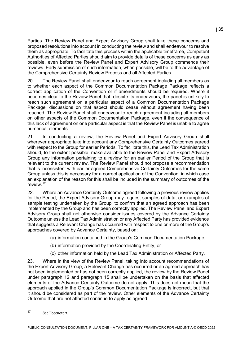Parties. The Review Panel and Expert Advisory Group shall take these concerns and proposed resolutions into account in conducting the review and shall endeavour to resolve them as appropriate. To facilitate this process within the applicable timeframe, Competent Authorities of Affected Parties should aim to provide details of these concerns as early as possible, even before the Review Panel and Expert Advisory Group commence their reviews. Early submission of such information, when possible, will be to the advantage of the Comprehensive Certainty Review Process and all Affected Parties.

20. The Review Panel shall endeavour to reach agreement including all members as to whether each aspect of the Common Documentation Package Package reflects a correct application of the Convention or if amendments should be required. Where it becomes clear to the Review Panel that, despite its endeavours, the panel is unlikely to reach such agreement on a particular aspect of a Common Documentation Package Package, discussions on that aspect should cease without agreement having been reached. The Review Panel shall endeavour to reach agreement including all members on other aspects of the Common Documentation Package, even if the consequence of this lack of agreement on one particular aspect is that the Review Panel is unable to agree numerical elements.

21. In conducting a review, the Review Panel and Expert Advisory Group shall wherever appropriate take into account any Comprehensive Certainty Outcomes agreed with respect to the Group for earlier Periods. To facilitate this, the Lead Tax Administration should, to the extent possible, make available to the Review Panel and Expert Advisory Group any information pertaining to a review for an earlier Period of the Group that is relevant to the current review. The Review Panel should not propose a recommendation that is inconsistent with earlier agreed Comprehensive Certainty Outcomes for the same Group unless this is necessary for a correct application of the Convention, in which case an explanation of the reason for this shall be included in the summary of outcomes of the review.[17](#page-35-0)

22. Where an Advance Certainty Outcome agreed following a previous review applies for the Period, the Expert Advisory Group may request samples of data, or examples of sample testing undertaken by the Group, to confirm that an agreed approach has been implemented by the Group and has been correctly applied. The Review Panel and Expert Advisory Group shall not otherwise consider issues covered by the Advance Certainty Outcome unless the Lead Tax Administration or any Affected Party has provided evidence that suggests a Relevant Change has occurred with respect to one or more of the Group's approaches covered by Advance Certainty, based on:

- (a) information contained in the Group's Common Documentation Package,
- (b) information provided by the Coordinating Entity, or
- (c) other information held by the Lead Tax Administration or Affected Party.

23. Where in the view of the Review Panel, taking into account recommendations of the Expert Advisory Group, a Relevant Change has occurred or an agreed approach has not been implemented or has not been correctly applied, the review by the Review Panel under paragraph 12 and paragraph 15 shall be undertaken on the basis that affected elements of the Advance Certainty Outcome do not apply. This does not mean that the approach applied in the Group's Common Documentation Package is incorrect, but that it should be considered as part of the review. Other elements of the Advance Certainty Outcome that are not affected continue to apply as agreed.

<span id="page-35-0"></span> $17$ See Footnote 7.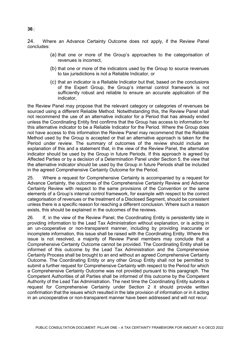24. Where an Advance Certainty Outcome does not apply, if the Review Panel concludes:

- (a) that one or more of the Group's approaches to the categorisation of revenues is incorrect,
- (b) that one or more of the indicators used by the Group to source revenues to tax jurisdictions is not a Reliable Indicator, or
- (c) that an indicator is a Reliable Indicator but that, based on the conclusions of the Expert Group, the Group's internal control framework is not sufficiently robust and reliable to ensure an accurate application of the indicator,

the Review Panel may propose that the relevant category or categories of revenues be sourced using a different Reliable Method. Notwithstanding this, the Review Panel shall not recommend the use of an alternative indicator for a Period that has already ended unless the Coordinating Entity first confirms that the Group has access to information for this alternative indicator to be a Reliable Indicator for the Period. Where the Group does not have access to this information the Review Panel may recommend that the Reliable Method used by the Group is accepted or that an alternative approach is taken for the Period under review. The summary of outcomes of the review should include an explanation of this and a statement that, in the view of the Review Panel, the alternative indicator should be used by the Group in future Periods. If this approach is agreed by Affected Parties or by a decision of a Determination Panel under Section 5, the view that the alternative indicator should be used by the Group in future Periods shall be included in the agreed Comprehensive Certainty Outcome for the Period.

25. Where a request for Comprehensive Certainty is accompanied by a request for Advance Certainty, the outcomes of the Comprehensive Certainty Review and Advance Certainty Review with respect to the same provisions of the Convention or the same elements of a Group's internal control framework, for example with respect to the correct categorisation of revenues or the treatment of a Disclosed Segment, should be consistent unless there is a specific reason for reaching a different conclusion. Where such a reason exists, this should be explained in the outcomes of the reviews.

26. If, in the view of the Review Panel, the Coordinating Entity is persistently late in providing information to the Lead Tax Administration without explanation, or is acting in an un-cooperative or non-transparent manner, including by providing inaccurate or incomplete information, this issue shall be raised with the Coordinating Entity. Where this issue is not resolved, a majority of Review Panel members may conclude that a Comprehensive Certainty Outcome cannot be provided. The Coordinating Entity shall be informed of this outcome by the Lead Tax Administration and the Comprehensive Certainty Process shall be brought to an end without an agreed Comprehensive Certainty Outcome. The Coordinating Entity or any other Group Entity shall not be permitted to submit a further request for Comprehensive Certainty with respect to the Period for which a Comprehensive Certainty Outcome was not provided pursuant to this paragraph. The Competent Authorities of all Parties shall be informed of this outcome by the Competent Authority of the Lead Tax Administration. The next time the Coordinating Entity submits a request for Comprehensive Certainty under Section 2 it should provide written confirmation that the issues which resulted in the late provision of information or in it acting in an uncooperative or non-transparent manner have been addressed and will not recur.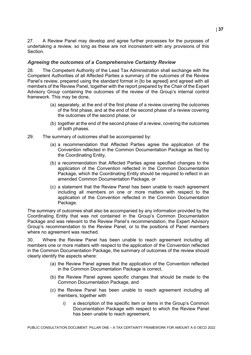27. A Review Panel may develop and agree further processes for the purposes of undertaking a review, so long as these are not inconsistent with any provisions of this Section.

## *Agreeing the outcomes of a Comprehensive Certainty Review*

28. The Competent Authority of the Lead Tax Administration shall exchange with the Competent Authorities of all Affected Parties a summary of the outcomes of the Review Panel's review, prepared using the standard format in [to be agreed] and agreed with all members of the Review Panel, together with the report prepared by the Chair of the Expert Advisory Group containing the outcomes of the review of the Group's internal control framework. This may be done,

- (a) separately, at the end of the first phase of a review covering the outcomes of the first phase, and at the end of the second phase of a review covering the outcomes of the second phase, or
- (b) together at the end of the second phase of a review, covering the outcomes of both phases.
- 29. The summary of outcomes shall be accompanied by:
	- (a) a recommendation that Affected Parties agree the application of the Convention reflected in the Common Documentation Package as filed by the Coordinating Entity,
	- (b) a recommendation that Affected Parties agree specified changes to the application of the Convention reflected in the Common Documentation Package, which the Coordinating Entity should be required to reflect in an amended Common Documentation Package, or
	- (c) a statement that the Review Panel has been unable to reach agreement including all members on one or more matters with respect to the application of the Convention reflected in the Common Documentation Package.

The summary of outcomes shall also be accompanied by any information provided by the Coordinating Entity that was not contained in the Group's Common Documentation Package and was relevant to the Review Panel's recommendation, the Expert Advisory Group's recommendation to the Review Panel, or to the positions of Panel members where no agreement was reached.

30. Where the Review Panel has been unable to reach agreement including all members one or more matters with respect to the application of the Convention reflected in the Common Documentation Package, the summary of outcomes of the review should clearly identify the aspects where:

- (a) the Review Panel agrees that the application of the Convention reflected in the Common Documentation Package is correct,
- (b) the Review Panel agrees specific changes that should be made to the Common Documentation Package, and
- (c) the Review Panel has been unable to reach agreement including all members, together with
	- i) a description of the specific item or items in the Group's Common Documentation Package with respect to which the Review Panel has been unable to reach agreement,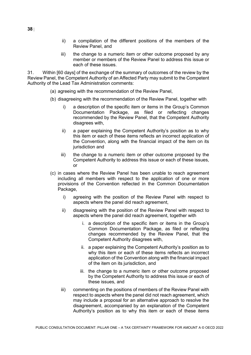- ii) a compilation of the different positions of the members of the Review Panel, and
- iii) the change to a numeric item or other outcome proposed by any member or members of the Review Panel to address this issue or each of these issues.

31. Within [60 days] of the exchange of the summary of outcomes of the review by the Review Panel, the Competent Authority of an Affected Party may submit to the Competent Authority of the Lead Tax Administration comments:

- (a) agreeing with the recommendation of the Review Panel,
- (b) disagreeing with the recommendation of the Review Panel, together with
	- i) a description of the specific item or items in the Group's Common Documentation Package, as filed or reflecting changes recommended by the Review Panel, that the Competent Authority disagrees with,
	- ii) a paper explaining the Competent Authority's position as to why this item or each of these items reflects an incorrect application of the Convention, along with the financial impact of the item on its jurisdiction and
	- iii) the change to a numeric item or other outcome proposed by the Competent Authority to address this issue or each of these issues, or
- (c) in cases where the Review Panel has been unable to reach agreement including all members with respect to the application of one or more provisions of the Convention reflected in the Common Documentation Package,
	- i) agreeing with the position of the Review Panel with respect to aspects where the panel did reach agreement,
	- ii) disagreeing with the position of the Review Panel with respect to aspects where the panel did reach agreement, together with
		- i. a description of the specific item or items in the Group's Common Documentation Package, as filed or reflecting changes recommended by the Review Panel, that the Competent Authority disagrees with,
		- ii. a paper explaining the Competent Authority's position as to why this item or each of these items reflects an incorrect application of the Convention along with the financial impact of the item on its jurisdiction, and
		- iii. the change to a numeric item or other outcome proposed by the Competent Authority to address this issue or each of these issues, and
	- iii) commenting on the positions of members of the Review Panel with respect to aspects where the panel did not reach agreement, which may include a proposal for an alternative approach to resolve the disagreement, accompanied by an explanation of the Competent Authority's position as to why this item or each of these items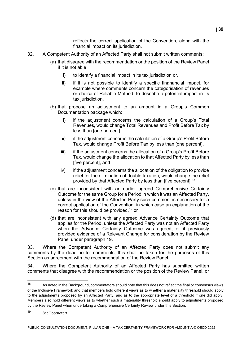reflects the correct application of the Convention, along with the financial impact on its jurisdiction.

- 32. A Competent Authority of an Affected Party shall not submit written comments:
	- (a) that disagree with the recommendation or the position of the Review Panel if it is not able
		- i) to identify a financial impact in its tax jurisdiction or,
		- ii) if it is not possible to identify a specific finanancial impact, for example where comments concern the categorisation of revenues or choice of Reliable Method, to describe a potential impact in its tax jurisdiction,
	- (b) that propose an adjustment to an amount in a Group's Common Documentation package which:
		- i) if the adjustment concerns the calculation of a Group's Total Revenues, would change Total Revenues and Profit Before Tax by less than [one percent],
		- ii) if the adjustment concerns the calculation of a Group's Profit Before Tax, would change Profit Before Tax by less than [one percent],
		- iii) if the adjustment concerns the allocation of a Group's Profit Before Tax, would change the allocation to that Affected Party by less than [five percent], and
		- iv) if the adjustment concerns the allocation of the obligation to provide relief for the elimination of double taxation, would change the relief provided by that Affected Party by less than [five percent], <sup>[18](#page-39-0)</sup>
	- (c) that are inconsistent with an earlier agreed Comprehensive Certainty Outcome for the same Group for a Period in which it was an Affected Party, unless in the view of the Affected Party such comment is necessary for a correct application of the Convention, in which case an explanation of the reason for this should be provided, [19](#page-39-1) or
	- (d) that are inconsistent with any agreed Advance Certainty Outcome that applies for the Period, unless the Affected Party was not an Affected Party when the Advance Certainty Outcome was agreed, or it previously provided evidence of a Relevant Change for consideration by the Review Panel under paragraph 19.

33. Where the Competent Authority of an Affected Party does not submit any comments by the deadline for comments, this shall be taken for the purposes of this Section as agreement with the recommendation of the Review Panel.

34. Where the Competent Authority of an Affected Party has submitted written comments that disagree with the recommendation or the position of the Review Panel, or

<span id="page-39-0"></span><sup>18</sup> As noted in the Background, commentators should note that this does not reflect the final or consensus views of the Inclusive Framework and that members hold different views as to whether a materiality threshold should apply to the adjustments proposed by an Affected Party, and as to the appropriate level of a threshold if one did apply. Members also hold different views as to whether such a materiality threshold should apply to adjustments proposed by the Review Panel when undertaking a Comprehensive Certainty Review under this Section.

<span id="page-39-1"></span><sup>19</sup> See Footnote 7.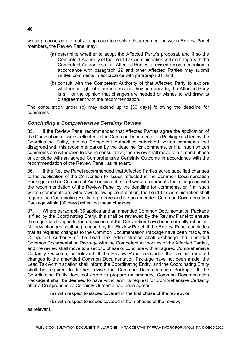which propose an alternative approach to resolve disagreement between Review Panel members, the Review Panel may:

- (a) determine whether to adopt the Affected Party's proposal, and if so the Competent Authority of the Lead Tax Administration will exchange with the Competent Authorities of all Affected Parties a revised recommendation in accordance with paragraph 29 and other Affected Parties may submit written comments in accordance with paragraph 31, and
- (b) consult with the Competent Authority of that Affected Party to explore whether, in light of other information they can provide, the Affected Party is still of the opinion that changes are needed or wishes to withdraw its disagreement with the recommendation.

The consultation under (b) may extend up to [30 days] following the deadline for comments.

### *Concluding a Comprehensive Certainty Review*

35. If the Review Panel recommended that Affected Parties agree the application of the Convention to issues reflected in the Common Documentation Package as filed by the Coordinating Entity, and no Competent Authorities submitted written comments that disagreed with this recommendation by the deadline for comments, or if all such written comments are withdrawn following consultation, the review shall move to a second phase or conclude with an agreed Comprehensive Certainty Outcome in accordance with the recommendation of the Review Panel, as relevant.

36. If the Review Panel recommended that Affected Parties agree specified changes to the application of the Convention to issues reflected in the Common Documentation Package, and no Competent Authorities submitted written comments that disagreed with the recommendation of the Review Panel by the deadline for comments, or if all such written comments are withdrawn following consultation, the Lead Tax Administration shall require the Coordinating Entity to prepare and file an amended Common Documentation Package within [90 days] reflecting these changes.

37. Where paragraph 36 applies and an amended Common Documentation Package is filed by the Coordinating Entity, this shall be reviewed by the Review Panel to ensure the required changes to the application of the Convention have been correctly reflected. No new changes shall be proposed by the Review Panel. If the Review Panel concludes that all required changes to the Common Documentation Package have been made, the Competent Authority of the Lead Tax Administration shall exchange the amended Common Documentation Package with the Competent Authorities of the Affected Parties, and the review shall move to a second phase or conclude with an agreed Comprehensive Certainty Outcome, as relevant. If the Review Panel concludes that certain required changes to the amended Common Documentation Package have not been made, the Lead Tax Administration shall inform the Coordinating Entity, and the Coordinating Entity shall be required to further revise the Common Documentation Package. If the Coordinating Entity does not agree to prepare an amended Common Documentation Package it shall be deemed to have withdrawn its request for Comprehensive Certainty after a Comprehensive Certainty Outcome had been agreed:

- (a) with respect to issues covered in the first phase of the review, or
- (b) with respect to issues covered in both phases of the review,

as relevant.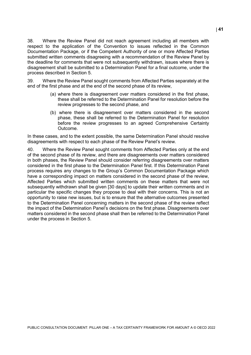38. Where the Review Panel did not reach agreement including all members with respect to the application of the Convention to issues reflected in the Common Documentation Package, or if the Competent Authority of one or more Affected Parties submitted written comments disagreeing with a recommendation of the Review Panel by the deadline for comments that were not subsequently withdrawn, issues where there is disagreement shall be submitted to a Determination Panel for a final outcome, under the process described in Section 5.

39. Where the Review Panel sought comments from Affected Parties separately at the end of the first phase and at the end of the second phase of its review,

- (a) where there is disagreement over matters considered in the first phase, these shall be referred to the Determination Panel for resolution before the review progresses to the second phase, and
- (b) where there is disagreement over matters considered in the second phase, these shall be referred to the Determination Panel for resolution before the review progresses to an agreed Comprehensive Certainty Outcome.

In these cases, and to the extent possible, the same Determination Panel should resolve disagreements with respect to each phase of the Review Panel's review.

40. Where the Review Panel sought comments from Affected Parties only at the end of the second phase of its review, and there are disagreements over matters considered in both phases, the Review Panel should consider referring disagreements over matters considered in the first phase to the Determination Panel first. If this Determination Panel process requires any changes to the Group's Common Documentation Package which have a corresponding impact on matters considered in the second phase of the review, Affected Parties which submitted written comments on these matters that were not subsequently withdrawn shall be given [30 days] to update their written comments and in particular the specific changes they propose to deal with their concerns. This is not an opportunity to raise new issues, but is to ensure that the alternative outcomes presented to the Determination Panel concerning matters in the second phase of the review reflect the impact of the Determination Panel's decisions on the first phase. Disagreements over matters considered in the second phase shall then be referred to the Determination Panel under the process in Section 5.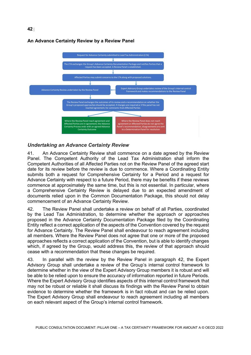

### **An Advance Certainty Review by a Review Panel**

**42** |

### *Undertaking an Advance Certainty Review*

41. An Advance Certainty Review shall commence on a date agreed by the Review Panel. The Competent Authority of the Lead Tax Administration shall inform the Competent Authorities of all Affected Parties not on the Review Panel of the agreed start date for its review before the review is due to commence. Where a Coordinating Entity submits both a request for Comprehensive Certainty for a Period and a request for Advance Certainty with respect to a future Period, there may be benefits if these reviews commence at approximately the same time, but this is not essential. In particular, where a Comprehensive Certainty Review is delayed due to an expected amendment of documents relied upon in the Common Documentation Package, this should not delay commencement of an Advance Certainty Review.

42. The Review Panel shall undertake a review on behalf of all Parties, coordinated by the Lead Tax Administration, to determine whether the approach or approaches proposed in the Advance Certainty Documentation Package filed by the Coordinating Entity reflect a correct application of the aspects of the Convention covered by the request for Advance Certainty. The Review Panel shall endeavour to reach agreement including all members. Where the Review Panel does not agree that one or more of the proposed approaches reflects a correct application of the Convention, but is able to identify changes which, if agreed by the Group, would address this, the review of that approach should cease with a recommendation that these changes be required.

43. In parallel with the review by the Review Panel in paragraph 42, the Expert Advisory Group shall undertake a review of the Group's internal control framework to determine whether in the view of the Expert Advisory Group members it is robust and will be able to be relied upon to ensure the accuracy of information reported in future Periods. Where the Expert Advisory Group identifies aspects of this internal control framework that may not be robust or reliable it shall discuss its findings with the Review Panel to obtain evidence to determine whether the framework is in fact robust and can be relied upon. The Expert Advisory Group shall endeavour to reach agreement including all members on each relevant aspect of the Group's internal control framework.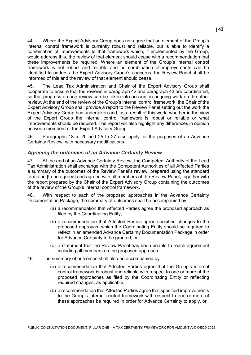44. Where the Expert Advisory Group does not agree that an element of the Group's internal control framework is currently robust and reliable, but is able to identify a combination of improvements to that framework which, if implemented by the Group, would address this, the review of that element should cease with a recommendation that these improvements be required. Where an element of the Group's internal control framework is not robust and reliable and no combination of improvements can be identified to address the Expert Advisory Group's concerns, the Review Panel shall be informed of this and the review of that element should cease.

45. The Lead Tax Administration and Chair of the Expert Advisory Group shall cooperate to ensure that the reviews in paragraph 42 and paragraph 43 are coordinated, so that progress on one review can be taken into account in ongoing work on the other review. At the end of the review of the Group's internal control framework, the Chair of the Expert Advisory Group shall provide a report to the Review Panel setting out the work the Expert Advisory Group has undertaken and, as a result of this work, whether in the view of the Expert Group the internal control framework is robust or reliable or what improvements should be required. The report will also highlight any differences in opinion between members of the Expert Advisory Group.

46. Paragraphs 18 to 20 and 25 to 27 also apply for the purposes of an Advance Certainty Review, with necessary modifications.

#### *Agreeing the outcomes of an Advance Certainty Review*

47. At the end of an Advance Certainty Review, the Competent Authority of the Lead Tax Administration shall exchange with the Competent Authorities of all Affected Parties a summary of the outcomes of the Review Panel's review, prepared using the standard format in [to be agreed] and agreed with all members of the Review Panel, together with the report prepared by the Chair of the Expert Advisory Group containing the outcomes of the review of the Group's internal control framework.

48. With respect to each of the proposed approaches in the Advance Certainty Documentation Package, the summary of outcomes shall be accompanied by:

- (a) a recommendation that Affected Parties agree the proposed approach as filed by the Coordinating Entity,
- (b) a recommendation that Affected Parties agree specified changes to the proposed approach, which the Coordinating Entity should be required to reflect in an amended Advance Certainty Documentation Package in order for Advance Certainty to be granted, or
- (c) a statement that the Review Panel has been unable to reach agreement including all members on the proposed approach.
- 49. The summary of outcomes shall also be accompanied by:
	- (a) a recommendation that Affected Parties agree that the Group's internal control framework is robust and reliable with respect to one or more of the proposed approaches as filed by the Coordinating Entity or reflecting required changes, as applicable,
	- (b) a recommendation that Affected Parties agree that specified improvements to the Group's internal control framework with respect to one or more of these approaches be required in order for Advance Certainty to apply, or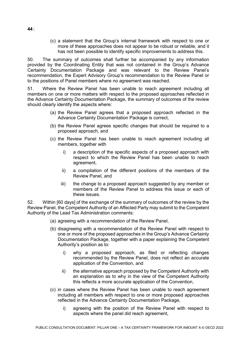(c) a statement that the Group's internal framework with respect to one or more of these approaches does not appear to be robust or reliable, and it has not been possible to identify specific improvements to address this.

50. The summary of outcomes shall further be accompanied by any information provided by the Coordinating Entity that was not contained in the Group's Advance Certainty Documentation Package and was relevant to the Review Panel's recommendation, the Expert Advisory Group's recommendation to the Review Panel or to the positions of Panel members where no agreement was reached.

51. Where the Review Panel has been unable to reach agreement including all members on one or more matters with respect to the proposed approaches reflected in the Advance Certainty Documentation Package, the summary of outcomes of the review should clearly identify the aspects where:

- (a) the Review Panel agrees that a proposed approach reflected in the Advance Certainty Documentation Package is correct,
- (b) the Review Panel agrees specific changes that should be required to a proposed approach, and
- (c) the Review Panel has been unable to reach agreement including all members, together with
	- i) a description of the specific aspects of a proposed approach with respect to which the Review Panel has been unable to reach agreement,
	- ii) a compilation of the different positions of the members of the Review Panel, and
	- iii) the change to a proposed approach suggested by any member or members of the Review Panel to address this issue or each of these issues.

52. Within [60 days] of the exchange of the summary of outcomes of the review by the Review Panel, the Competent Authority of an Affected Party may submit to the Competent Authority of the Lead Tax Administration comments:

- (a) agreeing with a recommendation of the Review Panel,
- (b) disagreeing with a recommendation of the Review Panel with respect to one or more of the proposed approaches in the Group's Advance Certainty Documentation Package, together with a paper explaining the Competent Authority's position as to:
	- i) why a proposed approach, as filed or reflecting changes recommended by the Review Panel, does not reflect an accurate application of the Convention, and
	- ii) the alternative approach proposed by the Competent Authority with an explanation as to why in the view of the Competent Authority this reflects a more accurate application of the Convention,
- (c) in cases where the Review Panel has been unable to reach agreement including all members with respect to one or more proposed approaches reflected in the Advance Certainty Documentation Package,
	- i) agreeing with the position of the Review Panel with respect to aspects where the panel did reach agreement,

**44** |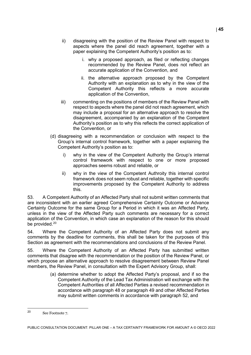- ii) disagreeing with the position of the Review Panel with respect to aspects where the panel did reach agreement, together with a paper explaining the Competent Authority's position as to:
	- i. why a proposed approach, as filed or reflecting changes recommended by the Review Panel, does not reflect an accurate application of the Convention, and
	- ii. the alternative approach proposed by the Competent Authority with an explanation as to why in the view of the Competent Authority this reflects a more accurate application of the Convention,
- iii) commenting on the positions of members of the Review Panel with respect to aspects where the panel did not reach agreement, which may include a proposal for an alternative approach to resolve the disagreement, accompanied by an explanation of the Competent Authority's position as to why this reflects the correct application of the Convention, or
- (d) disagreeing with a recommendation or conclusion with respect to the Group's internal control framework, together with a paper explaining the Competent Authority's position as to:
	- i) why in the view of the Competent Authority the Group's internal control framework with respect to one or more proposed approaches seems robust and reliable, or
	- ii) why in the view of the Competent Authroity this internal control framework does not seem robust and reliable, together with specific improvements proposed by the Competent Authority to address this.

53. A Competent Authority of an Affected Party shall not submit written comments that are inconsistent with an earlier agreed Comprehensive Certainty Outcome or Advance Certainty Outcome for the same Group for a Period in which it was an Affected Party, unless in the view of the Affected Party such comments are necessary for a correct application of the Convention, in which case an explanation of the reason for this should be provided.<sup>[20](#page-45-0)</sup>

54. Where the Competent Authority of an Affected Party does not submit any comments by the deadline for comments, this shall be taken for the purposes of this Section as agreement with the recommendations and conclusions of the Review Panel.

55. Where the Competent Authority of an Affected Party has submitted written comments that disagree with the recommendation or the position of the Review Panel, or which propose an alternative approach to resolve disagreement between Review Panel members, the Review Panel, in consultation with the Expert Advisory Group, shall:

> (a) determine whether to adopt the Affected Party's proposal, and if so the Competent Authority of the Lead Tax Administration will exchange with the Competent Authorities of all Affected Parties a revised recommendation in accordance with paragraph 48 or paragraph 49 and other Affected Parties may submit written comments in accordance with paragraph 52, and

<span id="page-45-0"></span> $20$ See Footnote 7.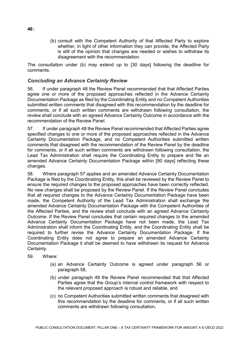(b) consult with the Competent Authority of that Affected Party to explore whether, in light of other information they can provide, the Affected Party is still of the opinion that changes are needed or wishes to withdraw its disagreement with the recommendation.

The consultation under (b) may extend up to [30 days] following the deadline for comments.

## *Concluding an Advance Certainty Review*

56. If under paragraph 48 the Review Panel recommended that that Affected Parties agree one or more of the proposed approaches reflected in the Advance Certainty Documentation Package as filed by the Coordinating Entity and no Competent Authorities submitted written comments that disagreed with this recommendation by the deadline for comments, or if all such written comments are withdrawn following consultation, the review shall conclude with an agreed Advance Certainty Outcome in accordance with the recommendation of the Review Panel.

57. If under paragraph 48 the Review Panel recommended that Affected Parties agree specified changes to one or more of the proposed approaches reflected in the Advance Certainty Documentation Package, and no Competent Authorities submitted written comments that disagreed with the recommendation of the Review Panel by the deadline for comments, or if all such written comments are withdrawn following consultation, the Lead Tax Administration shall require the Coordinating Entity to prepare and file an amended Advance Certainty Documentation Package within [90 days] reflecting these changes.

58. Where paragraph 57 applies and an amended Advance Certainty Documentation Package is filed by the Coordinating Entity, this shall be reviewed by the Review Panel to ensure the required changes to the proposed approaches have been correctly reflected. No new changes shall be proposed by the Review Panel. If the Review Panel concludes that all required changes to the Advance Certainty Documentation Package have been made, the Competent Authority of the Lead Tax Administration shall exchange the amended Advance Certainty Documentation Package with the Competent Authorities of the Affected Parties, and the review shall conclude with an agreed Advance Certainty Outcome. If the Review Panel concludes that certain required changes to the amended Advance Certainty Documentation Package have not been made, the Lead Tax Administration shall inform the Coordinating Entity, and the Coordinating Entity shall be required to further revise the Advance Certainty Documentation Package. If the Coordinating Entity does not agree to prepare an amended Advance Certainty Documentation Package it shall be deemed to have withdrawn its request for Advance Certainty.

- 59. Where:
	- (a) an Advance Certainty Outcome is agreed under paragraph 56 or paragraph 58,
	- (b) under paragraph 49 the Review Panel recommended that that Affected Parties agree that the Group's internal control framework with respect to the relevant proposed approach is robust and reliable, and
	- (c) no Competent Authorities submitted written comments that disagreed with this recommendation by the deadline for comments, or if all such written comments are withdrawn following consultation,

**46** |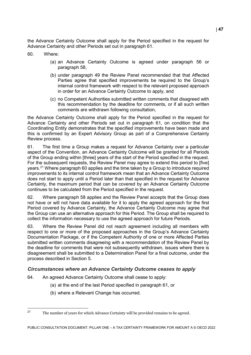the Advance Certainty Outcome shall apply for the Period specified in the request for Advance Certainty and other Periods set out in paragraph 61.

60. Where:

- (a) an Advance Certainty Outcome is agreed under paragraph 56 or paragraph 58,
- (b) under paragraph 49 the Review Panel recommended that that Affected Parties agree that specified improvements be required to the Group's internal control framework with respect to the relevant proposed approach in order for an Advance Certainty Outcome to apply, and
- (c) no Competent Authorities submitted written comments that disagreed with this recommendation by the deadline for comments, or if all such written comments are withdrawn following consultation,

the Advance Certainty Outcome shall apply for the Period specified in the request for Advance Certainty and other Periods set out in paragraph 61, on condition that the Coordinating Entity demonstrates that the specified improvements have been made and this is confirmed by an Expert Advisory Group as part of a Comprehensive Certainty Review process.

61. The first time a Group makes a request for Advance Certainty over a particular aspect of the Convention, an Advance Certainty Outcome will be granted for all Periods of the Group ending within [three] years of the start of the Period specified in the request. For the subsequent requests, the Review Panel may agree to extend this period to [five] years.<sup>[21](#page-47-0)</sup> Where paragraph 60 applies and the time taken by a Group to introduce required improvements to its internal control framework mean that an Advance Certainty Outcome does not start to apply until a Period later than that specified in the request for Advance Certainty, the maximum period that can be covered by an Advance Certainty Outcome continues to be calculated from the Period specified in the request.

62. Where paragraph 58 applies and the Review Panel accepts that the Group does not have or will not have data available for it to apply the agreed approach for the first Period covered by Advance Certainty, the Advance Certainty Outcome may agree that the Group can use an alternative approach for this Period. The Group shall be required to collect the information necessary to use the agreed approach for future Periods.

63. Where the Review Panel did not reach agreement including all members with respect to one or more of the proposed approaches in the Group's Advance Certainty Documentation Package, or if the Competent Authority of one or more Affected Parties submitted written comments disagreeing with a recommendation of the Review Panel by the deadline for comments that were not subsequently withdrawn, issues where there is disagreement shall be submitted to a Determination Panel for a final outcome, under the process described in Section 5.

## *Circumstances where an Advance Certainty Outcome ceases to apply*

- 64. An agreed Advance Certainty Outcome shall cease to apply:
	- (a) at the end of the last Period specified in paragraph 61, or
	- (b) where a Relevant Change has occurred.

<span id="page-47-0"></span> $21$ <sup>21</sup> The number of years for which Advance Certainty will be provided remains to be agreed.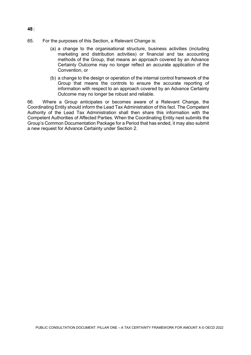- 65. For the purposes of this Section, a Relevant Change is:
	- (a) a change to the organisational structure, business activities (including marketing and distribution activities) or financial and tax accounting methods of the Group, that means an approach covered by an Advance Certainty Outcome may no longer reflect an accurate application of the Convention, or
	- (b) a change to the design or operation of the internal control framework of the Group that means the controls to ensure the accurate reporting of information with respect to an approach covered by an Advance Certainty Outcome may no longer be robust and reliable.

66. Where a Group anticipates or becomes aware of a Relevant Change, the Coordinating Entity should inform the Lead Tax Administration of this fact. The Competent Authority of the Lead Tax Administration shall then share this information with the Competent Authorities of Affected Parties. When the Coordinating Entity next submits the Group's Common Documentation Package for a Period that has ended, it may also submit a new request for Advance Certainty under Section 2.

**48** |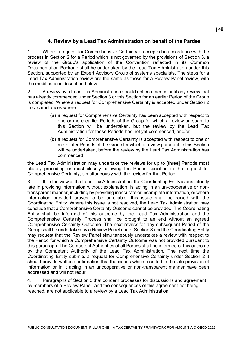# **4. Review by a Lead Tax Administration on behalf of the Parties**

1. Where a request for Comprehensive Certainty is accepted in accordance with the process in Section 2 for a Period which is not governed by the provisions of Section 3, a review of the Group's application of the Convention reflected in its Common Documentation Package shall be undertaken by the Lead Tax Administration under this Section, supported by an Expert Advisory Group of systems specialists. The steps for a Lead Tax Administration review are the same as those for a Review Panel review, with the modifications described below.

2. A review by a Lead Tax Administration should not commence until any review that has already commenced under Section 3 or this Section for an earlier Period of the Group is completed. Where a request for Comprehensive Certainty is accepted under Section 2 in circumstances where:

- (a) a request for Comprehensive Certainty has been accepted with respect to one or more earlier Periods of the Group for which a review pursuant to this Section will be undertaken, but the review by the Lead Tax Administration for those Periods has not yet commenced, and/or
- (b) a request for Comprehensive Certainty is accepted with respect to one or more later Periods of the Group for which a review pursuant to this Section will be undertaken, before the review by the Lead Tax Administration has commenced,

the Lead Tax Administration may undertake the reviews for up to [three] Periods most closely preceding or most closely following the Period specified in the request for Comprehensive Certainty, simultaneously with the review for that Period.

3. If, in the view of the Lead Tax Administration, the Coordinating Entity is persistently late in providing information without explanation, is acting in an un-cooperative or nontransparent manner, including by providing inaccurate or incomplete information, or where information provided proves to be unreliable, this issue shall be raised with the Coordinating Entity. Where this issue is not resolved, the Lead Tax Administration may conclude that a Comprehensive Certainty Outcome cannot be provided. The Coordinating Entity shall be informed of this outcome by the Lead Tax Administration and the Comprehensive Certainty Process shall be brought to an end without an agreed Comprehensive Certainty Outcome. The next review for any subsequent Period of the Group shall be undertaken by a Review Panel under Section 3 and the Coordinating Entity may request that the Review Panel simultaneously undertakes a review with respect to the Period for which a Comprehensive Certainty Outcome was not provided pursuant to this paragraph. The Competent Authorities of all Parties shall be informed of this outcome by the Competent Authority of the Lead Tax Administration. The next time the Coordinating Entity submits a request for Comprehensive Certainty under Section 2 it should provide written confirmation that the issues which resulted in the late provision of information or in it acting in an uncooperative or non-transparent manner have been addressed and will not recur.

4. Paragraphs of Section 3 that concern processes for discussions and agreement by members of a Review Panel, and the consequences of this agreement not being reached, are not applicable to a review by a Lead Tax Administration.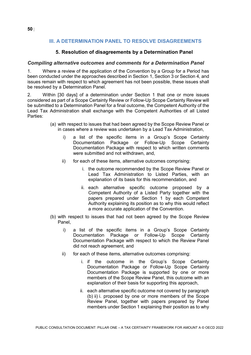# **III. A DETERMINATION PANEL TO RESOLVE DISAGREEMENTS**

# **5. Resolution of disagreements by a Determination Panel**

### *Compiling alternative outcomes and comments for a Determination Panel*

1. Where a review of the application of the Convention by a Group for a Period has been conducted under the approaches described in Section 1, Section 3 or Section 4, and issues remain with respect to which agreement has not been possible, these issues shall be resolved by a Determination Panel.

2. Within [30 days] of a determination under Section 1 that one or more issues considered as part of a Scope Certainty Review or Follow-Up Scope Certainty Review will be submitted to a Determination Panel for a final outcome, the Competent Authority of the Lead Tax Administration shall exchange with the Competent Authorities of all Listed Parties:

- (a) with respect to issues that had been agreed by the Scope Review Panel or in cases where a review was undertaken by a Lead Tax Administration,
	- i) a list of the specific items in a Group's Scope Certainty Documentation Package or Follow-Up Scope Certainty Documentation Package with respect to which written comments were submitted and not withdrawn, and,
	- ii) for each of these items, alternative outcomes comprising:
		- i. the outcome recommended by the Scope Review Panel or Lead Tax Administration to Listed Parties, with an explanation of its basis for this recommendation, and
		- ii. each alternative specific outcome proposed by a Competent Authority of a Listed Party together with the papers prepared under Section 1 by each Competent Authority explaining its position as to why this would reflect a more accurate application of the Convention.
- (b) with respect to issues that had not been agreed by the Scope Review Panel,
	- i) a list of the specific items in a Group's Scope Certainty Documentation Package or Follow-Up Scope Certainty Documentation Package with respect to which the Review Panel did not reach agreement, and
	- ii) for each of these items, alternative outcomes comprising:
		- i. if the outcome in the Group's Scope Certainty Documentation Package or Follow-Up Scope Certainty Documentation Package is supported by one or more members of the Scope Review Panel, this outcome with an explanation of their basis for supporting this approach,
		- ii. each alternative specific outcome not covered by paragraph (b) ii) i. proposed by one or more members of the Scope Review Panel, together with papers prepared by Panel members under Section 1 explaining their position as to why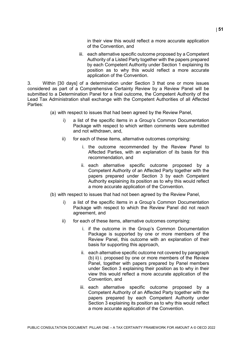in their view this would reflect a more accurate application of the Convention, and

iii. each alternative specific outcome proposed by a Competent Authority of a Listed Party together with the papers prepared by each Competent Authority under Section 1 explaining its position as to why this would reflect a more accurate application of the Convention.

3. Within [30 days] of a determination under Section 3 that one or more issues considered as part of a Comprehensive Certainty Review by a Review Panel will be submitted to a Determination Panel for a final outcome, the Competent Authority of the Lead Tax Administration shall exchange with the Competent Authorities of all Affected Parties:

- (a) with respect to issues that had been agreed by the Review Panel,
	- i) a list of the specific items in a Group's Common Documentation Package with respect to which written comments were submitted and not withdrawn, and,
	- ii) for each of these items, alternative outcomes comprising:
		- i. the outcome recommended by the Review Panel to Affected Parties, with an explanation of its basis for this recommendation, and
		- ii. each alternative specific outcome proposed by a Competent Authority of an Affected Party together with the papers prepared under Section 3 by each Competent Authority explaining its position as to why this would reflect a more accurate application of the Convention.
- (b) with respect to issues that had not been agreed by the Review Panel,
	- i) a list of the specific items in a Group's Common Documentation Package with respect to which the Review Panel did not reach agreement, and
	- ii) for each of these items, alternative outcomes comprising:
		- i. if the outcome in the Group's Common Documentation Package is supported by one or more members of the Review Panel, this outcome with an explanation of their basis for supporting this approach,
		- ii. each alternative specific outcome not covered by paragraph (b) ii) i. proposed by one or more members of the Review Panel, together with papers prepared by Panel members under Section 3 explaining their position as to why in their view this would reflect a more accurate application of the Convention, and
		- iii. each alternative specific outcome proposed by a Competent Authority of an Affected Party together with the papers prepared by each Competent Authority under Section 3 explaining its position as to why this would reflect a more accurate application of the Convention.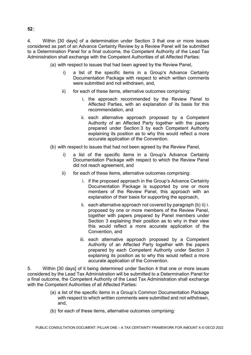4. Within [30 days] of a determination under Section 3 that one or more issues considered as part of an Advance Certainty Review by a Review Panel will be submitted to a Determination Panel for a final outcome, the Competent Authority of the Lead Tax Administration shall exchange with the Competent Authorities of all Affected Parties:

(a) with respect to issues that had been agreed by the Review Panel,

- i) a list of the specific items in a Group's Advance Certainty Documentation Package with respect to which written comments were submitted and not withdrawn, and,
- ii) for each of these items, alternative outcomes comprising:
	- i. the approach recommended by the Review Panel to Affected Parties, with an explanation of its basis for this recommendation, and
	- ii. each alternative approach proposed by a Competent Authority of an Affected Party together with the papers prepared under Section 3 by each Competent Authority explaining its position as to why this would reflect a more accurate application of the Convention.
- (b) with respect to issues that had not been agreed by the Review Panel,
	- i) a list of the specific items in a Group's Advance Certainty Documentation Package with respect to which the Review Panel did not reach agreement, and
	- ii) for each of these items, alternative outcomes comprising:
		- i. if the proposed approach in the Group's Advance Certainty Documentation Package is supported by one or more members of the Review Panel, this approach with an explanation of their basis for supporting the approach,
		- ii. each alternative approach not covered by paragraph (b) ii) i. proposed by one or more members of the Review Panel, together with papers prepared by Panel members under Section 3 explaining their position as to why in their view this would reflect a more accurate application of the Convention, and
		- iii. each alternative approach proposed by a Competent Authority of an Affected Party together with the papers prepared by each Competent Authority under Section 3 explaining its position as to why this would reflect a more accurate application of the Convention.

5. Within [30 days] of it being determined under Section 4 that one or more issues considered by the Lead Tax Administration will be submitted to a Determination Panel for a final outcome, the Competent Authority of the Lead Tax Administration shall exchange with the Competent Authorities of all Affected Parties:

- (a) a list of the specific items in a Group's Common Documentation Package with respect to which written comments were submitted and not withdrawn, and,
- (b) for each of these items, alternative outcomes comprising:

**52** |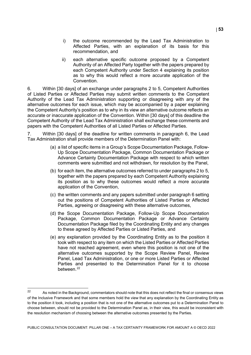- i) the outcome recommended by the Lead Tax Administration to Affected Parties, with an explanation of its basis for this recommendation, and
- ii) each alternative specific outcome proposed by a Competent Authority of an Affected Party together with the papers prepared by each Competent Authority under Section 4 explaining its position as to why this would reflect a more accurate application of the Convention.

6. Within [30 days] of an exchange under paragraphs 2 to 5, Competent Authorities of Listed Parties or Affected Parties may submit written comments to the Competent Authority of the Lead Tax Administration supporting or disagreeing with any of the alternative outcomes for each issue, which may be accompanied by a paper explaining the Competent Authority's position as to why in its view an alternative outcome reflects an accurate or inaccurate application of the Convention. Within [30 days] of this deadline the Competent Authority of the Lead Tax Administration shall exchange these comments and papers with the Competent Authorities of all Listed Parties or Affected Parties.

7. Within [30 days] of the deadline for written comments in paragraph 6, the Lead Tax Administration shall provide members of the Determination Panel with:

- (a) a list of specific items in a Group's Scope Documentation Package, Follow-Up Scope Documentation Package, Common Documentation Package or Advance Certainty Documentation Package with respect to which written comments were submitted and not withdrawn, for resolution by the Panel,
- (b) for each item, the alternative outcomes referred to under paragraphs 2 to 5, together with the papers prepared by each Competent Authority explaining its position as to why these outcomes would reflect a more accurate application of the Convention,
- (c) the written comments and any papers submitted under paragraph 6 setting out the positions of Competent Authorities of Listed Parties or Affected Parties, agreeing or disagreeing with these alternative outcomes,
- (d) the Scope Documentation Package, Follow-Up Scope Documentation Package, Common Documentation Package or Advance Certainty Documentation Package filed by the Coordinating Entity and any changes to these agreed by Affected Parties or Listed Parties, and
- (e) any explanation provided by the Coordinating Entity as to the position it took with respect to any item on which the Listed Parties or Affected Parties have not reached agreement, even where this position is not one of the alternative outcomes supported by the Scope Review Panel, Review Panel, Lead Tax Administration, or one or more Listed Parties or Affected Parties and presented to the Determination Panel for it to choose between.<sup>[22](#page-53-0)</sup>

<span id="page-53-0"></span> $22$ As noted in the Background, commentators should note that this does not reflect the final or consensus views of the Inclusive Framework and that some members hold the view that any explanation by the Coordinating Entity as to the position it took, including a position that is not one of the alternative outcomes put to a Determination Panel to choose between, should not be provided to the Determination Panel as, in their view, this would be inconsistent with the resolution mechanism of choosing between the alternative outcomes presented by the Parties.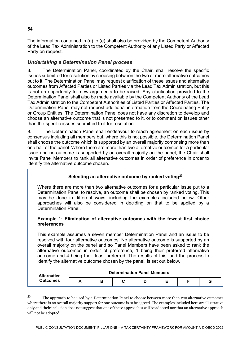# **54** |

The information contained in (a) to (e) shall also be provided by the Competent Authority of the Lead Tax Administration to the Competent Authority of any Listed Party or Affected Party on request.

# *Undertaking a Determination Panel process*

8. The Determination Panel, coordinated by the Chair, shall resolve the specific ìssues submitted for resolution by choosing between the two or more alternative outcomes put to it. The Determination Panel may request clarification of these issues and alternative outcomes from Affected Parties or Listed Parties via the Lead Tax Administration, but this is not an opportunity for new arguments to be raised. Any clarification provided to the Determination Panel shall also be made available by the Competent Authority of the Lead Tax Administration to the Competent Authorities of Listed Parties or Affected Parties. The Determination Panel may not request additional information from the Coordinating Entity or Group Entities. The Determination Panel does not have any discretion to develop and choose an alternative outcome that is not presented to it, or to comment on issues other than the specific issues submitted to it for resolution.

9. The Determination Panel shall endeavour to reach agreement on each issue by consensus including all members but, where this is not possible, the Determination Panel shall choose the outcome which is supported by an overall majority comprising more than one half of the panel. Where there are more than two alternative outcomes for a particular issue and no outcome is supported by an overall majority on the panel, the Chair shall invite Panel Members to rank all alternative outcomes in order of preference in order to identify the alternative outcome chosen.

# **Selecting an alternative outcome by ranked votin[g23](#page-54-0)**

Where there are more than two alternative outcomes for a particular issue put to a Determination Panel to resolve, an outcome shall be chosen by ranked voting. This may be done in different ways, including the examples included below. Other approaches will also be considered in deciding on that to be applied by a Determination Panel.

### **Example 1: Elimination of alternative outcomes with the fewest first choice preferences**

This example assumes a seven member Determination Panel and an issue to be resolved with four alternative outcomes. No alternative outcome is supported by an overall majority on the panel and so Panel Members have been asked to rank the alternative outcomes in order of preference, 1 being their preferred alternative outcome and 4 being their least preferred. The results of this, and the process to identify the alternative outcome chosen by the panel, is set out below.

| <b>Alternative</b><br><b>Outcomes</b> | <b>Determination Panel Members</b> |   |  |  |  |  |  |  |  |
|---------------------------------------|------------------------------------|---|--|--|--|--|--|--|--|
|                                       |                                    | ∍ |  |  |  |  |  |  |  |

<span id="page-54-0"></span> $23$ <sup>23</sup> The approach to be used by a Determination Panel to choose between more than two alternative outcomes where there is no overall majority support for one outcome is to be agreed. The examples included here are illustrative only and their inclusion does not suggest that one of these approaches will be adopted nor that an alternative approach will not be adopted.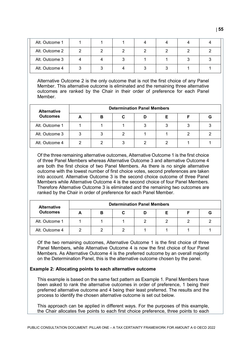| Alt. Outcome 1 |  |  |  |  |
|----------------|--|--|--|--|
| Alt. Outcome 2 |  |  |  |  |
| Alt. Outcome 3 |  |  |  |  |
| Alt. Outcome 4 |  |  |  |  |

Alternative Outcome 2 is the only outcome that is not the first choice of any Panel Member. This alternative outcome is eliminated and the remaining three alternative outcomes are ranked by the Chair in their order of preference for each Panel Member.

| <b>Alternative</b> | <b>Determination Panel Members</b> |   |  |  |   |  |   |  |  |
|--------------------|------------------------------------|---|--|--|---|--|---|--|--|
| <b>Outcomes</b>    |                                    | в |  |  | Е |  | G |  |  |
| Alt. Outcome 1     |                                    |   |  |  |   |  |   |  |  |
| Alt. Outcome 3     |                                    |   |  |  |   |  |   |  |  |
| Alt. Outcome 4     |                                    |   |  |  |   |  |   |  |  |

Of the three remaining alternative outcomes, Alternative Outcome 1 is the first choice of three Panel Members whereas Alternative Outcome 3 and alternative Outcome 4 are both the first choice of two Panel Members. As there is no single alternative outcome with the lowest number of first choice votes, second preferences are taken into account. Alternative Outcome 3 is the second choice outcome of three Panel Members while Alternative Outcome 4 is the second choice of four Panel Members. Therefore Alternative Outcome 3 is eliminated and the remaining two outcomes are ranked by the Chair in order of preference for each Panel Member.

| <b>Alternative</b><br><b>Outcomes</b> | <b>Determination Panel Members</b> |   |   |  |  |  |   |  |  |
|---------------------------------------|------------------------------------|---|---|--|--|--|---|--|--|
|                                       |                                    | в | u |  |  |  | G |  |  |
| Alt. Outcome 1                        |                                    |   |   |  |  |  |   |  |  |
| Alt. Outcome 4                        |                                    |   |   |  |  |  |   |  |  |

Of the two remaining outcomes, Alternative Outcome 1 is the first choice of three Panel Members, while Alternative Outcome 4 is now the first choice of four Panel Members. As Alternative Outcome 4 is the preferred outcome by an overall majority on the Determination Panel, this is the alternative outcome chosen by the panel.

### **Example 2: Allocating points to each alternative outcome**

This example is based on the same fact pattern as Example 1. Panel Members have been asked to rank the alternative outcomes in order of preference, 1 being their preferred alternative outcome and 4 being their least preferred. The results and the process to identify the chosen alternative outcome is set out below.

This approach can be applied in different ways. For the purposes of this example, the Chair allocates five points to each first choice preference, three points to each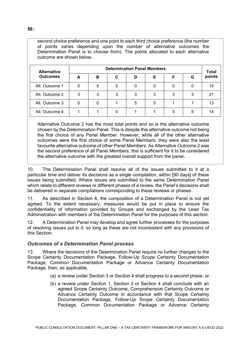second choice preference and one point to each third choice preference (the number of points varies depending upon the number of alternative outcomes the Determination Panel is to choose from). The points allocated to each alternative outcome are shown below.

| <b>Alternative</b><br><b>Outcomes</b> | <b>Determination Panel Members</b> |   |   |   |   |   |   |                        |  |
|---------------------------------------|------------------------------------|---|---|---|---|---|---|------------------------|--|
|                                       | А                                  | в | С | D | Е |   | G | <b>Total</b><br>points |  |
| Alt. Outcome 1                        | 5                                  | 5 | 5 |   |   |   |   | 15                     |  |
| Alt. Outcome 2                        | 3                                  | 3 | 3 |   | 3 | 3 | 3 | 2.                     |  |
| Alt. Outcome 3                        |                                    |   |   |   | 5 |   |   |                        |  |
| Alt. Outcome 4                        |                                    |   |   |   |   | 5 | 5 |                        |  |

Alternative Outcome 2 has the most total points and so is the alternative outcome chosen by the Determination Panel. This is despite this alternative outcome not being the first choice of any Panel Member. However, while all of the other alternative outcomes were the first choice of some Panel Members, they were also the least favourite alternative outcome of other Panel Members. As Alternative Outcome 2 was the second preference of all Panel Members, this is sufficient for it to be considered the alternative outcome with the greatest overall support from the panel.

10. The Determination Panel shall resolve all of the issues submitted to it at a particular time and deliver its decisions as a single compilation, within [90 days] of these issues being submitted. Where issues are submitted to the same Determination Panel which relate to different reviews or different phases of a review, the Panel's decisions shall be delivered in separate compilations corresponding to these reviews or phases.

11. As described in Section 6, the composition of a Determination Panel is not yet agreed. To the extent necessary, measures would be put in place to ensure the confidentiality of information provided by Groups and exchanged by the Lead Tax Administration with members of the Determination Panel for the purposes of this section.

12. A Determination Panel may develop and agree further processes for the purposes of resolving issues put to it, so long as these are not inconsistent with any provisions of this Section.

### *Outcomes of a Determination Panel process*

13. Where the decisions of the Determination Panel require no further changes to the Scope Certainty Documentation Package, Follow-Up Scope Certainty Documentation Package, Common Documentation Package or Advance Certainty Documentation Package, then, as applicable,

- (a) a review under Section 3 or Section 4 shall progress to a second phase, or
- (b) a review under Section 1, Section 3 or Section 4 shall conclude with an agreed Scope Certainty Outcome, Comprehensive Certainty Outcome or Advance Certainty Outcome in accordance with that Scope Certainty Documentation Package, Follow-Up Scope Certainty Documentation Package, Common Documentation Package or Advance Certainty

**56** |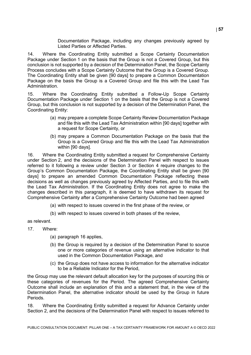Documentation Package, including any changes previously agreed by Listed Parties or Affected Parties.

14. Where the Coordinating Entity submitted a Scope Certainty Documentation Package under Section 1 on the basis that the Group is not a Covered Group, but this conclusion is not supported by a decision of the Determination Panel, the Scope Certainty Process concludes with a Scope Certainty Outcome that the Group is a Covered Group. The Coordinating Entity shall be given [90 days] to prepare a Common Documentation Package on the basis the Group is a Covered Group and file this with the Lead Tax Administration.

15. Where the Coordinating Entity submitted a Follow-Up Scope Certainty Documentation Package under Section 1 on the basis that the Group is not a Covered Group, but this conclusion is not supported by a decision of the Determination Panel, the Coordinating Entity:

- (a) may prepare a complete Scope Certainty Review Documentation Package and file this with the Lead Tax Administration within [90 days] together with a request for Scope Certainty, or
- (b) may prepare a Common Documentation Package on the basis that the Group is a Covered Group and file this with the Lead Tax Administration within [90 days].

16. Where the Coordinating Entity submitted a request for Comprehensive Certainty under Section 2, and the decisions of the Determination Panel with respect to issues referred to it following a review under Section 3 or Section 4 require changes to the Group's Common Documentation Package, the Coordinating Entity shall be given [90 days] to prepare an amended Common Documentation Package reflecting these decisions as well as changes previously agreed by Affected Parties, and to file this with the Lead Tax Administration. If the Coordinating Entity does not agree to make the changes described in this paragraph, it is deemed to have withdrawn its request for Comprehensive Certainty after a Comprehensive Certainty Outcome had been agreed

- (a) with respect to issues covered in the first phase of the review, or
- (b) with respect to issues covered in both phases of the review,

as relevant.

- 17. Where:
	- (a) paragraph 16 applies,
	- (b) the Group is required by a decision of the Determination Panel to source one or more categories of revenue using an alternative indicator to that used in the Common Documentation Package, and
	- (c) the Group does not have access to information for the alternative indicator to be a Reliable Indicator for the Period,

the Group may use the relevant default allocation key for the purposes of sourcing this or these categories of revenues for the Period. The agreed Comprehensive Certainty Outcome shall include an explanation of this and a statement that, in the view of the Determination Panel, the alternative indicator should be used by the Group in future Periods.

18. Where the Coordinating Entity submitted a request for Advance Certainty under Section 2, and the decisions of the Determination Panel with respect to issues referred to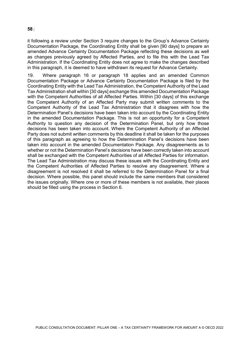#### it following a review under Section 3 require changes to the Group's Advance Certainty Documentation Package, the Coordinating Entity shall be given [90 days] to prepare an amended Advance Certainty Documentation Package reflecting these decisions as well as changes previously agreed by Affected Parties, and to file this with the Lead Tax Administration. If the Coordinating Entity does not agree to make the changes described in this paragraph, it is deemed to have withdrawn its request for Advance Certainty.

19. Where paragraph 16 or paragraph 18 applies and an amended Common Documentation Package or Advance Certainty Documentation Package is filed by the Coordinating Entity with the Lead Tax Administration, the Competent Authority of the Lead Tax Administration shall within [30 days] exchange this amended Documentation Package with the Competent Authorities of all Affected Parties. Within [30 days] of this exchange the Competent Authority of an Affected Party may submit written comments to the Competent Authority of the Lead Tax Administration that it disagrees with how the Determination Panel's decisions have been taken into account by the Coordinating Entity in the amended Documentation Package. This is not an opportunity for a Competent Authority to question any decision of the Determination Panel, but only how those decisions has been taken into account. Where the Competent Authority of an Affected Party does not submit written comments by this deadline it shall be taken for the purposes of this paragraph as agreeing to how the Determination Panel's decisions have been taken into account in the amended Documentation Package. Any disagreements as to whether or not the Determination Panel's decisions have been correctly taken into account shall be exchanged with the Competent Authorities of all Affected Parties for information. The Lead Tax Administration may discuss these issues with the Coordinating Entity and the Competent Authorities of Affected Parties to resolve any disagreement. Where a disagreement is not resolved it shall be referred to the Determination Panel for a final decision. Where possible, this panel should include the same members that considered the issues originally. Where one or more of these members is not available, their places should be filled using the process in Section 6.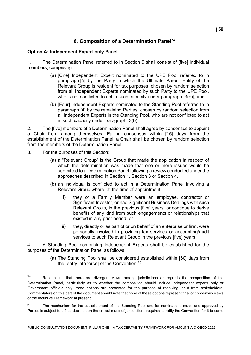# **6. Composition of a Determination Panel[24](#page-59-0)**

#### **Option A: Independent Expert only Panel**

1. The Determination Panel referred to in Section 5 shall consist of [five] individual members, comprising:

- (a) [One] Independent Expert nominated to the UPE Pool referred to in paragraph [5] by the Party in which the Ultimate Parent Entity of the Relevant Group is resident for tax purposes, chosen by random selection from all Independent Experts nominated by such Party to the UPE Pool, who is not conflicted to act in such capacity under paragraph [3(b)]; and
- (b) [Four] Independent Experts nominated to the Standing Pool referred to in paragraph [4] by the remaining Parties, chosen by random selection from all Independent Experts in the Standing Pool, who are not conflicted to act in such capacity under paragraph [3(b)].

2. The [five] members of a Determination Panel shall agree by consensus to appoint a Chair from among themselves. Failing consensus within [15] days from the establishment of the Determination Panel, a Chair shall be chosen by random selection from the members of the Determination Panel.

- 3. For the purposes of this Section:
	- (a) a "Relevant Group" is the Group that made the application in respect of which the determination was made that one or more issues would be submitted to a Determination Panel following a review conducted under the approaches described in Section 1, Section 3 or Section 4.
	- (b) an individual is conflicted to act in a Determination Panel involving a Relevant Group where, at the time of appointment:
		- i) they or a Family Member were an employee, contractor or Significant Investor, or had Significant Business Dealings with such Relevant Group, in the previous [five] years, or continue to derive benefits of any kind from such engagements or relationships that existed in any prior period; or
		- ii) they, directly or as part of or on behalf of an enterprise or firm, were personally involved in providing tax services or accounting/audit services to such Relevant Group in the previous [five] years.

4. A Standing Pool comprising Independent Experts shall be established for the purposes of the Determination Panel as follows:

> (a) The Standing Pool shall be considered established within [60] days from the [entry into force] of the Convention.<sup>[25](#page-59-1)</sup>

<span id="page-59-0"></span> $24$ Recognising that there are divergent views among jurisdictions as regards the composition of the Determination Panel, particularly as to whether the composition should include independent experts only or Government officials only, three options are presented for the purpose of receiving input from stakeholders. Commentators on this part of the document should note that none of these options represent final or consensus views of the Inclusive Framework at present.

<span id="page-59-1"></span><sup>&</sup>lt;sup>25</sup> The mechanism for the establishment of the Standing Pool and for nominations made and approved by Parties is subject to a final decision on the critical mass of jurisdictions required to ratify the Convention for it to come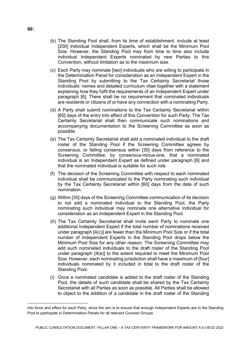- (b) The Standing Pool shall, from its time of establishment, include at least [200] individual Independent Experts, which shall be the Minimum Pool Size. However, the Standing Pool may from time to time also include individual Independent Experts nominated by new Parties to this Convention, without limitation as to the maximum size.
- (c) Each Party may nominate [two] individuals who are willing to participate in the Determination Panel for consideration as an Independent Expert in the Standing Pool by submitting to the Tax Certainty Secretariat those individuals' names and detailed curriculum vitae together with a statement explaining how they fulfil the requirements of an Independent Expert under paragraph [6]. There shall be no requirement that nominated individuals are residents or citizens of or have any connection with a nominating Party.
- (d) A Party shall submit nominations to the Tax Certainty Secretariat within [60] days of the entry into effect of this Convention for such Party. The Tax Certainty Secretariat shall then communicate such nominations and accompanying documentation to the Screening Committee as soon as possible.
- (e) The Tax Certainty Secretariat shall add a nominated individual to the draft roster of the Standing Pool if the Screening Committee agrees by consensus, or failing consensus within [30] days from reference to the Screening Committee, by consensus-minus-one, that a nominated individual is an Independent Expert as defined under paragraph [6] and that the nominated individual is suitable for such role.
- (f) The decision of the Screening Committee with respect to each nominated individual shall be communicated to the Party nominating such individual by the Tax Certainty Secretariat within [60] days from the date of such nomination.
- (g) Within [30] days of the Screening Committee communication of its decision to not add a nominated individual to the Standing Pool, the Party nominating such individual may nominate one alternative individual for consideration as an Independent Expert in the Standing Pool.
- (h) The Tax Certainty Secretariat shall invite each Party to nominate one additional Independent Expert if the total number of nominations received under paragraph [4(c)] are fewer than the Minimum Pool Size or if the total number of Independent Experts in the Standing Pool drops below the Minimum Pool Size for any other reason. The Screening Committee may add such nominated individuals to the draft roster of the Standing Pool under paragraph [4(e)] to the extent required to meet the Minimum Pool Size. However, each nominating jurisdiction shall have a maximum of [four] individuals nominated by it included in total to the draft roster of the Standing Pool.
- (i) Once a nominated candidate is added to the draft roster of the Standing Pool, the details of such candidate shall be shared by the Tax Certainty Secretariat with all Parties as soon as possible. All Parties shall be allowed to object to the addition of a candidate in the draft roster of the Standing

**60** |

j

into force and effect for each Party, since the aim is to ensure that enough Independent Experts are in the Standing Pool to participate in Determination Panels for all relevant Covered Groups.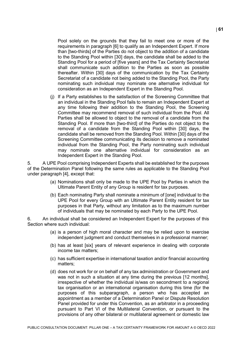Pool solely on the grounds that they fail to meet one or more of the requirements in paragraph [6] to qualify as an Independent Expert. If more than [two-thirds] of the Parties do not object to the addition of a candidate to the Standing Pool within [30] days, the candidate shall be added to the Standing Pool for a period of [five years] and the Tax Certainty Secretariat shall communicate such addition to the Parties as soon as possible thereafter. Within [30] days of the communication by the Tax Certainty Secretariat of a candidate not being added to the Standing Pool, the Party nominating such individual may nominate one alternative individual for consideration as an Independent Expert in the Standing Pool.

(j) If a Party establishes to the satisfaction of the Screening Committee that an individual in the Standing Pool fails to remain an Independent Expert at any time following their addition to the Standing Pool, the Screening Committee may recommend removal of such individual from the Pool. All Parties shall be allowed to object to the removal of a candidate from the Standing Pool. If more than [two-third] of the Parties do not object to the removal of a candidate from the Standing Pool within [30] days, the candidate shall be removed from the Standing Pool. Within [30] days of the Screening Committee communicating its decision to remove a nominated individual from the Standing Pool, the Party nominating such individual may nominate one alternative individual for consideration as an Independent Expert in the Standing Pool.

5. A UPE Pool comprising Independent Experts shall be established for the purposes of the Determination Panel following the same rules as applicable to the Standing Pool under paragraph [4], except that:

- (a) Nominations shall only be made to the UPE Pool by Parties in which the Ultimate Parent Entity of any Group is resident for tax purposes.
- (b) Each nominating Party shall nominate a minimum of [one] individual to the UPE Pool for every Group with an Ultimate Parent Entity resident for tax purposes in that Party, without any limitation as to the maximum number of individuals that may be nominated by each Party to the UPE Pool.

6. An individual shall be considered an Independent Expert for the purposes of this Section where such individual:

- (a) is a person of high moral character and may be relied upon to exercise independent judgment and conduct themselves in a professional manner;
- (b) has at least [six] years of relevant experience in dealing with corporate income tax matters;
- (c) has sufficient expertise in international taxation and/or financial accounting matters;
- (d) does not work for or on behalf of any tax administration or Government and was not in such a situation at any time during the previous [12 months], irrespective of whether the individual is/was on secondment to a regional tax organisation or an international organisation during this time (for the purposes of this subparagraph, a person who has accepted an appointment as a member of a Determination Panel or Dispute Resolution Panel provided for under this Convention, as an arbitrator in a proceeding pursuant to Part VI of the Multilateral Convention, or pursuant to the provisions of any other bilateral or multilateral agreement or domestic law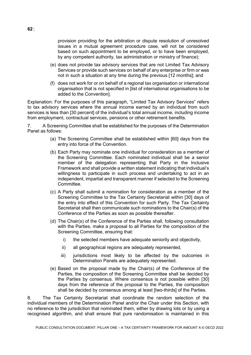provision providing for the arbitration or dispute resolution of unresolved issues in a mutual agreement procedure case, will not be considered based on such appointment to be employed, or to have been employed, by any competent authority, tax administration or ministry of finance);

- (e) does not provide tax advisory services that are not Limited Tax Advisory Services or provide such services on behalf of any enterprise or firm or was not in such a situation at any time during the previous [12 months]; and
- (f) does not work for or on behalf of a regional tax organisation or international organisation that is not specified in [list of international organisations to be added to the Convention].

Explanation: For the purposes of this paragraph, "Limited Tax Advisory Services" refers to tax advisory services where the annual income earned by an individual from such services is less than [30 percent] of the individual's total annual income, including income from employment, contractual services, pensions or other retirement benefits.

7. A Screening Committee shall be established for the purposes of the Determination Panel as follows:

- (a) The Screening Committee shall be established within [60] days from the entry into force of the Convention.
- (b) Each Party may nominate one individual for consideration as a member of the Screening Committee. Each nominated individual shall be a senior member of the delegation representing that Party in the Inclusive Framework and shall provide a written statement indicating that individual's willingness to participate in such process and undertaking to act in an independent, impartial and transparent manner if selected to the Screening Committee.
- (c) A Party shall submit a nomination for consideration as a member of the Screening Committee to the Tax Certainty Secretariat within [30] days of the entry into effect of this Convention for such Party. The Tax Certainty Secretariat shall then communicate such nominations to the Chair(s) of the Conference of the Parties as soon as possible thereafter.
- (d) The Chair(s) of the Conference of the Parties shall, following consultation with the Parties, make a proposal to all Parties for the composition of the Screening Committee, ensuring that:
	- i) the selected members have adequate seniority and objectivity,
	- ii) all geographical regions are adequately represented,
	- iii) jurisdictions most likely to be affected by the outcomes in Determination Panels are adequately represented.
- (e) Based on the proposal made by the Chair(s) of the Conference of the Parties, the composition of the Screening Committee shall be decided by the Parties by consensus. Where consensus is not possible within [30] days from the reference of the proposal to the Parties, the composition shall be decided by consensus among at least [two-thirds] of the Parties.

8. The Tax Certainty Secretariat shall coordinate the random selection of the individual members of the Determination Panel and/or the Chair under this Section, with no reference to the jurisdiction that nominated them, either by drawing lots or by using a recognised algorithm, and shall ensure that pure randomisation is maintained in this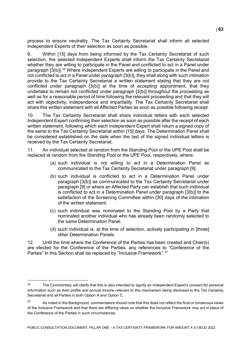process to ensure neutrality. The Tax Certainty Secretariat shall inform all selected Independent Experts of their selection as soon as possible.

9. Within [15] days from being informed by the Tax Certainty Secretariat of such selection, the selected Independent Experts shall inform the Tax Certainty Secretariat whether they are willing to participate in the Panel and conflicted to act in a Panel under paragraph [3(b)].[26](#page-63-0) Where Independent Experts are willing to participate in the Panel and not conflicted to act in a Panel under paragraph [3(b)], they shall along with such intimation provide to the Tax Certainty Secretariat a written statement stating that they are not conflicted under paragraph [3(b)] at the time of accepting appointment, that they undertake to remain not conflicted under paragraph [3(b)] throughout the proceeding as well as for a reasonable period of time following the relevant proceeding and that they will act with objectivity, independence and impartiality. The Tax Certainty Secretariat shall share this written statement with all Affected Parties as soon as possible following receipt.

10. The Tax Certainty Secretariat shall share individual letters with each selected Independent Expert confirming their selection as soon as possible after the receipt of each written statement, following which each Independent Expert shall return a signed copy of the same to the Tax Certainty Secretariat within [15] days. The Determination Panel shall be considered established on the date when the last of the signed individual letters is received by the Tax Certainty Secretariat.

11. An individual selected at random from the Standing Pool or the UPE Pool shall be replaced at random from the Standing Pool or the UPE Pool, respectively, where:

- (a) such individual is not willing to act in a Determination Panel as communicated to the Tax Certainty Secretariat under paragraph [9].
- (b) such individual is conflicted to act in a Determination Panel under paragraph [3(b)] as communicated to the Tax Certainty Secretariat under paragraph [9] or where an Affected Party can establish that such individual is conflicted to act in a Determination Panel under paragraph [3(b)] to the satisfaction of the Screening Committee within [30] days of the intimation of the written statement.
- (c) such individual was nominated to the Standing Pool by a Party that nominated another individual who has already been randomly selected to the same Determination Panel.
- (d) such individual is, at the time of selection, actively participating in [three] other Determination Panels.

12. Until the time where the Conference of the Parties has been created and Chair(s) are elected for the Conference of the Parties, any references to "Conference of the Parties" in this Section shall be replaced by "Inclusive Framework".<sup>[27](#page-63-1)</sup>

PUBLIC CONSULTATION DOCUMENT: PILLAR ONE – A TAX CERTAINTY FRAMEWORK FOR AMOUNT A © OECD 2022

<span id="page-63-0"></span> $26$ <sup>26</sup> The Commentary will clarify that this is also intended to signify an Independent Expert's consent for personal information such as their profile and annual income relevant to this mechanism being disclosed to the Tax Certainty Secretariat and all Parties in both Option A and Option C.

<span id="page-63-1"></span><sup>&</sup>lt;sup>27</sup> As noted in the Background, commentators should note that this does not reflect the final or consensus views of the Inclusive Framework and that there are differing views on whether the Inclusive Framework may act in place of the Conference of the Parties in such circumstances.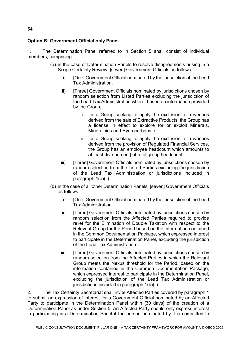## **Option B: Government Official only Panel**

1. The Determination Panel referred to in Section 5 shall consist of individual members, comprising:

- (a) in the case of Determination Panels to resolve disagreements arising in a Scope Certainty Review, [seven] Government Officials as follows:
	- i) [One] Government Official nominated by the jurisdiction of the Lead Tax Administration.
	- ii) [Three] Government Officials nominated by jurisdictions chosen by random selection from Listed Parties excluding the jurisdiction of the Lead Tax Administration where, based on information provided by the Group,
		- i. for a Group seeking to apply the exclusion for revenues derived from the sale of Extractive Products, the Group has a license in effect to explore for or exploit Minerals, Mineraloids and Hydrocarbons; or
		- ii. for a Group seeking to apply the exclusion for revenues derived from the provision of Regulated Financial Services, the Group has an employee headcount which amounts to at least [five percent] of total group headcount
	- iii) [Three] Government Officials nominated by jurisdictions chosen by random selection from the Listed Parties excluding the jurisdiction of the Lead Tax Administration or jurisdictions included in paragraph 1(a)(ii).
- (b) in the case of all other Determination Panels, [seven] Government Officials as follows:
	- i) [One] Government Official nominated by the jurisdiction of the Lead Tax Administration.
	- ii) [Three] Government Officials nominated by jurisdictions chosen by random selection from the Affected Parties required to provide relief for the Elimination of Double Taxation with respect to the Relevant Group for the Period based on the information contained in the Common Documentation Package, which expressed interest to participate in the Determination Panel, excluding the jurisdiction of the Lead Tax Administration.
	- iii) [Three] Government Officials nominated by jurisdictions chosen by random selection from the Affected Parties in which the Relevant Group meets the Nexus threshold for the Period, based on the information contained in the Common Documentation Package, which expressed interest to participate in the Determination Panel, excluding the jurisdiction of the Lead Tax Administration or jurisdictions included in paragraph 1(b)(ii).

2. The Tax Certainty Secretariat shall invite Affected Parties covered by paragraph 1 to submit an expression of interest for a Government Official nominated by an Affected Party to participate in the Determination Panel within [30 days] of the creation of a Determination Panel as under Section 5. An Affected Party should only express interest in participating in a Determination Panel if the person nominated by it is committed to

#### **64** |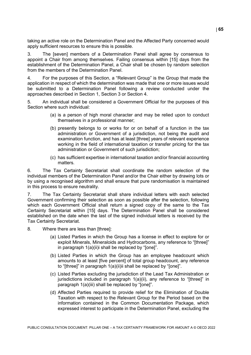taking an active role on the Determination Panel and the Affected Party concerned would apply sufficient resources to ensure this is possible.

3. The [seven] members of a Determination Panel shall agree by consensus to appoint a Chair from among themselves. Failing consensus within [15] days from the establishment of the Determination Panel, a Chair shall be chosen by random selection from the members of the Determination Panel.

4. For the purposes of this Section, a "Relevant Group" is the Group that made the application in respect of which the determination was made that one or more issues would be submitted to a Determination Panel following a review conducted under the approaches described in Section 1, Section 3 or Section 4.

5. An individual shall be considered a Government Official for the purposes of this Section where such individual:

- (a) is a person of high moral character and may be relied upon to conduct themselves in a professional manner;
- (b) presently belongs to or works for or on behalf of a function in the tax administration or Government of a jurisdiction, not being the audit and examination function, and has at least [three] years of relevant experience working in the field of international taxation or transfer pricing for the tax administration or Government of such jurisdiction;
- (c) has sufficient expertise in international taxation and/or financial accounting matters.

6. The Tax Certainty Secretariat shall coordinate the random selection of the individual members of the Determination Panel and/or the Chair either by drawing lots or by using a recognised algorithm and shall ensure that pure randomisation is maintained in this process to ensure neutrality.

7. The Tax Certainty Secretariat shall share individual letters with each selected Government confirming their selection as soon as possible after the selection, following which each Government Official shall return a signed copy of the same to the Tax Certainty Secretariat within [15] days. The Determination Panel shall be considered established on the date when the last of the signed individual letters is received by the Tax Certainty Secretariat.

- 8. Where there are less than [three]:
	- (a) Listed Parties in which the Group has a license in effect to explore for or exploit Minerals, Mineraloids and Hydrocarbons, any reference to "[three]" in paragraph 1(a)(ii)i shall be replaced by "[one]".
	- (b) Listed Parties in which the Group has an employee headcount which amounts to at least [five percent] of total group headcount, any reference to "[three]" in paragraph 1(a)(ii)ii shall be replaced by "[one]".
	- (c) Listed Parties excluding the jurisdiction of the Lead Tax Administration or jurisdictions included in paragraph 1(a)(ii), any reference to "[three]" in paragraph 1(a)(iii) shall be replaced by "[one]".
	- (d) Affected Parties required to provide relief for the Elimination of Double Taxation with respect to the Relevant Group for the Period based on the information contained in the Common Documentation Package, which expressed interest to participate in the Determination Panel, excluding the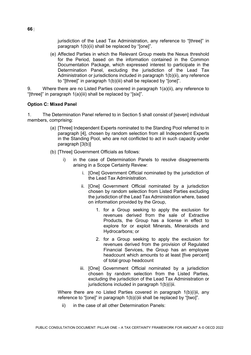jurisdiction of the Lead Tax Administration, any reference to "[three]" in paragraph 1(b)(ii) shall be replaced by "[one]".

(e) Affected Parties in which the Relevant Group meets the Nexus threshold for the Period, based on the information contained in the Common Documentation Package, which expressed interest to participate in the Determination Panel, excluding the jurisdiction of the Lead Tax Administration or jurisdictions included in paragraph 1(b)(ii), any reference to "[three]" in paragraph 1(b)(iii) shall be replaced by "[one]".

9. Where there are no Listed Parties covered in paragraph 1(a)(ii), any reference to "[three]" in paragraph 1(a)(iii) shall be replaced by "[six]".

#### **Option C: Mixed Panel**

1. The Determination Panel referred to in Section 5 shall consist of [seven] individual members, comprising:

- (a) [Three] Independent Experts nominated to the Standing Pool referred to in paragraph [4], chosen by random selection from all Independent Experts in the Standing Pool, who are not conflicted to act in such capacity under paragraph [3(b)]
- (b) [Three] Government Officials as follows:
	- i) in the case of Determination Panels to resolve disagreements arising in a Scope Certainty Review:
		- i. [One] Government Official nominated by the jurisdiction of the Lead Tax Administration.
		- ii. [One] Government Official nominated by a jurisdiction chosen by random selection from Listed Parties excluding the jurisdiction of the Lead Tax Administration where, based on information provided by the Group,
			- 1. for a Group seeking to apply the exclusion for revenues derived from the sale of Extractive Products, the Group has a license in effect to explore for or exploit Minerals, Mineraloids and Hydrocarbons; or
			- 2. for a Group seeking to apply the exclusion for revenues derived from the provision of Regulated Financial Services, the Group has an employee headcount which amounts to at least [five percent] of total group headcount
		- iii. [One] Government Official nominated by a jurisdiction chosen by random selection from the Listed Parties, excluding the jurisdiction of the Lead Tax Administration or jurisdictions included in paragraph 1(b)(i)ii.

Where there are no Listed Parties covered in paragraph 1(b)(i)ii, any reference to "[one]" in paragraph 1(b)(i)iii shall be replaced by "[two]".

ii) in the case of all other Determination Panels: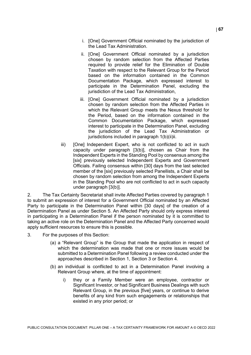- i. [One] Government Official nominated by the jurisdiction of the Lead Tax Administration.
- ii. [One] Government Official nominated by a jurisdiction chosen by random selection from the Affected Parties required to provide relief for the Elimination of Double Taxation with respect to the Relevant Group for the Period based on the information contained in the Common Documentation Package, which expressed interest to participate in the Determination Panel, excluding the jurisdiction of the Lead Tax Administration,
- iii. [One] Government Official nominated by a jurisdiction chosen by random selection from the Affected Parties in which the Relevant Group meets the Nexus threshold for the Period, based on the information contained in the Common Documentation Package, which expressed interest to participate in the Determination Panel, excluding the jurisdiction of the Lead Tax Administration or jurisdictions included in paragraph 1(b)(ii)ii.
- iii) [One] Independent Expert, who is not conflicted to act in such capacity under paragraph [3(b)], chosen as Chair from the Independent Experts in the Standing Pool by consensus among the [six] previously selected Independent Experts and Government Officials. Failing consensus within [30] days from the last selected member of the [six] previously selected Panellists, a Chair shall be chosen by random selection from among the Independent Experts in the Standing Pool who are not conflicted to act in such capacity under paragraph [3(b)].

2. The Tax Certainty Secretariat shall invite Affected Parties covered by paragraph 1 to submit an expression of interest for a Government Official nominated by an Affected Party to participate in the Determination Panel within [30 days] of the creation of a Determination Panel as under Section 5. An Affected Party should only express interest in participating in a Determination Panel if the person nominated by it is committed to taking an active role on the Determination Panel and the Affected Party concerned would apply sufficient resources to ensure this is possible.

- 3. For the purposes of this Section:
	- (a) a "Relevant Group" is the Group that made the application in respect of which the determination was made that one or more issues would be submitted to a Determination Panel following a review conducted under the approaches described in Section 1, Section 3 or Section 4.
	- (b) an individual is conflicted to act in a Determination Panel involving a Relevant Group where, at the time of appointment:
		- i) they or a Family Member were an employee, contractor or Significant Investor, or had Significant Business Dealings with such Relevant Group, in the previous [five] years, or continue to derive benefits of any kind from such engagements or relationships that existed in any prior period; or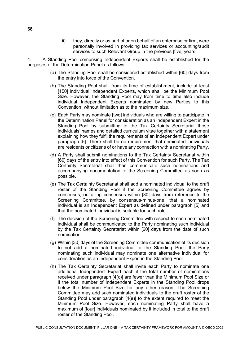ii) they, directly or as part of or on behalf of an enterprise or firm, were personally involved in providing tax services or accounting/audit services to such Relevant Group in the previous [five] years.

4. A Standing Pool comprising Independent Experts shall be established for the purposes of the Determination Panel as follows:

- (a) The Standing Pool shall be considered established within [60] days from the entry into force of the Convention.
- (b) The Standing Pool shall, from its time of establishment, include at least [150] individual Independent Experts, which shall be the Minimum Pool Size. However, the Standing Pool may from time to time also include individual Independent Experts nominated by new Parties to this Convention, without limitation as to the maximum size.
- (c) Each Party may nominate [two] individuals who are willing to participate in the Determination Panel for consideration as an Independent Expert in the Standing Pool by submitting to the Tax Certainty Secretariat those individuals' names and detailed curriculum vitae together with a statement explaining how they fulfil the requirements of an Independent Expert under paragraph [5]. There shall be no requirement that nominated individuals are residents or citizens of or have any connection with a nominating Party.
- (d) A Party shall submit nominations to the Tax Certainty Secretariat within [60] days of the entry into effect of this Convention for such Party. The Tax Certainty Secretariat shall then communicate such nominations and accompanying documentation to the Screening Committee as soon as possible.
- (e) The Tax Certainty Secretariat shall add a nominated individual to the draft roster of the Standing Pool if the Screening Committee agrees by consensus, or failing consensus within [30] days from reference to the Screening Committee, by consensus-minus-one, that a nominated individual is an Independent Expert as defined under paragraph [5] and that the nominated individual is suitable for such role.
- (f) The decision of the Screening Committee with respect to each nominated individual shall be communicated to the Party nominating such individual by the Tax Certainty Secretariat within [60] days from the date of such nomination.
- (g) Within [30] days of the Screening Committee communication of its decision to not add a nominated individual to the Standing Pool, the Party nominating such individual may nominate one alternative individual for consideration as an Independent Expert in the Standing Pool.
- (h) The Tax Certainty Secretariat shall invite each Party to nominate one additional Independent Expert each if the total number of nominations received under paragraph [4(c)] are fewer than the Minimum Pool Size or if the total number of Independent Experts in the Standing Pool drops below the Minimum Pool Size for any other reason. The Screening Committee may add such nominated individuals to the draft roster of the Standing Pool under paragraph [4(e)] to the extent required to meet the Minimum Pool Size. However, each nominating Party shall have a maximum of [four] individuals nominated by it included in total to the draft roster of the Standing Pool.

**68** |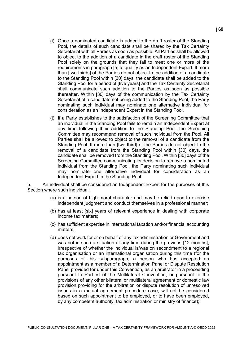- (i) Once a nominated candidate is added to the draft roster of the Standing Pool, the details of such candidate shall be shared by the Tax Certainty Secretariat with all Parties as soon as possible. All Parties shall be allowed to object to the addition of a candidate in the draft roster of the Standing Pool solely on the grounds that they fail to meet one or more of the requirements in paragraph [5] to qualify as an Independent Expert. If more than [two-thirds] of the Parties do not object to the addition of a candidate to the Standing Pool within [30] days, the candidate shall be added to the Standing Pool for a period of [five years] and the Tax Certainty Secretariat shall communicate such addition to the Parties as soon as possible thereafter. Within [30] days of the communication by the Tax Certainty Secretariat of a candidate not being added to the Standing Pool, the Party nominating such individual may nominate one alternative individual for consideration as an Independent Expert in the Standing Pool.
- (j) If a Party establishes to the satisfaction of the Screening Committee that an individual in the Standing Pool fails to remain an Independent Expert at any time following their addition to the Standing Pool, the Screening Committee may recommend removal of such individual from the Pool. All Parties shall be allowed to object to the removal of a candidate from the Standing Pool. If more than [two-third] of the Parties do not object to the removal of a candidate from the Standing Pool within [30] days, the candidate shall be removed from the Standing Pool. Within [30] days of the Screening Committee communicating its decision to remove a nominated individual from the Standing Pool, the Party nominating such individual may nominate one alternative individual for consideration as an Independent Expert in the Standing Pool.

5. An individual shall be considered an Independent Expert for the purposes of this Section where such individual:

- (a) is a person of high moral character and may be relied upon to exercise independent judgment and conduct themselves in a professional manner;
- (b) has at least [six] years of relevant experience in dealing with corporate income tax matters;
- (c) has sufficient expertise in international taxation and/or financial accounting matters;
- (d) does not work for or on behalf of any tax administration or Government and was not in such a situation at any time during the previous [12 months], irrespective of whether the individual is/was on secondment to a regional tax organisation or an international organisation during this time (for the purposes of this subparagraph, a person who has accepted an appointment as a member of a Determination Panel or Dispute Resolution Panel provided for under this Convention, as an arbitrator in a proceeding pursuant to Part VI of the Multilateral Convention, or pursuant to the provisions of any other bilateral or multilateral agreement or domestic law provision providing for the arbitration or dispute resolution of unresolved issues in a mutual agreement procedure case, will not be considered based on such appointment to be employed, or to have been employed, by any competent authority, tax administration or ministry of finance);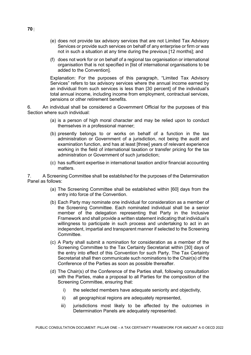- (e) does not provide tax advisory services that are not Limited Tax Advisory Services or provide such services on behalf of any enterprise or firm or was not in such a situation at any time during the previous [12 months]; and
- (f) does not work for or on behalf of a regional tax organisation or international organisation that is not specified in [list of international organisations to be added to the Convention].

Explanation: For the purposes of this paragraph, "Limited Tax Advisory Services" refers to tax advisory services where the annual income earned by an individual from such services is less than [30 percent] of the individual's total annual income, including income from employment, contractual services, pensions or other retirement benefits.

6. An individual shall be considered a Government Official for the purposes of this Section where such individual:

- (a) is a person of high moral character and may be relied upon to conduct themselves in a professional manner;
- (b) presently belongs to or works on behalf of a function in the tax administration or Government of a jurisdiction, not being the audit and examination function, and has at least [three] years of relevant experience working in the field of international taxation or transfer pricing for the tax administration or Government of such jurisdiction:
- (c) has sufficient expertise in international taxation and/or financial accounting matters.

7. A Screening Committee shall be established for the purposes of the Determination Panel as follows:

- (a) The Screening Committee shall be established within [60] days from the entry into force of the Convention.
- (b) Each Party may nominate one individual for consideration as a member of the Screening Committee. Each nominated individual shall be a senior member of the delegation representing that Party in the Inclusive Framework and shall provide a written statement indicating that individual's willingness to participate in such process and undertaking to act in an independent, impartial and transparent manner if selected to the Screening **Committee.**
- (c) A Party shall submit a nomination for consideration as a member of the Screening Committee to the Tax Certainty Secretariat within [30] days of the entry into effect of this Convention for such Party. The Tax Certainty Secretariat shall then communicate such nominations to the Chair(s) of the Conference of the Parties as soon as possible thereafter.
- (d) The Chair(s) of the Conference of the Parties shall, following consultation with the Parties, make a proposal to all Parties for the composition of the Screening Committee, ensuring that:
	- i) the selected members have adequate seniority and objectivity,
	- ii) all geographical regions are adequately represented,
	- iii) jurisdictions most likely to be affected by the outcomes in Determination Panels are adequately represented.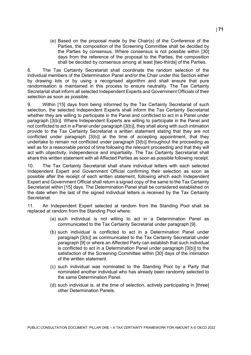(e) Based on the proposal made by the Chair(s) of the Conference of the Parties, the composition of the Screening Committee shall be decided by the Parties by consensus. Where consensus is not possible within [30] days from the reference of the proposal to the Parties, the composition shall be decided by consensus among at least [two-thirds] of the Parties.

8. The Tax Certainty Secretariat shall coordinate the random selection of the individual members of the Determination Panel and/or the Chair under this Section either by drawing lots or by using a recognised algorithm and shall ensure that pure randomisation is maintained in this process to ensure neutrality. The Tax Certainty Secretariat shall inform all selected Independent Experts and Government Officials of their selection as soon as possible.

9. Within [15] days from being informed by the Tax Certainty Secretariat of such selection, the selected Independent Experts shall inform the Tax Certainty Secretariat whether they are willing to participate in the Panel and conflicted to act in a Panel under paragraph [3(b)]. Where Independent Experts are willing to participate in the Panel and not conflicted to act in a Panel under paragraph [3(b)], they shall along with such intimation provide to the Tax Certainty Secretariat a written statement stating that they are not conflicted under paragraph [3(b)] at the time of accepting appointment, that they undertake to remain not conflicted under paragraph [3(b)] throughout the proceeding as well as for a reasonable period of time following the relevant proceeding and that they will act with objectivity, independence and impartiality. The Tax Certainty Secretariat shall share this written statement with all Affected Parties as soon as possible following receipt.

10. The Tax Certainty Secretariat shall share individual letters with each selected Independent Expert and Government Official confirming their selection as soon as possible after the receipt of each written statement, following which each Independent Expert and Government Official shall return a signed copy of the same to the Tax Certainty Secretariat within [15] days. The Determination Panel shall be considered established on the date when the last of the signed individual letters is received by the Tax Certainty **Secretariat.** 

11. An Independent Expert selected at random from the Standing Pool shall be replaced at random from the Standing Pool where:

- (a) such individual is not willing to act in a Determination Panel as communicated to the Tax Certainty Secretariat under paragraph [9].
- (b) such individual is conflicted to act in a Determination Panel under paragraph [3(b)] as communicated to the Tax Certainty Secretariat under paragraph [9] or where an Affected Party can establish that such individual is conflicted to act in a Determination Panel under paragraph [3(b)] to the satisfaction of the Screening Committee within [30] days of the intimation of the written statement.
- (c) such individual was nominated to the Standing Pool by a Party that nominated another individual who has already been randomly selected to the same Determination Panel.
- (d) such individual is, at the time of selection, actively participating in [three] other Determination Panels.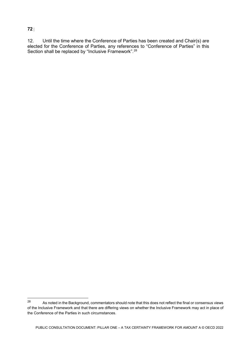#### **72** |

12. Until the time where the Conference of Parties has been created and Chair(s) are elected for the Conference of Parties, any references to "Conference of Parties" in this Section shall be replaced by "Inclusive Framework".<sup>[28](#page-72-0)</sup>

<span id="page-72-0"></span><sup>28</sup> As noted in the Background, commentators should note that this does not reflect the final or consensus views of the Inclusive Framework and that there are differing views on whether the Inclusive Framework may act in place of the Conference of the Parties in such circumstances.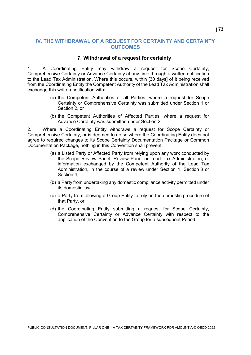### **IV. THE WITHDRAWAL OF A REQUEST FOR CERTAINTY AND CERTAINTY OUTCOMES**

#### **7. Withdrawal of a request for certainty**

1. A Coordinating Entity may withdraw a request for Scope Certainty, Comprehensive Certainty or Advance Certainty at any time through a written notification to the Lead Tax Administration. Where this occurs, within [30 days] of it being received from the Coordinating Entity the Competent Authority of the Lead Tax Administration shall exchange this written notification with:

- (a) the Competent Authorities of all Parties, where a request for Scope Certainty or Comprehensive Certainty was submitted under Section 1 or Section 2, or
- (b) the Competent Authorities of Affected Parties, where a request for Advance Certainty was submitted under Section 2.

2. Where a Coordinating Entity withdraws a request for Scope Certainty or Comprehensive Certainty, or is deemed to do so where the Coordinating Entity does not agree to required changes to its Scope Certainty Documentation Package or Common Documentation Package, nothing in this Convention shall prevent:

- (a) a Listed Party or Affected Party from relying upon any work conducted by the Scope Review Panel, Review Panel or Lead Tax Administration, or information exchanged by the Competent Authority of the Lead Tax Administration, in the course of a review under Section 1, Section 3 or Section 4,
- (b) a Party from undertaking any domestic compliance activity permitted under its domestic law,
- (c) a Party from allowing a Group Entity to rely on the domestic procedure of that Party, or
- (d) the Coordinating Entity submitting a request for Scope Certainty, Comprehensive Certainty or Advance Certainty with respect to the application of the Convention to the Group for a subsequent Period.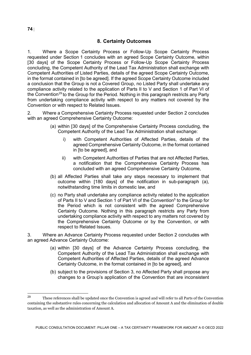# **8. Certainty Outcomes**

1. Where a Scope Certainty Process or Follow-Up Scope Certainty Process requested under Section 1 concludes with an agreed Scope Certainty Outcome, within [30 days] of the Scope Certainty Process or Follow-Up Scope Certainty Process concluding, the Competent Authority of the Lead Tax Administration shall exchange with Competent Authorities of Listed Parties, details of the agreed Scope Certainty Outcome, in the format contained in [to be agreed]. If the agreed Scope Certainty Outcome included a conclusion that the Group is not a Covered Group, no Listed Party shall undertake any compliance activity related to the application of Parts II to V and Section 1 of Part VI of the Convention<sup>[29](#page-74-0)</sup> to the Group for the Period. Nothing in this paragraph restricts any Party from undertaking compliance activity with respect to any matters not covered by the Convention or with respect to Related Issues.

2. Where a Comprehensive Certainty Process requested under Section 2 concludes with an agreed Comprehensive Certainty Outcome:

- (a) within [30 days] of the Comprehensive Certainty Process concluding, the Competent Authority of the Lead Tax Administration shall exchange:
	- i) with Competent Authorities of Affected Parties, details of the agreed Comprehensive Certainty Outcome, in the format contained in [to be agreed], and
	- ii) with Competent Authorities of Parties that are not Affected Parties, a notification that the Comprehensive Certainty Process has concluded with an agreed Comprehensive Certainty Outcome,
- (b) all Affected Parties shall take any steps necessary to implement that outcome within [180 days] of the notification in sub-paragraph (a), notwithstanding time limits in domestic law, and
- (c) no Party shall undertake any compliance activity related to the application of Parts II to V and Section 1 of Part VI of the Convention<sup>5</sup> to the Group for the Period which is not consistent with the agreed Comprehensive Certainty Outcome. Nothing in this paragraph restricts any Party from undertaking compliance activity with respect to any matters not covered by the Comprehensive Certainty Outcome or by the Convention, or with respect to Related Issues.

3. Where an Advance Certainty Process requested under Section 2 concludes with an agreed Advance Certainty Outcome:

- (a) within [30 days] of the Advance Certainty Process concluding, the Competent Authority of the Lead Tax Administration shall exchange with Competent Authorities of Affected Parties, details of the agreed Advance Certainty Outcome, in the format contained in [to be agreed], and
- (b) subject to the provisions of Section 3, no Affected Party shall propose any changes to a Group's application of the Convention that are inconsistent

<span id="page-74-0"></span> $29$ <sup>29</sup> These references shall be updated once the Convention is agreed and will refer to all Parts of the Convention containing the substantive rules concerning the calculation and allocation of Amount A and the elimination of double taxation, as well as the administration of Amount A.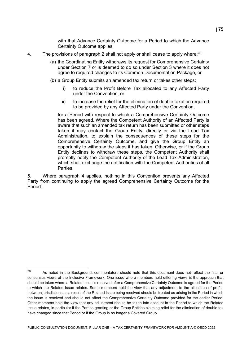with that Advance Certainty Outcome for a Period to which the Advance Certainty Outcome applies.

- 4. The provisions of paragraph 2 shall not apply or shall cease to apply where:  $30$ 
	- (a) the Coordinating Entity withdraws its request for Comprehensive Certainty under Section 7 or is deemed to do so under Section 3 where it does not agree to required changes to its Common Documentation Package, or
	- (b) a Group Entity submits an amended tax return or takes other steps:
		- i) to reduce the Profit Before Tax allocated to any Affected Party under the Convention, or
		- ii) to increase the relief for the elimination of double taxation required to be provided by any Affected Party under the Convention,

for a Period with respect to which a Comprehensive Certainty Outcome has been agreed. Where the Competent Authority of an Affected Party is aware that such an amended tax return has been submitted or other steps taken it may contact the Group Entity, directly or via the Lead Tax Administration, to explain the consequences of these steps for the Comprehensive Certainty Outcome, and give the Group Entity an opportunity to withdraw the steps it has taken. Otherwise, or if the Group Entity declines to withdraw these steps, the Competent Authority shall promptly notify the Competent Authority of the Lead Tax Administration, which shall exchange the notification with the Competent Authorities of all Parties.

5. Where paragraph 4 applies, nothing in this Convention prevents any Affected Party from continuing to apply the agreed Comprehensive Certainty Outcome for the Period.

PUBLIC CONSULTATION DOCUMENT: PILLAR ONE – A TAX CERTAINTY FRAMEWORK FOR AMOUNT A © OECD 2022

<span id="page-75-0"></span><sup>30</sup> As noted in the Background, commentators should note that this document does not reflect the final or consensus views of the Inclusive Framework. One issue where members hold differing views is the approach that should be taken where a Related Issue is resolved after a Comprehensive Certainty Outcome is agreed for the Period to which the Related Issue relates. Some members hold the view that any adjustment to the allocation of profits between jurisdictions as a result of the Related Issue being resolved should be treated as arising in the Period in which the issue is resolved and should not affect the Comprehensive Certainty Outcome provided for the earlier Period. Other members hold the view that any adjustment should be taken into account in the Period to which the Related Issue relates, in particular if the Parties granting or the Group Entities claiming relief for the elimination of double tax have changed since that Period or if the Group is no longer a Covered Group.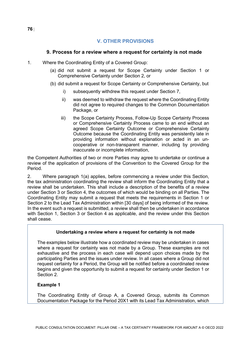# **V. OTHER PROVISIONS**

### **9. Process for a review where a request for certainty is not made**

- 1. Where the Coordinating Entity of a Covered Group:
	- (a) did not submit a request for Scope Certainty under Section 1 or Comprehensive Certainty under Section 2, or
	- (b) did submit a request for Scope Certainty or Comprehensive Certainty, but
		- i) subsequently withdrew this request under Section 7,
		- ii) was deemed to withdraw the request where the Coordinating Entity did not agree to required changes to the Common Documentation Package, or
		- iii) the Scope Certainty Process, Follow-Up Scope Certainty Process or Comprehensive Certainty Process came to an end without an agreed Scope Certainty Outcome or Comprehensive Certainty Outcome because the Coordinating Entity was persistently late in providing information without explanation or acted in an uncooperative or non-transparent manner, including by providing inaccurate or incomplete information,

the Competent Authorities of two or more Parties may agree to undertake or continue a review of the application of provisions of the Convention to the Covered Group for the Period.

2. Where paragraph 1(a) applies, before commencing a review under this Section, the tax administration coordinating the review shall inform the Coordinating Entity that a review shall be undertaken. This shall include a description of the benefits of a review under Section 3 or Section 4, the outcomes of which would be binding on all Parties. The Coordinating Entity may submit a request that meets the requirements in Section 1 or Section 2 to the Lead Tax Administration within [30 days] of being informed of the review. In the event such a request is submitted, a review shall then be undertaken in accordance with Section 1, Section 3 or Section 4 as applicable, and the review under this Section shall cease.

### **Undertaking a review where a request for certainty is not made**

The examples below illustrate how a coordinated review may be undertaken in cases where a request for certainty was not made by a Group. These examples are not exhaustive and the process in each case will depend upon choices made by the participating Parties and the issues under review. In all cases where a Group did not request certainty for a Period, the Group will be notified before a coordinated review begins and given the opportunity to submit a request for certainty under Section 1 or Section 2.

### **Example 1**

The Coordinating Entity of Group A, a Covered Group, submits its Common Documentation Package for the Period 20X1 with its Lead Tax Administration, which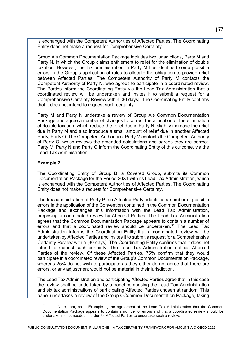is exchanged with the Competent Authorities of Affected Parties. The Coordinating Entity does not make a request for Comprehensive Certainty.

Group A's Common Documentation Package includes two jurisdictions, Party M and Party N, in which the Group claims entitlement to relief for the elimination of double taxation. However, the tax administration in Party M has identified some possible errors in the Group's application of rules to allocate the obligation to provide relief between Affected Parties. The Competent Authority of Party M contacts the Competent Authority of Party N, who agrees to participate in a coordinated review. The Parties inform the Coordinating Entity via the Lead Tax Administration that a coordinated review will be undertaken and invites it to submit a request for a Comprehensive Certainty Review within [30 days]. The Coordinating Entity confirms that it does not intend to request such certainty.

Party M and Party N undertake a review of Group A's Common Documentation Package and agree a number of changes to correct the allocation of the elimination of double taxation, which reduce the relief due in Party N, slightly increase the relief due in Party M and also introduce a small amount of relief due in another Affected Party, Party O. The Competent Authority of Party M contacts the Competent Authority of Party O, which reviews the amended calculations and agrees they are correct. Party M, Party N and Party O inform the Coordinating Entity of this outcome, via the Lead Tax Administration.

#### **Example 2**

<span id="page-77-0"></span>j

The Coordinating Entity of Group B, a Covered Group, submits its Common Documentation Package for the Period 20X1 with its Lead Tax Administration, which is exchanged with the Competent Authorities of Affected Parties. The Coordinating Entity does not make a request for Comprehensive Certainty.

The tax administration of Party P, an Affected Party, identifies a number of possible errors in the application of the Convention contained in the Common Documentation Package and exchanges this information with the Lead Tax Administration, proposing a coordinated review by Affected Parties. The Lead Tax Administration agrees that the Common Documentation Package appears to contain a number of errors and that a coordinated review should be undertaken.<sup>[31](#page-77-0)</sup> The Lead Tax Administration informs the Coordinating Entity that a coordinated review will be undertaken by Affected Parties and invites it to submit a request for a Comprehensive Certainty Review within [30 days]. The Coordinating Entity confirms that it does not intend to request such certainty. The Lead Tax Administration notifies Affected Parties of the review. Of these Affected Parties, 75% confirm that they would participate in a coordinated review of the Group's Common Documentation Package, whereas 25% do not wish to participate as they either do not agree that there are errors, or any adjustment would not be material in their jurisdiction.

The Lead Tax Administration and participating Affected Parties agree that in this case the review shall be undertaken by a panel comprising the Lead Tax Administration and six tax administrations of participating Affected Parties chosen at random. This panel undertakes a review of the Group's Common Documentation Package, taking

<sup>31</sup> Note, that, as in Example 1, the agreement of the Lead Tax Administration that the Common Documentation Package appears to contain a number of errors and that a coordinated review should be undertaken is not needed in order for Affected Parties to undertake such a review.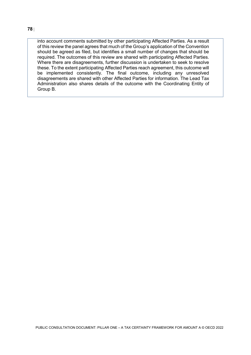into account comments submitted by other participating Affected Parties. As a result of this review the panel agrees that much of the Group's application of the Convention

should be agreed as filed, but identifies a small number of changes that should be required. The outcomes of this review are shared with participating Affected Parties. Where there are disagreements, further discussion is undertaken to seek to resolve these. To the extent participating Affected Parties reach agreement, this outcome will be implemented consistently. The final outcome, including any unresolved disagreements are shared with other Affected Parties for information. The Lead Tax Administration also shares details of the outcome with the Coordinating Entity of Group B.

#### **78** |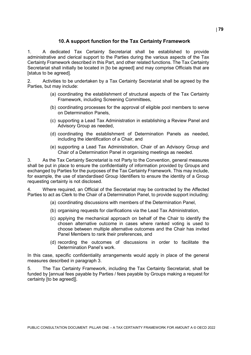# **10.A support function for the Tax Certainty Framework**

1. A dedicated Tax Certainty Secretariat shall be established to provide administrative and clerical support to the Parties during the various aspects of the Tax Certainty Framework described in this Part, and other related functions. The Tax Certainty Secretariat shall initially be located in [to be agreed] and may comprise Officials that are [status to be agreed].

2. Activities to be undertaken by a Tax Certainty Secretariat shall be agreed by the Parties, but may include:

- (a) coordinating the establishment of structural aspects of the Tax Certainty Framework, including Screening Committees,
- (b) coordinating processes for the approval of eligible pool members to serve on Determination Panels,
- (c) supporting a Lead Tax Administration in establishing a Review Panel and Advisory Group as needed,
- (d) coordinating the establishment of Determination Panels as needed, including the identification of a Chair, and
- (e) supporting a Lead Tax Administration, Chair of an Advisory Group and Chair of a Determination Panel in organising meetings as needed.

3. As the Tax Certainty Secretariat is not Party to the Convention, general measures shall be put in place to ensure the confidentiality of information provided by Groups and exchanged by Parties for the purposes of the Tax Certainty Framework. This may include, for example, the use of standardised Group Identifiers to ensure the identity of a Group requesting certainty is not disclosed.

4. Where required, an Official of the Secretariat may be contracted by the Affected Parties to act as Clerk to the Chair of a Determination Panel, to provide support including:

- (a) coordinating discussions with members of the Determination Panel,
- (b) organising requests for clarifications via the Lead Tax Administration,
- (c) applying the mechanical approach on behalf of the Chair to identify the chosen alternative outcome in cases where ranked voting is used to choose between multiple alternative outcomes and the Chair has invited Panel Members to rank their preferences, and
- (d) recording the outcomes of discussions in order to facilitate the Determination Panel's work.

In this case, specific confidentiality arrangements would apply in place of the general measures described in paragraph 3.

5. The Tax Certainty Framework, including the Tax Certainty Secretariat, shall be funded by [annual fees payable by Parties / fees payable by Groups making a request for certainty [to be agreed]].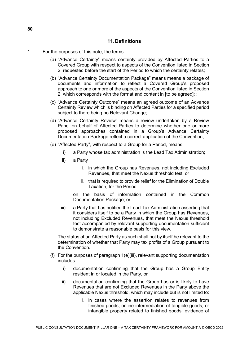### **11.Definitions**

- 1. For the purposes of this note, the terms:
	- (a) "Advance Certainty" means certainty provided by Affected Parties to a Covered Group with respect to aspects of the Convention listed in Section 2, requested before the start of the Period to which the certainty relates;
	- (b) "Advance Certainty Documentation Package" means means a package of documents and information to reflect a Covered Group's proposed approach to one or more of the aspects of the Convention listed in Section 2, which corresponds with the format and content in [to be agreed]; ;
	- (c) "Advance Certainty Outcome" means an agreed outcome of an Advance Certainty Review which is binding on Affected Parties for a specified period subject to there being no Relevant Change;
	- (d) "Advance Certainty Review" means a review undertaken by a Review Panel on behalf of Affected Parties to determine whether one or more proposed approaches contained in a Group's Advance Certainty Documentation Package reflect a correct application of the Convention;
	- (e) "Affected Party", with respect to a Group for a Period, means:
		- i) a Party whose tax administration is the Lead Tax Administration;
		- ii) a Party
			- i. in which the Group has Revenues, not including Excluded Revenues, that meet the Nexus threshold test, or
			- ii. that is required to provide relief for the Elimination of Double Taxation, for the Period

on the basis of information contained in the Common Documentation Package; or

iii) a Party that has notified the Lead Tax Administration asserting that it considers itself to be a Party in which the Group has Revenues, not including Excluded Revenues, that meet the Nexus threshold test accompanied by relevant supporting documentation sufficient to demonstrate a reasonable basis for this view.

The status of an Affected Party as such shall not by itself be relevant to the determination of whether that Party may tax profits of a Group pursuant to the Convention.

- (f) For the purposes of paragraph 1(e)(iii), relevant supporting documentation includes:
	- i) documentation confirming that the Group has a Group Entity resident in or located in the Party, or
	- ii) documentation confirming that the Group has or is likely to have Revenues that are not Excluded Revenues in the Party above the applicable Nexus threshold, which may include but is not limited to:
		- i. in cases where the assertion relates to revenues from finished goods, online intermediation of tangible goods, or intangible property related to finished goods: evidence of

**80** |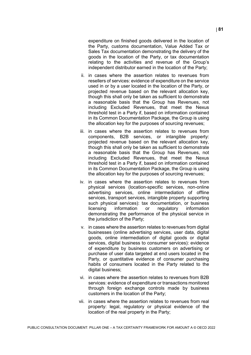expenditure on finished goods delivered in the location of the Party, customs documentation, Value Added Tax or Sales Tax documentation demonstrating the delivery of the goods in the location of the Party, or tax documentation relating to the activities and revenue of the Group's independent distributor earned in the location of the Party;

- ii. in cases where the assertion relates to revenues from resellers of services: evidence of expenditure on the service used in or by a user located in the location of the Party, or projected revenue based on the relevant allocation key, though this shall only be taken as sufficient to demonstrate a reasonable basis that the Group has Revenues, not including Excluded Revenues, that meet the Nexus threshold test in a Party if, based on information contained in its Common Documentation Package, the Group is using the allocation key for the purposes of sourcing revenues;
- iii. in cases where the assertion relates to revenues from components, B2B services, or intangible property: projected revenue based on the relevant allocation key, though this shall only be taken as sufficient to demonstrate a reasonable basis that the Group has Revenues, not including Excluded Revenues, that meet the Nexus threshold test in a Party if, based on information contained in its Common Documentation Package, the Group is using the allocation key for the purposes of sourcing revenues;
- iv. in cases where the assertion relates to revenues from physical services (location-specific services, non-online advertising services, online intermediation of offline services, transport services, intangible property supporting such physical services): tax documentation, or business licensing information or regulatory information demonstrating the performance of the physical service in the jurisdiction of the Party;
- v. in cases where the assertion relates to revenues from digital businesses (online advertising services, user data, digital goods, online intermediation of digital goods or digital services, digital business to consumer services): evidence of expenditure by business customers on advertising or purchase of user data targeted at end users located in the Party, or quantitative evidence of consumer purchasing habits of consumers located in the Party related to the digital business;
- vi. in cases where the assertion relates to revenues from B2B services: evidence of expenditure or transactions monitored through foreign exchange controls made by business customers in the location of the Party;
- vii. in cases where the assertion relates to revenues from real property: legal, regulatory or physical evidence of the location of the real property in the Party;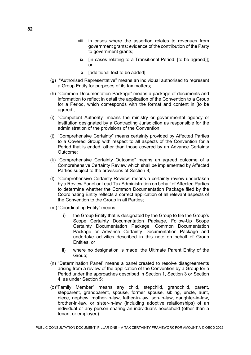- viii. in cases where the assertion relates to revenues from government grants: evidence of the contribution of the Party to government grants:
- ix. [in cases relating to a Transitional Period: [to be agreed]]; or
- x. [additional text to be added]
- (g) "Authorised Representative" means an individual authorised to represent a Group Entity for purposes of its tax matters;
- (h) "Common Documentation Package" means a package of documents and information to reflect in detail the application of the Convention to a Group for a Period, which corresponds with the format and content in [to be agreed];
- (i) "Competent Authority" means the ministry or governmental agency or institution designated by a Contracting Jurisdiction as responsible for the administration of the provisions of the Convention;
- (j) "Comprehensive Certainty" means certainty provided by Affected Parties to a Covered Group with respect to all aspects of the Convention for a Period that is ended, other than those covered by an Advance Certainty Outcome;
- (k) "Comprehensive Certainty Outcome" means an agreed outcome of a Comprehensive Certainty Review which shall be implemented by Affected Parties subject to the provisions of Section 8;
- (l) "Comprehensive Certainty Review" means a certainty review undertaken by a Review Panel or Lead Tax Administration on behalf of Affected Parties to determine whether the Common Documentation Package filed by the Coordinating Entity reflects a correct application of all relevant aspects of the Convention to the Group in all Parties;
- (m)"Coordinating Entity" means:
	- i) the Group Entity that is designated by the Group to file the Group's Scope Certainty Documentation Package, Follow-Up Scope Certainty Documentation Package, Common Documentation Package or Advance Certainty Documentation Package and undertake activities described in this note on behalf of Group Entities, or
	- ii) where no designation is made, the Ultimate Parent Entity of the Group;
- (n) "Determination Panel" means a panel created to resolve disagreements arising from a review of the application of the Convention by a Group for a Period under the approaches described in Section 1, Section 3 or Section 4, as under Section 5;
- (o)"Family Member" means any child, stepchild, grandchild, parent, stepparent, grandparent, spouse, former spouse, sibling, uncle, aunt, niece, nephew, mother-in-law, father-in-law, son-in-law, daughter-in-law, brother-in-law, or sister-in-law (including adoptive relationships) of an individual or any person sharing an individual's household (other than a tenant or employee).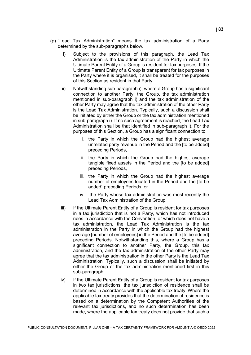- (p) "Lead Tax Administration" means the tax administration of a Party determined by the sub-paragraphs below.
	- i) Subject to the provisions of this paragraph, the Lead Tax Administration is the tax administration of the Party in which the Ultimate Parent Entity of a Group is resident for tax purposes. If the Ultimate Parent Entity of a Group is transparent for tax purposes in the Party where it is organised, it shall be treated for the purposes of this Section as resident in that Party.
	- ii) Notwithstanding sub-paragraph i), where a Group has a significant connection to another Party, the Group, the tax administration mentioned in sub-paragraph i) and the tax administration of the other Party may agree that the tax administration of the other Party is the Lead Tax Administration. Typically, such a discussion shall be initiated by either the Group or the tax administration mentioned in sub-paragraph i). If no such agreement is reached, the Lead Tax Administration shall be that identified in sub-paragraph i). For the purposes of this Section, a Group has a significant connection to:
		- i. the Party in which the Group had the highest average unrelated party revenue in the Period and the [to be added] preceding Periods,
		- ii. the Party in which the Group had the highest average tangible fixed assets in the Period and the [to be added] preceding Periods,
		- iii. the Party in which the Group had the highest average number of employees located in the Period and the [to be added] preceding Periods, or
		- iv. the Party whose tax administration was most recently the Lead Tax Administration of the Group.
	- iii) If the Ultimate Parent Entity of a Group is resident for tax purposes in a tax jurisdiction that is not a Party, which has not introduced rules in accordance with the Convention, or which does not have a tax administration, the Lead Tax Administration is the tax administration in the Party in which the Group had the highest average [number of employees] in the Period and the [to be added] preceding Periods. Notwithstanding this, where a Group has a significant connection to another Party, the Group, this tax administration, and the tax administration of the other Party may agree that the tax administration in the other Party is the Lead Tax Administration. Typically, such a discussion shall be initiated by either the Group or the tax administration mentioned first in this sub-paragraph.
	- iv) If the Ultimate Parent Entity of a Group is resident for tax purposes in two tax jurisdictions, the tax jurisdiction of residence shall be determined in accordance with the applicable tax treaty. Where the applicable tax treaty provides that the determination of residence is based on a determination by the Competent Authorities of the relevant tax jurisdictions, and no such determination has been made, where the applicable tax treaty does not provide that such a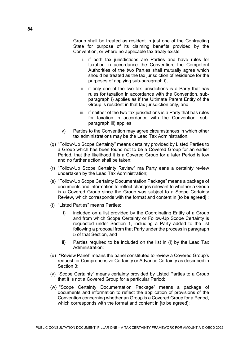Group shall be treated as resident in just one of the Contracting State for purpose of its claiming benefits provided by the Convention, or where no applicable tax treaty exists:

- i. if both tax jurisdictions are Parties and have rules for taxation in accordance the Convention, the Competent Authorities of the two Parties shall mutually agree which should be treated as the tax jurisdiction of residence for the purposes of applying sub-paragraph i),
- ii. if only one of the two tax jurisdictions is a Party that has rules for taxation in accordance with the Convention, subparagraph i) applies as if the Ultimate Parent Entity of the Group is resident in that tax jurisdiction only, and
- iii. if neither of the two tax jurisdictions is a Party that has rules for taxation in accordance with the Convention, subparagraph iii) applies.
- v) Parties to the Convention may agree circumstances in which other tax administrations may be the Lead Tax Administration.
- (q) "Follow-Up Scope Certainty" means certainty provided by Listed Parties to a Group which has been found not to be a Covered Group for an earlier Period, that the likelihood it is a Covered Group for a later Period is low and no further action shall be taken;
- (r) "Follow-Up Scope Certainty Review" ma Party eans a certainty review undertaken by the Lead Tax Administration;
- (s) "Follow-Up Scope Certainty Documentation Package" means a package of documents and information to reflect changes relevant to whether a Group is a Covered Group since the Group was subject to a Scope Certainty Review, which corresponds with the format and content in [to be agreed] ;
- (t) "Listed Parties" means Parties:
	- i) included on a list provided by the Coordinating Entity of a Group and from which Scope Certainty or Follow-Up Scope Certainty is requested under Section 1, including a Party added to the list following a proposal from that Party under the process in paragraph 5 of that Section, and
	- ii) Parties required to be included on the list in (i) by the Lead Tax Administration;
- (u) "Review Panel" means the panel constituted to review a Covered Group's request for Comprehensive Certainty or Advance Certainty as described in Section 3;
- (v) "Scope Certainty" means certainty provided by Listed Parties to a Group that it is not a Covered Group for a particular Period;
- (w) "Scope Certainty Documentation Package" means a package of documents and information to reflect the application of provisions of the Convention concerning whether an Group is a Covered Group for a Period, which corresponds with the format and content in [to be agreed];